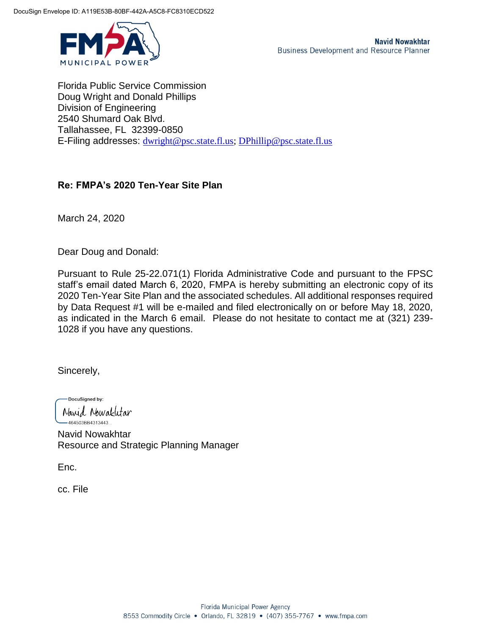

Florida Public Service Commission Doug Wright and Donald Phillips Division of Engineering 2540 Shumard Oak Blvd. Tallahassee, FL 32399-0850 E-Filing addresses: [dwright@psc.state.fl.us;](mailto:dwright@psc.state.fl.us) [DPhillip@psc.state.fl.us](mailto:DPhillip@psc.state.fl.us)

#### **Re: FMPA's 2020 Ten-Year Site Plan**

March 24, 2020

Dear Doug and Donald:

Pursuant to Rule 25-22.071(1) Florida Administrative Code and pursuant to the FPSC staff's email dated March 6, 2020, FMPA is hereby submitting an electronic copy of its 2020 Ten-Year Site Plan and the associated schedules. All additional responses required by Data Request #1 will be e-mailed and filed electronically on or before May 18, 2020, as indicated in the March 6 email. Please do not hesitate to contact me at (321) 239- 1028 if you have any questions.

Sincerely,

DocuSianed by:

Navid Nowakutar -464503BB4313443 Navid Nowakhtar Resource and Strategic Planning Manager

Enc.

cc. File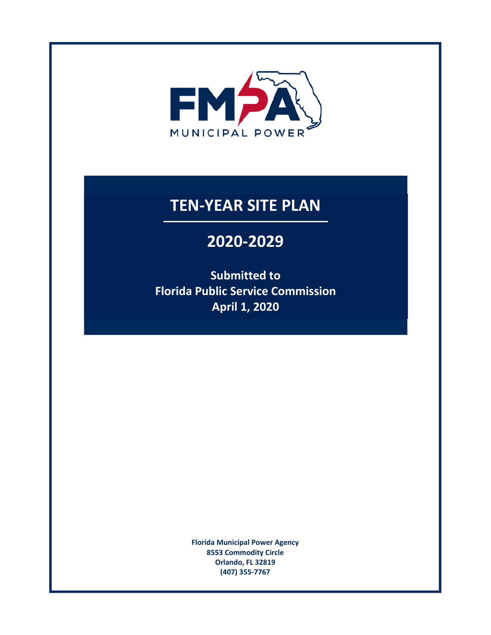

# **TEN‐YEAR SITE PLAN**

# **2020‐2029**

**Submitted to Florida Public Service Commission April 1, 2020** 

> **Florida Municipal Power Agency 8553 Commodity Circle Orlando, FL 32819 (407) 355‐7767**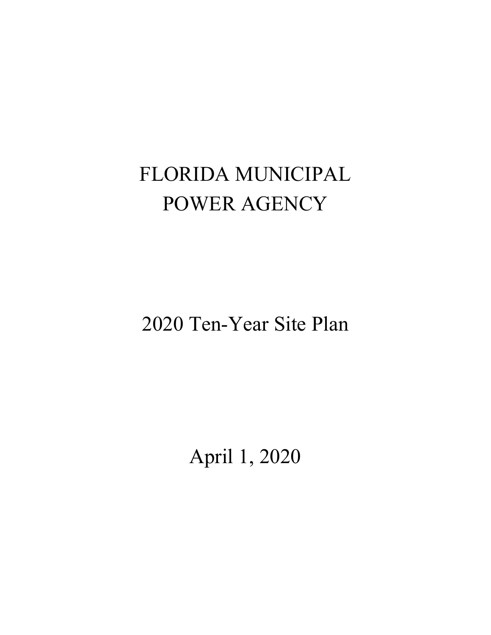# FLORIDA MUNICIPAL POWER AGENCY

2020 Ten-Year Site Plan

April 1, 2020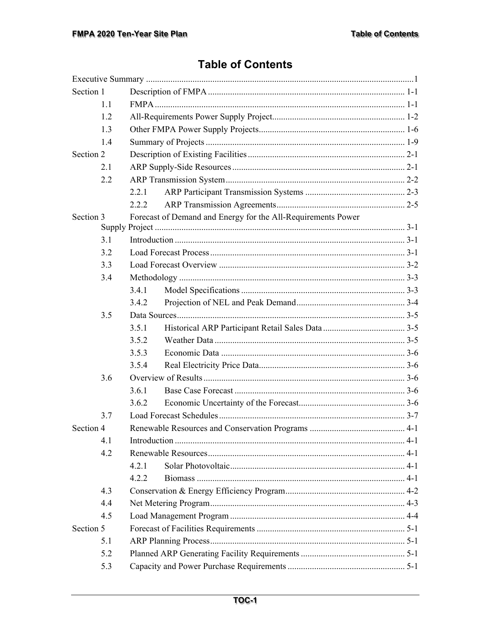# **Table of Contents**

| Section 1 |     |       |                                                              |  |  |
|-----------|-----|-------|--------------------------------------------------------------|--|--|
|           | 1.1 |       |                                                              |  |  |
|           | 1.2 |       |                                                              |  |  |
|           | 1.3 |       |                                                              |  |  |
|           | 1.4 |       |                                                              |  |  |
| Section 2 |     |       |                                                              |  |  |
|           | 2.1 |       |                                                              |  |  |
|           | 2.2 |       |                                                              |  |  |
|           |     | 2.2.1 |                                                              |  |  |
|           |     | 2.2.2 |                                                              |  |  |
| Section 3 |     |       | Forecast of Demand and Energy for the All-Requirements Power |  |  |
|           |     |       |                                                              |  |  |
|           | 3.1 |       |                                                              |  |  |
|           | 3.2 |       |                                                              |  |  |
|           | 3.3 |       |                                                              |  |  |
|           | 3.4 |       |                                                              |  |  |
|           |     | 3.4.1 |                                                              |  |  |
|           |     | 3.4.2 |                                                              |  |  |
|           | 3.5 |       |                                                              |  |  |
|           |     | 3.5.1 |                                                              |  |  |
|           |     | 3.5.2 |                                                              |  |  |
|           |     | 3.5.3 |                                                              |  |  |
|           |     | 3.5.4 |                                                              |  |  |
|           | 3.6 |       |                                                              |  |  |
|           |     | 3.6.1 |                                                              |  |  |
|           |     | 3.6.2 |                                                              |  |  |
|           | 3.7 |       |                                                              |  |  |
| Section 4 |     |       |                                                              |  |  |
|           | 4.1 |       |                                                              |  |  |
|           | 4.2 |       |                                                              |  |  |
|           |     | 4.2.1 |                                                              |  |  |
|           |     | 4.2.2 |                                                              |  |  |
|           | 4.3 |       |                                                              |  |  |
|           | 4.4 |       |                                                              |  |  |
|           | 4.5 |       |                                                              |  |  |
| Section 5 |     |       |                                                              |  |  |
|           | 5.1 |       |                                                              |  |  |
|           | 5.2 |       |                                                              |  |  |
|           | 5.3 |       |                                                              |  |  |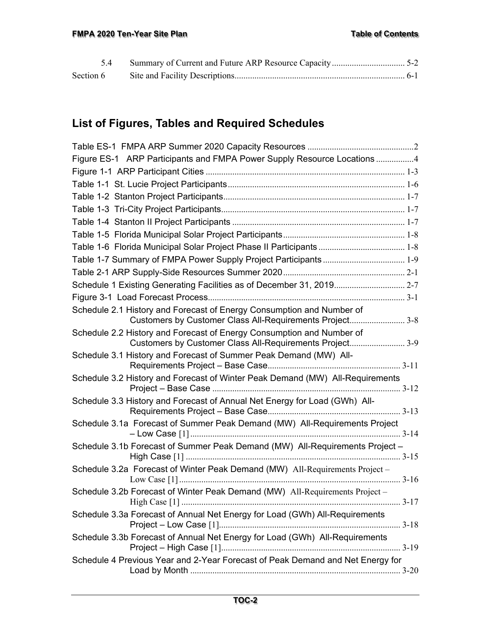# **List of Figures, Tables and Required Schedules**

| Figure ES-1 ARP Participants and FMPA Power Supply Resource Locations 4                                                           |  |
|-----------------------------------------------------------------------------------------------------------------------------------|--|
|                                                                                                                                   |  |
|                                                                                                                                   |  |
|                                                                                                                                   |  |
|                                                                                                                                   |  |
|                                                                                                                                   |  |
|                                                                                                                                   |  |
|                                                                                                                                   |  |
| Table 1-7 Summary of FMPA Power Supply Project Participants  1-9                                                                  |  |
|                                                                                                                                   |  |
| Schedule 1 Existing Generating Facilities as of December 31, 2019 2-7                                                             |  |
|                                                                                                                                   |  |
| Schedule 2.1 History and Forecast of Energy Consumption and Number of<br>Customers by Customer Class All-Requirements Project3-8  |  |
| Schedule 2.2 History and Forecast of Energy Consumption and Number of<br>Customers by Customer Class All-Requirements Project 3-9 |  |
| Schedule 3.1 History and Forecast of Summer Peak Demand (MW) All-                                                                 |  |
| Schedule 3.2 History and Forecast of Winter Peak Demand (MW) All-Requirements                                                     |  |
| Schedule 3.3 History and Forecast of Annual Net Energy for Load (GWh) All-                                                        |  |
| Schedule 3.1a Forecast of Summer Peak Demand (MW) All-Requirements Project                                                        |  |
| Schedule 3.1b Forecast of Summer Peak Demand (MW) All-Requirements Project -                                                      |  |
| Schedule 3.2a Forecast of Winter Peak Demand (MW) All-Requirements Project -                                                      |  |
| Schedule 3.2b Forecast of Winter Peak Demand (MW) All-Requirements Project -                                                      |  |
| Schedule 3.3a Forecast of Annual Net Energy for Load (GWh) All-Requirements                                                       |  |
| Schedule 3.3b Forecast of Annual Net Energy for Load (GWh) All-Requirements                                                       |  |
| Schedule 4 Previous Year and 2-Year Forecast of Peak Demand and Net Energy for                                                    |  |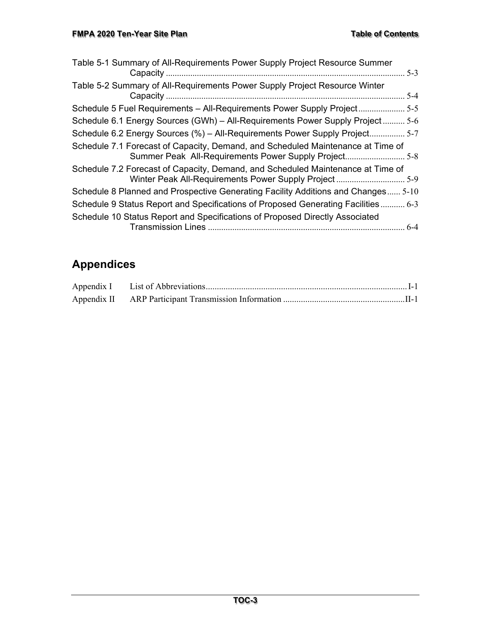| Table 5-1 Summary of All-Requirements Power Supply Project Resource Summer<br>$5-3$                                                     |  |
|-----------------------------------------------------------------------------------------------------------------------------------------|--|
| Table 5-2 Summary of All-Requirements Power Supply Project Resource Winter<br>. 5-4                                                     |  |
| Schedule 5 Fuel Requirements – All-Requirements Power Supply Project 5-5                                                                |  |
| Schedule 6.1 Energy Sources (GWh) - All-Requirements Power Supply Project 5-6                                                           |  |
| Schedule 6.2 Energy Sources (%) – All-Requirements Power Supply Project 5-7                                                             |  |
| Schedule 7.1 Forecast of Capacity, Demand, and Scheduled Maintenance at Time of<br>Summer Peak All-Requirements Power Supply Project5-8 |  |
| Schedule 7.2 Forecast of Capacity, Demand, and Scheduled Maintenance at Time of                                                         |  |
| Schedule 8 Planned and Prospective Generating Facility Additions and Changes 5-10                                                       |  |
| Schedule 9 Status Report and Specifications of Proposed Generating Facilities 6-3                                                       |  |
| Schedule 10 Status Report and Specifications of Proposed Directly Associated                                                            |  |

# **Appendices**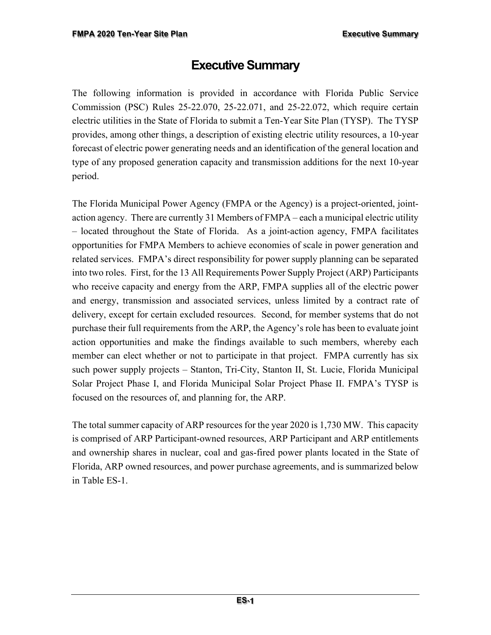# **Executive Summary**

The following information is provided in accordance with Florida Public Service Commission (PSC) Rules 25-22.070, 25-22.071, and 25-22.072, which require certain electric utilities in the State of Florida to submit a Ten-Year Site Plan (TYSP). The TYSP provides, among other things, a description of existing electric utility resources, a 10-year forecast of electric power generating needs and an identification of the general location and type of any proposed generation capacity and transmission additions for the next 10-year period.

The Florida Municipal Power Agency (FMPA or the Agency) is a project-oriented, jointaction agency. There are currently 31 Members of FMPA – each a municipal electric utility – located throughout the State of Florida. As a joint-action agency, FMPA facilitates opportunities for FMPA Members to achieve economies of scale in power generation and related services. FMPA's direct responsibility for power supply planning can be separated into two roles. First, for the 13 All Requirements Power Supply Project (ARP) Participants who receive capacity and energy from the ARP, FMPA supplies all of the electric power and energy, transmission and associated services, unless limited by a contract rate of delivery, except for certain excluded resources. Second, for member systems that do not purchase their full requirements from the ARP, the Agency's role has been to evaluate joint action opportunities and make the findings available to such members, whereby each member can elect whether or not to participate in that project. FMPA currently has six such power supply projects – Stanton, Tri-City, Stanton II, St. Lucie, Florida Municipal Solar Project Phase I, and Florida Municipal Solar Project Phase II. FMPA's TYSP is focused on the resources of, and planning for, the ARP.

The total summer capacity of ARP resources for the year 2020 is 1,730 MW. This capacity is comprised of ARP Participant-owned resources, ARP Participant and ARP entitlements and ownership shares in nuclear, coal and gas-fired power plants located in the State of Florida, ARP owned resources, and power purchase agreements, and is summarized below in Table ES-1.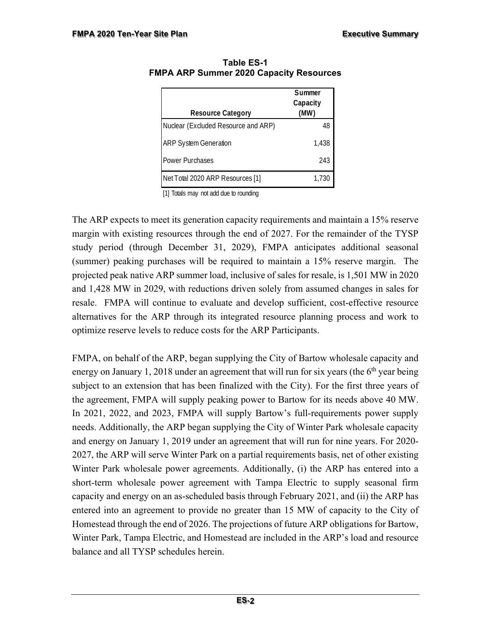| <b>Resource Category</b>            | Summer<br>Capacity<br>(MW) |
|-------------------------------------|----------------------------|
| Nuclear (Excluded Resource and ARP) | 48                         |
| <b>ARP System Generation</b>        | 1,438                      |
| <b>Power Purchases</b>              | 243                        |
| Net Total 2020 ARP Resources [1]    | 1.730                      |

**Table ES-1 FMPA ARP Summer 2020 Capacity Resources** 

[1] Totals may not add due to rounding

The ARP expects to meet its generation capacity requirements and maintain a 15% reserve margin with existing resources through the end of 2027. For the remainder of the TYSP study period (through December 31, 2029), FMPA anticipates additional seasonal (summer) peaking purchases will be required to maintain a 15% reserve margin. The projected peak native ARP summer load, inclusive of sales for resale, is 1,501 MW in 2020 and 1,428 MW in 2029, with reductions driven solely from assumed changes in sales for resale. FMPA will continue to evaluate and develop sufficient, cost-effective resource alternatives for the ARP through its integrated resource planning process and work to optimize reserve levels to reduce costs for the ARP Participants.

FMPA, on behalf of the ARP, began supplying the City of Bartow wholesale capacity and energy on January 1, 2018 under an agreement that will run for six years (the  $6<sup>th</sup>$  year being subject to an extension that has been finalized with the City). For the first three years of the agreement, FMPA will supply peaking power to Bartow for its needs above 40 MW. In 2021, 2022, and 2023, FMPA will supply Bartow's full-requirements power supply needs. Additionally, the ARP began supplying the City of Winter Park wholesale capacity and energy on January 1, 2019 under an agreement that will run for nine years. For 2020- 2027, the ARP will serve Winter Park on a partial requirements basis, net of other existing Winter Park wholesale power agreements. Additionally, (i) the ARP has entered into a short-term wholesale power agreement with Tampa Electric to supply seasonal firm capacity and energy on an as-scheduled basis through February 2021, and (ii) the ARP has entered into an agreement to provide no greater than 15 MW of capacity to the City of Homestead through the end of 2026. The projections of future ARP obligations for Bartow, Winter Park, Tampa Electric, and Homestead are included in the ARP's load and resource balance and all TYSP schedules herein.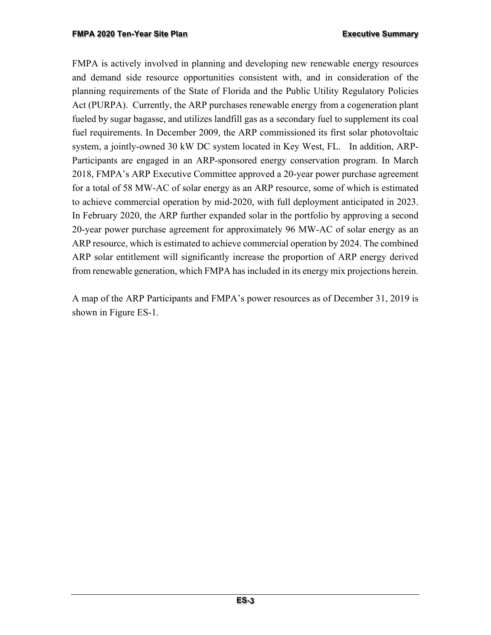FMPA is actively involved in planning and developing new renewable energy resources and demand side resource opportunities consistent with, and in consideration of the planning requirements of the State of Florida and the Public Utility Regulatory Policies Act (PURPA). Currently, the ARP purchases renewable energy from a cogeneration plant fueled by sugar bagasse, and utilizes landfill gas as a secondary fuel to supplement its coal fuel requirements. In December 2009, the ARP commissioned its first solar photovoltaic system, a jointly-owned 30 kW DC system located in Key West, FL. In addition, ARP-Participants are engaged in an ARP-sponsored energy conservation program. In March 2018, FMPA's ARP Executive Committee approved a 20-year power purchase agreement for a total of 58 MW-AC of solar energy as an ARP resource, some of which is estimated to achieve commercial operation by mid-2020, with full deployment anticipated in 2023. In February 2020, the ARP further expanded solar in the portfolio by approving a second 20-year power purchase agreement for approximately 96 MW-AC of solar energy as an ARP resource, which is estimated to achieve commercial operation by 2024. The combined ARP solar entitlement will significantly increase the proportion of ARP energy derived from renewable generation, which FMPA has included in its energy mix projections herein.

A map of the ARP Participants and FMPA's power resources as of December 31, 2019 is shown in Figure ES-1.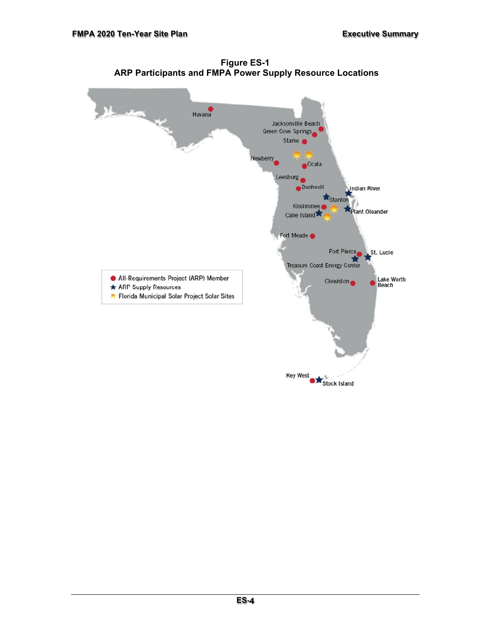

**Figure ES-1 ARP Participants and FMPA Power Supply Resource Locations**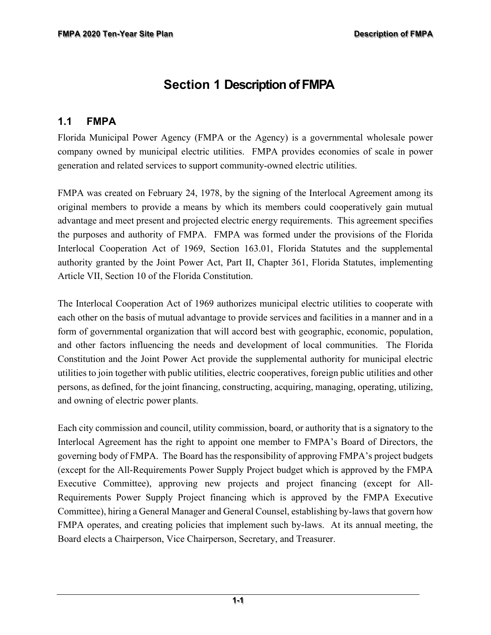# **Section 1 Description of FMPA**

#### **1.1 FMPA**

Florida Municipal Power Agency (FMPA or the Agency) is a governmental wholesale power company owned by municipal electric utilities. FMPA provides economies of scale in power generation and related services to support community-owned electric utilities.

FMPA was created on February 24, 1978, by the signing of the Interlocal Agreement among its original members to provide a means by which its members could cooperatively gain mutual advantage and meet present and projected electric energy requirements. This agreement specifies the purposes and authority of FMPA. FMPA was formed under the provisions of the Florida Interlocal Cooperation Act of 1969, Section 163.01, Florida Statutes and the supplemental authority granted by the Joint Power Act, Part II, Chapter 361, Florida Statutes, implementing Article VII, Section 10 of the Florida Constitution.

The Interlocal Cooperation Act of 1969 authorizes municipal electric utilities to cooperate with each other on the basis of mutual advantage to provide services and facilities in a manner and in a form of governmental organization that will accord best with geographic, economic, population, and other factors influencing the needs and development of local communities. The Florida Constitution and the Joint Power Act provide the supplemental authority for municipal electric utilities to join together with public utilities, electric cooperatives, foreign public utilities and other persons, as defined, for the joint financing, constructing, acquiring, managing, operating, utilizing, and owning of electric power plants.

Each city commission and council, utility commission, board, or authority that is a signatory to the Interlocal Agreement has the right to appoint one member to FMPA's Board of Directors, the governing body of FMPA. The Board has the responsibility of approving FMPA's project budgets (except for the All-Requirements Power Supply Project budget which is approved by the FMPA Executive Committee), approving new projects and project financing (except for All-Requirements Power Supply Project financing which is approved by the FMPA Executive Committee), hiring a General Manager and General Counsel, establishing by-laws that govern how FMPA operates, and creating policies that implement such by-laws. At its annual meeting, the Board elects a Chairperson, Vice Chairperson, Secretary, and Treasurer.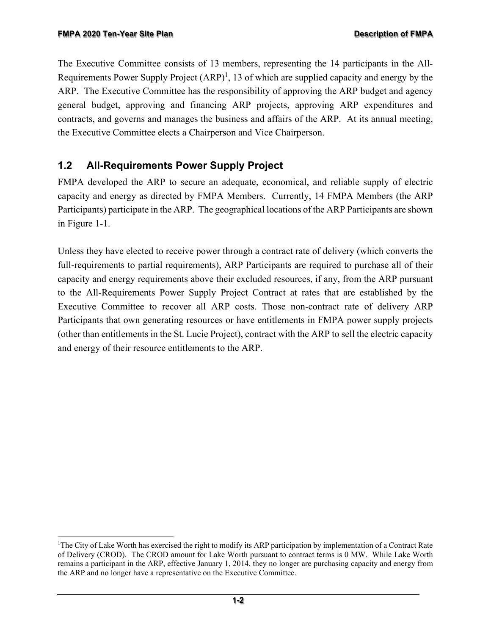The Executive Committee consists of 13 members, representing the 14 participants in the All-Requirements Power Supply Project  $(ARP)^1$ , 13 of which are supplied capacity and energy by the ARP. The Executive Committee has the responsibility of approving the ARP budget and agency general budget, approving and financing ARP projects, approving ARP expenditures and contracts, and governs and manages the business and affairs of the ARP. At its annual meeting, the Executive Committee elects a Chairperson and Vice Chairperson.

## **1.2 All-Requirements Power Supply Project**

FMPA developed the ARP to secure an adequate, economical, and reliable supply of electric capacity and energy as directed by FMPA Members. Currently, 14 FMPA Members (the ARP Participants) participate in the ARP. The geographical locations of the ARP Participants are shown in Figure 1-1.

Unless they have elected to receive power through a contract rate of delivery (which converts the full-requirements to partial requirements), ARP Participants are required to purchase all of their capacity and energy requirements above their excluded resources, if any, from the ARP pursuant to the All-Requirements Power Supply Project Contract at rates that are established by the Executive Committee to recover all ARP costs. Those non-contract rate of delivery ARP Participants that own generating resources or have entitlements in FMPA power supply projects (other than entitlements in the St. Lucie Project), contract with the ARP to sell the electric capacity and energy of their resource entitlements to the ARP.

<sup>1</sup> The City of Lake Worth has exercised the right to modify its ARP participation by implementation of a Contract Rate of Delivery (CROD). The CROD amount for Lake Worth pursuant to contract terms is 0 MW. While Lake Worth remains a participant in the ARP, effective January 1, 2014, they no longer are purchasing capacity and energy from the ARP and no longer have a representative on the Executive Committee.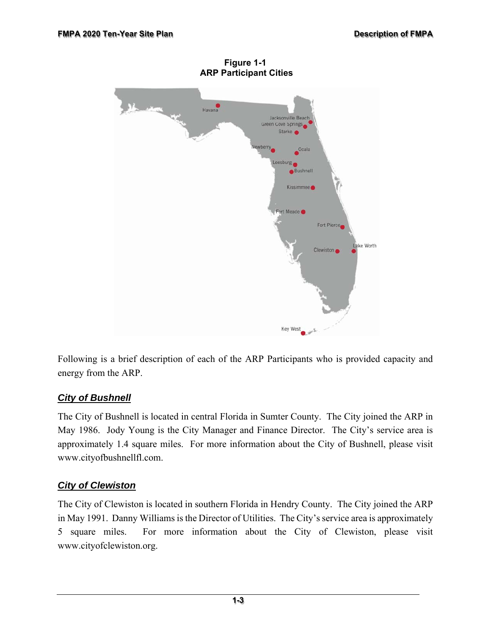

**Figure 1-1 ARP Participant Cities** 

Following is a brief description of each of the ARP Participants who is provided capacity and energy from the ARP.

#### *City of Bushnell*

The City of Bushnell is located in central Florida in Sumter County. The City joined the ARP in May 1986. Jody Young is the City Manager and Finance Director. The City's service area is approximately 1.4 square miles. For more information about the City of Bushnell, please visit www.cityofbushnellfl.com.

#### *City of Clewiston*

The City of Clewiston is located in southern Florida in Hendry County. The City joined the ARP in May 1991. Danny Williams is the Director of Utilities. The City's service area is approximately 5 square miles. For more information about the City of Clewiston, please visit www.cityofclewiston.org.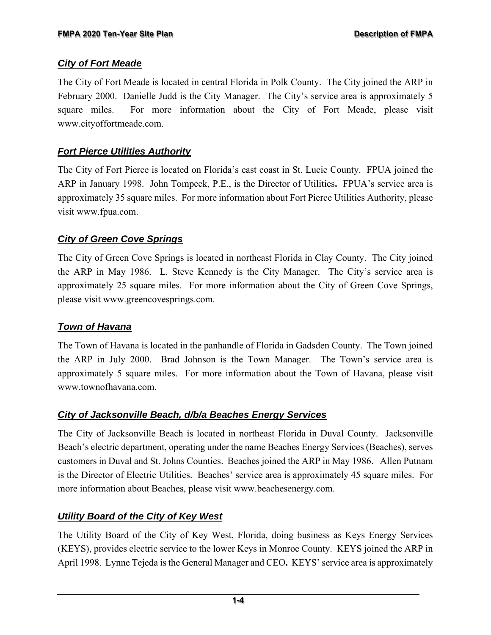#### *City of Fort Meade*

The City of Fort Meade is located in central Florida in Polk County. The City joined the ARP in February 2000. Danielle Judd is the City Manager. The City's service area is approximately 5 square miles. For more information about the City of Fort Meade, please visit www.cityoffortmeade.com.

#### *Fort Pierce Utilities Authority*

The City of Fort Pierce is located on Florida's east coast in St. Lucie County. FPUA joined the ARP in January 1998. John Tompeck, P.E., is the Director of Utilities**.** FPUA's service area is approximately 35 square miles. For more information about Fort Pierce Utilities Authority, please visit www.fpua.com.

#### *City of Green Cove Springs*

The City of Green Cove Springs is located in northeast Florida in Clay County. The City joined the ARP in May 1986. L. Steve Kennedy is the City Manager. The City's service area is approximately 25 square miles. For more information about the City of Green Cove Springs, please visit www.greencovesprings.com.

#### *Town of Havana*

The Town of Havana is located in the panhandle of Florida in Gadsden County. The Town joined the ARP in July 2000. Brad Johnson is the Town Manager. The Town's service area is approximately 5 square miles. For more information about the Town of Havana, please visit www.townofhavana.com.

#### *City of Jacksonville Beach, d/b/a Beaches Energy Services*

The City of Jacksonville Beach is located in northeast Florida in Duval County. Jacksonville Beach's electric department, operating under the name Beaches Energy Services (Beaches), serves customers in Duval and St. Johns Counties. Beaches joined the ARP in May 1986. Allen Putnam is the Director of Electric Utilities. Beaches' service area is approximately 45 square miles. For more information about Beaches, please visit www.beachesenergy.com.

### *Utility Board of the City of Key West*

The Utility Board of the City of Key West, Florida, doing business as Keys Energy Services (KEYS), provides electric service to the lower Keys in Monroe County. KEYS joined the ARP in April 1998. Lynne Tejeda is the General Manager and CEO**.** KEYS' service area is approximately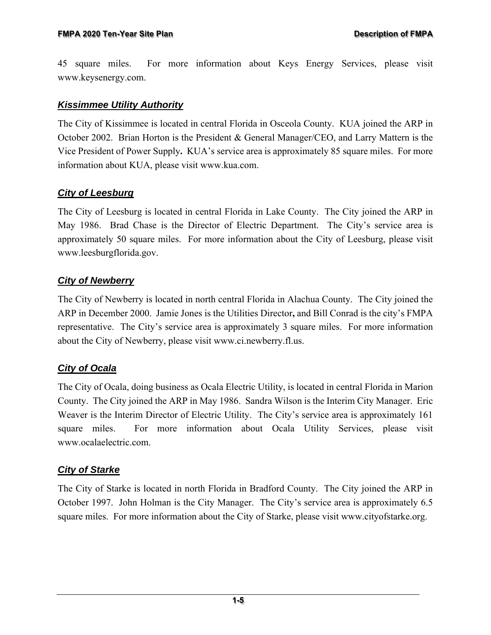45 square miles. For more information about Keys Energy Services, please visit www.keysenergy.com.

#### *Kissimmee Utility Authority*

The City of Kissimmee is located in central Florida in Osceola County. KUA joined the ARP in October 2002. Brian Horton is the President & General Manager/CEO, and Larry Mattern is the Vice President of Power Supply**.** KUA's service area is approximately 85 square miles. For more information about KUA, please visit www.kua.com.

#### *City of Leesburg*

The City of Leesburg is located in central Florida in Lake County. The City joined the ARP in May 1986. Brad Chase is the Director of Electric Department. The City's service area is approximately 50 square miles. For more information about the City of Leesburg, please visit www.leesburgflorida.gov.

#### *City of Newberry*

The City of Newberry is located in north central Florida in Alachua County. The City joined the ARP in December 2000. Jamie Jones is the Utilities Director**,** and Bill Conrad is the city's FMPA representative. The City's service area is approximately 3 square miles. For more information about the City of Newberry, please visit www.ci.newberry.fl.us.

#### *City of Ocala*

The City of Ocala, doing business as Ocala Electric Utility, is located in central Florida in Marion County. The City joined the ARP in May 1986. Sandra Wilson is the Interim City Manager. Eric Weaver is the Interim Director of Electric Utility. The City's service area is approximately 161 square miles. For more information about Ocala Utility Services, please visit www.ocalaelectric.com.

#### *City of Starke*

The City of Starke is located in north Florida in Bradford County. The City joined the ARP in October 1997. John Holman is the City Manager. The City's service area is approximately 6.5 square miles. For more information about the City of Starke, please visit www.cityofstarke.org.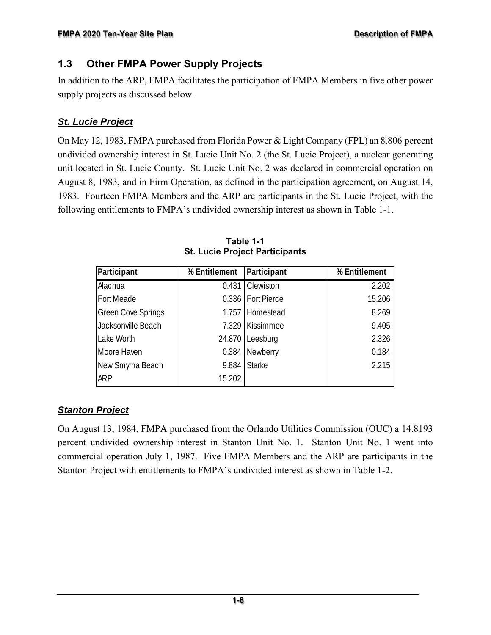### **1.3 Other FMPA Power Supply Projects**

In addition to the ARP, FMPA facilitates the participation of FMPA Members in five other power supply projects as discussed below.

#### *St. Lucie Project*

On May 12, 1983, FMPA purchased from Florida Power & Light Company (FPL) an 8.806 percent undivided ownership interest in St. Lucie Unit No. 2 (the St. Lucie Project), a nuclear generating unit located in St. Lucie County. St. Lucie Unit No. 2 was declared in commercial operation on August 8, 1983, and in Firm Operation, as defined in the participation agreement, on August 14, 1983. Fourteen FMPA Members and the ARP are participants in the St. Lucie Project, with the following entitlements to FMPA's undivided ownership interest as shown in Table 1-1.

| Participant               | % Entitlement | Participant       | % Entitlement |
|---------------------------|---------------|-------------------|---------------|
| Alachua                   | 0.431         | Clewiston         | 2.202         |
| Fort Meade                |               | 0.336 Fort Pierce | 15.206        |
| <b>Green Cove Springs</b> |               | 1.757 Homestead   | 8.269         |
| Jacksonville Beach        |               | 7.329 Kissimmee   | 9.405         |
| Lake Worth                | 24.870        | Leesburg          | 2.326         |
| Moore Haven               |               | 0.384 Newberry    | 0.184         |
| New Smyrna Beach          | 9.884         | <b>Starke</b>     | 2.215         |
| <b>ARP</b>                | 15.202        |                   |               |

**Table 1-1 St. Lucie Project Participants** 

### *Stanton Project*

On August 13, 1984, FMPA purchased from the Orlando Utilities Commission (OUC) a 14.8193 percent undivided ownership interest in Stanton Unit No. 1. Stanton Unit No. 1 went into commercial operation July 1, 1987. Five FMPA Members and the ARP are participants in the Stanton Project with entitlements to FMPA's undivided interest as shown in Table 1-2.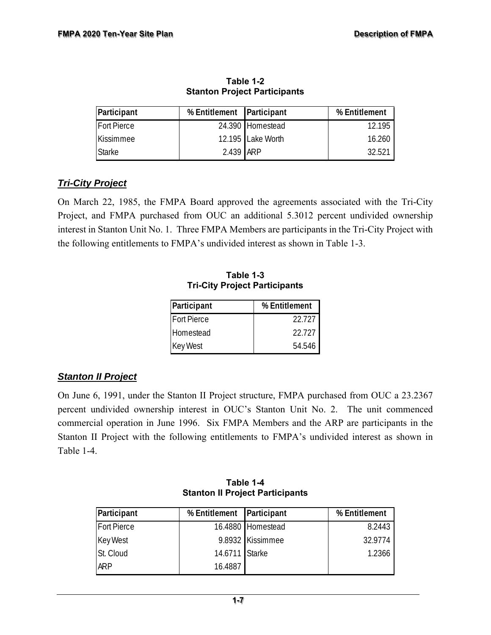| Participant        | % Entitlement Participant |                   | % Entitlement |
|--------------------|---------------------------|-------------------|---------------|
| <b>Fort Pierce</b> |                           | 24.390 Homestead  | 12.195        |
| Kissimmee          |                           | 12.195 Lake Worth | 16.260        |
| <b>Starke</b>      | 2.439 ARP                 |                   | 32.521        |

**Table 1-2 Stanton Project Participants** 

#### *Tri-City Project*

On March 22, 1985, the FMPA Board approved the agreements associated with the Tri-City Project, and FMPA purchased from OUC an additional 5.3012 percent undivided ownership interest in Stanton Unit No. 1. Three FMPA Members are participants in the Tri-City Project with the following entitlements to FMPA's undivided interest as shown in Table 1-3.

**Table 1-3 Tri-City Project Participants** 

| Participant        | % Entitlement |
|--------------------|---------------|
| <b>Fort Pierce</b> | 22.727        |
| Homestead          | 22.727        |
| <b>Key West</b>    | 54.546        |

#### *Stanton II Project*

On June 6, 1991, under the Stanton II Project structure, FMPA purchased from OUC a 23.2367 percent undivided ownership interest in OUC's Stanton Unit No. 2. The unit commenced commercial operation in June 1996. Six FMPA Members and the ARP are participants in the Stanton II Project with the following entitlements to FMPA's undivided interest as shown in Table 1-4.

| Participant        | % Entitlement Participant |                   | % Entitlement |
|--------------------|---------------------------|-------------------|---------------|
| <b>Fort Pierce</b> |                           | 16.4880 Homestead | 8.2443        |
| <b>Key West</b>    |                           | 9.8932 Kissimmee  | 32.9774       |
| St. Cloud          | 14.6711 Starke            |                   | 1.2366        |
| <b>ARP</b>         | 16.4887                   |                   |               |

**Table 1-4 Stanton II Project Participants**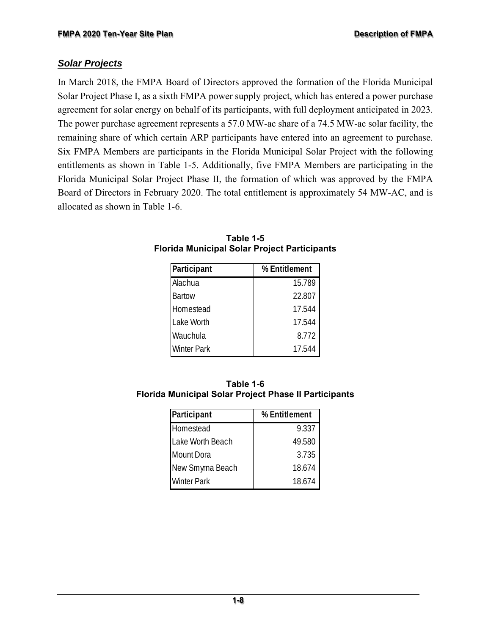#### *Solar Projects*

In March 2018, the FMPA Board of Directors approved the formation of the Florida Municipal Solar Project Phase I, as a sixth FMPA power supply project, which has entered a power purchase agreement for solar energy on behalf of its participants, with full deployment anticipated in 2023. The power purchase agreement represents a 57.0 MW-ac share of a 74.5 MW-ac solar facility, the remaining share of which certain ARP participants have entered into an agreement to purchase. Six FMPA Members are participants in the Florida Municipal Solar Project with the following entitlements as shown in Table 1-5. Additionally, five FMPA Members are participating in the Florida Municipal Solar Project Phase II, the formation of which was approved by the FMPA Board of Directors in February 2020. The total entitlement is approximately 54 MW-AC, and is allocated as shown in Table 1-6.

| Participant        | % Entitlement |
|--------------------|---------------|
| Alachua            | 15.789        |
| <b>Bartow</b>      | 22.807        |
| Homestead          | 17.544        |
| Lake Worth         | 17.544        |
| Wauchula           | 8.772         |
| <b>Winter Park</b> | 17.544        |

**Table 1-5 Florida Municipal Solar Project Participants** 

| Table 1-6                                                    |
|--------------------------------------------------------------|
| <b>Florida Municipal Solar Project Phase II Participants</b> |

| Participant        | % Entitlement |
|--------------------|---------------|
| Homestead          | 9.337         |
| Lake Worth Beach   | 49.580        |
| <b>Mount Dora</b>  | 3.735         |
| New Smyrna Beach   | 18.674        |
| <b>Winter Park</b> | 18.674        |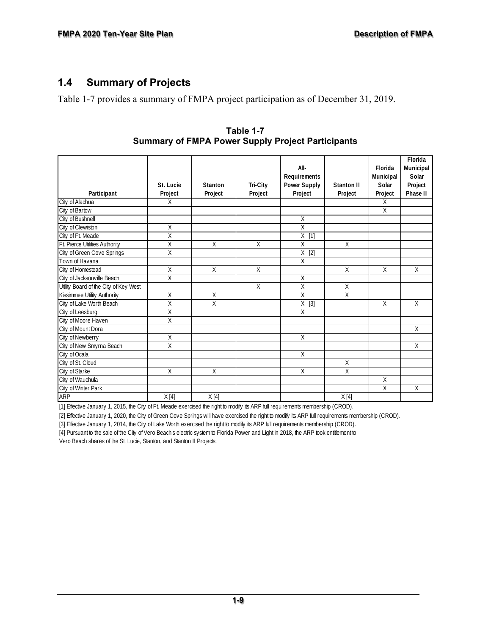#### **1.4 Summary of Projects**

Table 1-7 provides a summary of FMPA project participation as of December 31, 2019.

|                                       | St. Lucie               | Stanton | Tri-City | All-<br>Requirements<br><b>Power Supply</b> | Stanton II     | Florida<br>Municipal<br>Solar | Florida<br>Municipal<br>Solar<br>Project |
|---------------------------------------|-------------------------|---------|----------|---------------------------------------------|----------------|-------------------------------|------------------------------------------|
| Participant                           | Project                 | Project | Project  | Project                                     | Project        | Project                       | Phase II                                 |
| City of Alachua                       | $\overline{X}$          |         |          |                                             |                | X                             |                                          |
| City of Bartow                        |                         |         |          |                                             |                | $\mathsf{X}$                  |                                          |
| City of Bushnell                      |                         |         |          | Χ                                           |                |                               |                                          |
| City of Clewiston                     | X                       |         |          | $\mathsf{X}$                                |                |                               |                                          |
| City of Ft. Meade                     | $\overline{\mathsf{x}}$ |         |          | $X$ [1]                                     |                |                               |                                          |
| Ft. Pierce Utilities Authority        | X                       | X       | X        | X                                           | $\overline{X}$ |                               |                                          |
| City of Green Cove Springs            | X                       |         |          | Χ<br>$[2]$                                  |                |                               |                                          |
| Town of Havana                        |                         |         |          | $\overline{X}$                              |                |                               |                                          |
| City of Homestead                     | X                       | X       | X        |                                             | X              | X                             | X                                        |
| City of Jacksonville Beach            | $\overline{X}$          |         |          | Χ                                           |                |                               |                                          |
| Utility Board of the City of Key West |                         |         | X        | X                                           | X              |                               |                                          |
| Kissimmee Utility Authority           | Χ                       | Χ       |          | X                                           | X              |                               |                                          |
| City of Lake Worth Beach              | X                       | X       |          | $X$ [3]                                     |                | X                             | X                                        |
| City of Leesburg                      | Χ                       |         |          | $\overline{X}$                              |                |                               |                                          |
| City of Moore Haven                   | X                       |         |          |                                             |                |                               |                                          |
| City of Mount Dora                    |                         |         |          |                                             |                |                               | $\overline{X}$                           |
| City of Newberry                      | X                       |         |          | $\times$                                    |                |                               |                                          |
| City of New Smyrna Beach              | Χ                       |         |          |                                             |                |                               | Χ                                        |
| City of Ocala                         |                         |         |          | X                                           |                |                               |                                          |
| City of St. Cloud                     |                         |         |          |                                             | X              |                               |                                          |
| City of Starke                        | X                       | X       |          | X                                           | X              |                               |                                          |
| City of Wauchula                      |                         |         |          |                                             |                | Χ                             |                                          |
| City of Winter Park                   |                         |         |          |                                             |                | $\overline{X}$                | $\overline{X}$                           |
| <b>ARP</b>                            | X[4]                    | X[4]    |          |                                             | X[4]           |                               |                                          |

**Table 1-7 Summary of FMPA Power Supply Project Participants**

[1] Effective January 1, 2015, the City of Ft. Meade exercised the right to modify its ARP full requirements membership (CROD).

[2] Effective January 1, 2020, the City of Green Cove Springs will have exercised the right to modify its ARP full requirements membership (CROD).

[3] Effective January 1, 2014, the City of Lake Worth exercised the right to modify its ARP full requirements membership (CROD).

[4] Pursuant to the sale of the City of Vero Beach's electric system to Florida Power and Light in 2018, the ARP took entitlement to

Vero Beach shares of the St. Lucie, Stanton, and Stanton II Projects.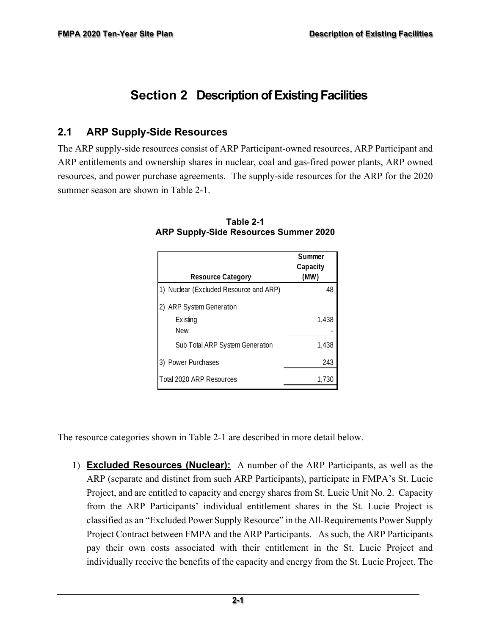# **Section 2 Description of Existing Facilities**

#### **2.1 ARP Supply-Side Resources**

The ARP supply-side resources consist of ARP Participant-owned resources, ARP Participant and ARP entitlements and ownership shares in nuclear, coal and gas-fired power plants, ARP owned resources, and power purchase agreements. The supply-side resources for the ARP for the 2020 summer season are shown in Table 2-1.

|                                        | Summer   |
|----------------------------------------|----------|
|                                        | Capacity |
| <b>Resource Category</b>               | (MW)     |
| 1) Nuclear (Excluded Resource and ARP) | 48       |
| <b>ARP System Generation</b>           |          |
| Existing                               | 1,438    |
| <b>New</b>                             |          |
| Sub Total ARP System Generation        | 1,438    |
| 3) Power Purchases                     | 243      |
| Total 2020 ARP Resources               | 1,730    |

**Table 2-1 ARP Supply-Side Resources Summer 2020** 

The resource categories shown in Table 2-1 are described in more detail below.

1) **Excluded Resources (Nuclear):** A number of the ARP Participants, as well as the ARP (separate and distinct from such ARP Participants), participate in FMPA's St. Lucie Project, and are entitled to capacity and energy shares from St. Lucie Unit No. 2. Capacity from the ARP Participants' individual entitlement shares in the St. Lucie Project is classified as an "Excluded Power Supply Resource" in the All-Requirements Power Supply Project Contract between FMPA and the ARP Participants. As such, the ARP Participants pay their own costs associated with their entitlement in the St. Lucie Project and individually receive the benefits of the capacity and energy from the St. Lucie Project. The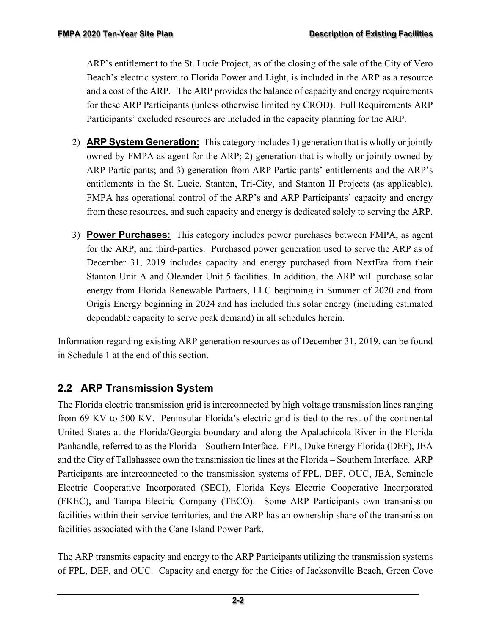ARP's entitlement to the St. Lucie Project, as of the closing of the sale of the City of Vero Beach's electric system to Florida Power and Light, is included in the ARP as a resource and a cost of the ARP. The ARP provides the balance of capacity and energy requirements for these ARP Participants (unless otherwise limited by CROD). Full Requirements ARP Participants' excluded resources are included in the capacity planning for the ARP.

- 2) **ARP System Generation:** This category includes 1) generation that is wholly or jointly owned by FMPA as agent for the ARP; 2) generation that is wholly or jointly owned by ARP Participants; and 3) generation from ARP Participants' entitlements and the ARP's entitlements in the St. Lucie, Stanton, Tri-City, and Stanton II Projects (as applicable). FMPA has operational control of the ARP's and ARP Participants' capacity and energy from these resources, and such capacity and energy is dedicated solely to serving the ARP.
- 3) **Power Purchases:** This category includes power purchases between FMPA, as agent for the ARP, and third-parties. Purchased power generation used to serve the ARP as of December 31, 2019 includes capacity and energy purchased from NextEra from their Stanton Unit A and Oleander Unit 5 facilities. In addition, the ARP will purchase solar energy from Florida Renewable Partners, LLC beginning in Summer of 2020 and from Origis Energy beginning in 2024 and has included this solar energy (including estimated dependable capacity to serve peak demand) in all schedules herein.

Information regarding existing ARP generation resources as of December 31, 2019, can be found in Schedule 1 at the end of this section.

# **2.2 ARP Transmission System**

The Florida electric transmission grid is interconnected by high voltage transmission lines ranging from 69 KV to 500 KV. Peninsular Florida's electric grid is tied to the rest of the continental United States at the Florida/Georgia boundary and along the Apalachicola River in the Florida Panhandle, referred to as the Florida – Southern Interface. FPL, Duke Energy Florida (DEF), JEA and the City of Tallahassee own the transmission tie lines at the Florida – Southern Interface. ARP Participants are interconnected to the transmission systems of FPL, DEF, OUC, JEA, Seminole Electric Cooperative Incorporated (SECI), Florida Keys Electric Cooperative Incorporated (FKEC), and Tampa Electric Company (TECO). Some ARP Participants own transmission facilities within their service territories, and the ARP has an ownership share of the transmission facilities associated with the Cane Island Power Park.

The ARP transmits capacity and energy to the ARP Participants utilizing the transmission systems of FPL, DEF, and OUC. Capacity and energy for the Cities of Jacksonville Beach, Green Cove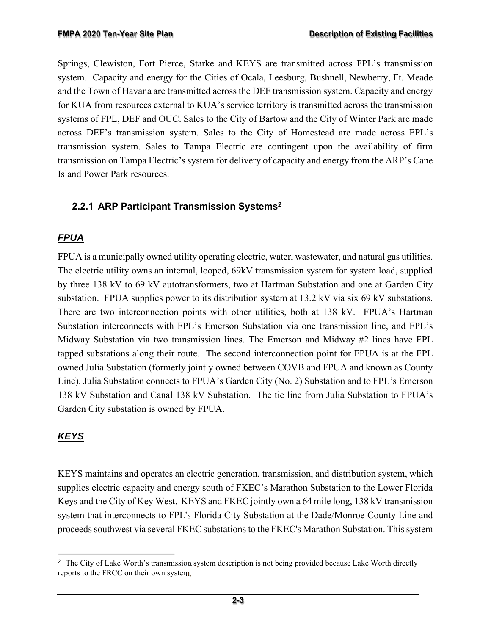Springs, Clewiston, Fort Pierce, Starke and KEYS are transmitted across FPL's transmission system. Capacity and energy for the Cities of Ocala, Leesburg, Bushnell, Newberry, Ft. Meade and the Town of Havana are transmitted across the DEF transmission system. Capacity and energy for KUA from resources external to KUA's service territory is transmitted across the transmission systems of FPL, DEF and OUC. Sales to the City of Bartow and the City of Winter Park are made across DEF's transmission system. Sales to the City of Homestead are made across FPL's transmission system. Sales to Tampa Electric are contingent upon the availability of firm transmission on Tampa Electric's system for delivery of capacity and energy from the ARP's Cane Island Power Park resources.

#### **2.2.1 ARP Participant Transmission Systems2**

### *FPUA*

FPUA is a municipally owned utility operating electric, water, wastewater, and natural gas utilities. The electric utility owns an internal, looped, 69kV transmission system for system load, supplied by three 138 kV to 69 kV autotransformers, two at Hartman Substation and one at Garden City substation. FPUA supplies power to its distribution system at 13.2 kV via six 69 kV substations. There are two interconnection points with other utilities, both at 138 kV. FPUA's Hartman Substation interconnects with FPL's Emerson Substation via one transmission line, and FPL's Midway Substation via two transmission lines. The Emerson and Midway #2 lines have FPL tapped substations along their route. The second interconnection point for FPUA is at the FPL owned Julia Substation (formerly jointly owned between COVB and FPUA and known as County Line). Julia Substation connects to FPUA's Garden City (No. 2) Substation and to FPL's Emerson 138 kV Substation and Canal 138 kV Substation. The tie line from Julia Substation to FPUA's Garden City substation is owned by FPUA.

### *KEYS*

KEYS maintains and operates an electric generation, transmission, and distribution system, which supplies electric capacity and energy south of FKEC's Marathon Substation to the Lower Florida Keys and the City of Key West. KEYS and FKEC jointly own a 64 mile long, 138 kV transmission system that interconnects to FPL's Florida City Substation at the Dade/Monroe County Line and proceeds southwest via several FKEC substations to the FKEC's Marathon Substation. This system

<sup>&</sup>lt;sup>2</sup> The City of Lake Worth's transmission system description is not being provided because Lake Worth directly reports to the FRCC on their own system.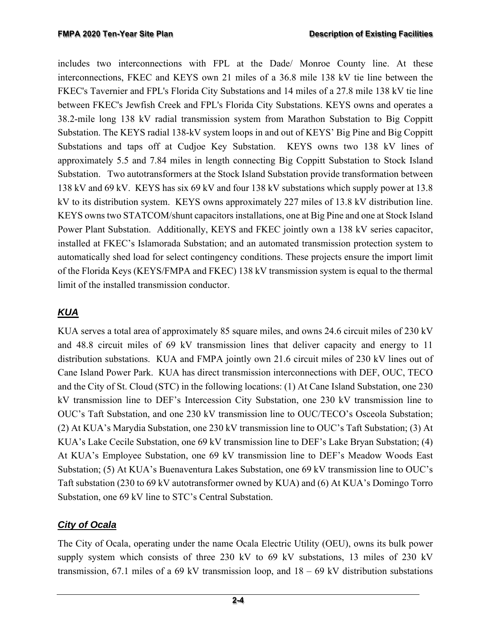includes two interconnections with FPL at the Dade/ Monroe County line. At these interconnections, FKEC and KEYS own 21 miles of a 36.8 mile 138 kV tie line between the FKEC's Tavernier and FPL's Florida City Substations and 14 miles of a 27.8 mile 138 kV tie line between FKEC's Jewfish Creek and FPL's Florida City Substations. KEYS owns and operates a 38.2-mile long 138 kV radial transmission system from Marathon Substation to Big Coppitt Substation. The KEYS radial 138-kV system loops in and out of KEYS' Big Pine and Big Coppitt Substations and taps off at Cudjoe Key Substation. KEYS owns two 138 kV lines of approximately 5.5 and 7.84 miles in length connecting Big Coppitt Substation to Stock Island Substation. Two autotransformers at the Stock Island Substation provide transformation between 138 kV and 69 kV. KEYS has six 69 kV and four 138 kV substations which supply power at 13.8 kV to its distribution system. KEYS owns approximately 227 miles of 13.8 kV distribution line. KEYS owns two STATCOM/shunt capacitors installations, one at Big Pine and one at Stock Island Power Plant Substation. Additionally, KEYS and FKEC jointly own a 138 kV series capacitor, installed at FKEC's Islamorada Substation; and an automated transmission protection system to automatically shed load for select contingency conditions. These projects ensure the import limit of the Florida Keys (KEYS/FMPA and FKEC) 138 kV transmission system is equal to the thermal limit of the installed transmission conductor.

### *KUA*

KUA serves a total area of approximately 85 square miles, and owns 24.6 circuit miles of 230 kV and 48.8 circuit miles of 69 kV transmission lines that deliver capacity and energy to 11 distribution substations. KUA and FMPA jointly own 21.6 circuit miles of 230 kV lines out of Cane Island Power Park. KUA has direct transmission interconnections with DEF, OUC, TECO and the City of St. Cloud (STC) in the following locations: (1) At Cane Island Substation, one 230 kV transmission line to DEF's Intercession City Substation, one 230 kV transmission line to OUC's Taft Substation, and one 230 kV transmission line to OUC/TECO's Osceola Substation; (2) At KUA's Marydia Substation, one 230 kV transmission line to OUC's Taft Substation; (3) At KUA's Lake Cecile Substation, one 69 kV transmission line to DEF's Lake Bryan Substation; (4) At KUA's Employee Substation, one 69 kV transmission line to DEF's Meadow Woods East Substation; (5) At KUA's Buenaventura Lakes Substation, one 69 kV transmission line to OUC's Taft substation (230 to 69 kV autotransformer owned by KUA) and (6) At KUA's Domingo Torro Substation, one 69 kV line to STC's Central Substation.

### *City of Ocala*

The City of Ocala, operating under the name Ocala Electric Utility (OEU), owns its bulk power supply system which consists of three 230 kV to 69 kV substations, 13 miles of 230 kV transmission, 67.1 miles of a 69 kV transmission loop, and  $18 - 69$  kV distribution substations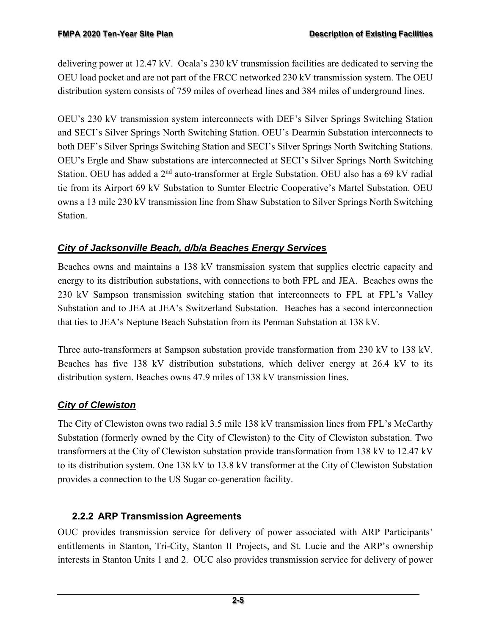delivering power at 12.47 kV. Ocala's 230 kV transmission facilities are dedicated to serving the OEU load pocket and are not part of the FRCC networked 230 kV transmission system. The OEU distribution system consists of 759 miles of overhead lines and 384 miles of underground lines.

OEU's 230 kV transmission system interconnects with DEF's Silver Springs Switching Station and SECI's Silver Springs North Switching Station. OEU's Dearmin Substation interconnects to both DEF's Silver Springs Switching Station and SECI's Silver Springs North Switching Stations. OEU's Ergle and Shaw substations are interconnected at SECI's Silver Springs North Switching Station. OEU has added a 2<sup>nd</sup> auto-transformer at Ergle Substation. OEU also has a 69 kV radial tie from its Airport 69 kV Substation to Sumter Electric Cooperative's Martel Substation. OEU owns a 13 mile 230 kV transmission line from Shaw Substation to Silver Springs North Switching Station.

#### *City of Jacksonville Beach, d/b/a Beaches Energy Services*

Beaches owns and maintains a 138 kV transmission system that supplies electric capacity and energy to its distribution substations, with connections to both FPL and JEA. Beaches owns the 230 kV Sampson transmission switching station that interconnects to FPL at FPL's Valley Substation and to JEA at JEA's Switzerland Substation. Beaches has a second interconnection that ties to JEA's Neptune Beach Substation from its Penman Substation at 138 kV.

Three auto-transformers at Sampson substation provide transformation from 230 kV to 138 kV. Beaches has five 138 kV distribution substations, which deliver energy at 26.4 kV to its distribution system. Beaches owns 47.9 miles of 138 kV transmission lines.

### *City of Clewiston*

The City of Clewiston owns two radial 3.5 mile 138 kV transmission lines from FPL's McCarthy Substation (formerly owned by the City of Clewiston) to the City of Clewiston substation. Two transformers at the City of Clewiston substation provide transformation from 138 kV to 12.47 kV to its distribution system. One 138 kV to 13.8 kV transformer at the City of Clewiston Substation provides a connection to the US Sugar co-generation facility.

#### **2.2.2 ARP Transmission Agreements**

OUC provides transmission service for delivery of power associated with ARP Participants' entitlements in Stanton, Tri-City, Stanton II Projects, and St. Lucie and the ARP's ownership interests in Stanton Units 1 and 2. OUC also provides transmission service for delivery of power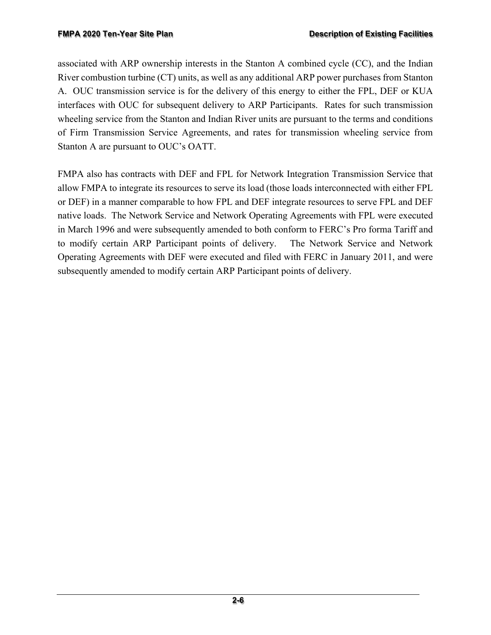associated with ARP ownership interests in the Stanton A combined cycle (CC), and the Indian River combustion turbine (CT) units, as well as any additional ARP power purchases from Stanton A. OUC transmission service is for the delivery of this energy to either the FPL, DEF or KUA interfaces with OUC for subsequent delivery to ARP Participants. Rates for such transmission wheeling service from the Stanton and Indian River units are pursuant to the terms and conditions of Firm Transmission Service Agreements, and rates for transmission wheeling service from Stanton A are pursuant to OUC's OATT.

FMPA also has contracts with DEF and FPL for Network Integration Transmission Service that allow FMPA to integrate its resources to serve its load (those loads interconnected with either FPL or DEF) in a manner comparable to how FPL and DEF integrate resources to serve FPL and DEF native loads. The Network Service and Network Operating Agreements with FPL were executed in March 1996 and were subsequently amended to both conform to FERC's Pro forma Tariff and to modify certain ARP Participant points of delivery. The Network Service and Network Operating Agreements with DEF were executed and filed with FERC in January 2011, and were subsequently amended to modify certain ARP Participant points of delivery.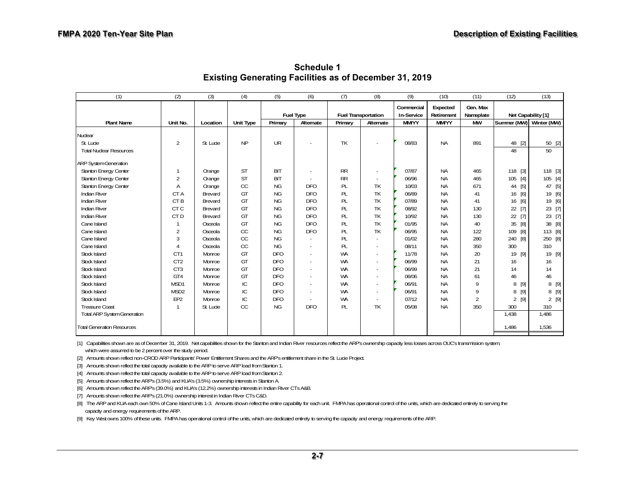| (1)                                | (2)              | (3)       | (4)              | (5)        | (6)              | (7)                        | (8)                      | (9)        | (10)       | (11)           | (12)                    | (13)        |
|------------------------------------|------------------|-----------|------------------|------------|------------------|----------------------------|--------------------------|------------|------------|----------------|-------------------------|-------------|
|                                    |                  |           |                  |            |                  |                            |                          | Commercial | Expected   | Gen. Max       |                         |             |
|                                    |                  |           |                  |            | <b>Fuel Type</b> | <b>Fuel Transportation</b> |                          | In-Service | Retirement | Nameplate      | Net Capability [1]      |             |
| <b>Plant Name</b>                  | Unit No.         | Location  | <b>Unit Type</b> | Primary    | Alternate        | Primary                    | Alternate                | MM/YY      | MM/YY      | <b>MW</b>      | Summer (MW) Winter (MW) |             |
| Nuclear                            |                  |           |                  |            |                  |                            |                          |            |            |                |                         |             |
| St. Lucie                          | $\overline{2}$   | St. Lucie | <b>NP</b>        | UR         |                  | TK                         |                          | 08/83      | <b>NA</b>  | 891            | 48 [2]                  | 50 [2]      |
| <b>Total Nuclear Resources</b>     |                  |           |                  |            |                  |                            |                          |            |            |                | 48                      | 50          |
| <b>ARP System Generation</b>       |                  |           |                  |            |                  |                            |                          |            |            |                |                         |             |
| <b>Stanton Energy Center</b>       | 1                | Orange    | ST               | <b>BIT</b> |                  | <b>RR</b>                  |                          | 07/87      | <b>NA</b>  | 465            | 118<br>$[3]$            | 118 [3]     |
| Stanton Energy Center              | $\overline{2}$   | Orange    | <b>ST</b>        | <b>BIT</b> |                  | <b>RR</b>                  |                          | 06/96      | ΝA         | 465            | 105<br>$[4]$            | 105 [4]     |
| Stanton Energy Center              | A                | Orange    | CC               | <b>NG</b>  | <b>DFO</b>       | PL                         | TK                       | 10/03      | <b>NA</b>  | 671            | [5]<br>44               | $[5]$<br>47 |
| Indian River                       | CTA              | Brevard   | GT               | NG         | <b>DFO</b>       | PL                         | TK                       | 06/89      | <b>NA</b>  | 41             | $[6]$<br>16             | 19 [6]      |
| <b>Indian River</b>                | CT <sub>B</sub>  | Brevard   | GT               | NG         | <b>DFO</b>       | PL                         | TK                       | 07/89      | <b>NA</b>  | 41             | $[6]$<br>16             | 19<br>$[6]$ |
| <b>Indian River</b>                | CT <sub>C</sub>  | Brevard   | GT               | <b>NG</b>  | <b>DFO</b>       | PL                         | TK                       | 08/92      | ΝA         | 130            | $[7]$<br>22             | 23 [7]      |
| <b>Indian River</b>                | CT <sub>D</sub>  | Brevard   | GT               | NG         | <b>DFO</b>       | PL                         | TK                       | 10/92      | <b>NA</b>  | 130            | $[7]$<br>22             | 23 [7]      |
| Cane Island                        |                  | Osceola   | GT               | <b>NG</b>  | <b>DFO</b>       | PL                         | TK                       | 01/95      | <b>NA</b>  | 40             | [8]<br>35               | 38<br>[8]   |
| Cane Island                        | $\overline{2}$   | Osceola   | CC               | <b>NG</b>  | <b>DFO</b>       | PL                         | TK                       | 06/95      | ΝA         | 122            | [8]<br>109              | 113 [8]     |
| Cane Island                        | 3                | Osceola   | CC               | <b>NG</b>  |                  | PL                         |                          | 01/02      | <b>NA</b>  | 280            | 240                     | 250 [8]     |
| Cane Island                        | 4                | Osceola   | CC               | <b>NG</b>  |                  | PL                         |                          | 08/11      | <b>NA</b>  | 350            | 300                     | 310         |
| Stock Island                       | CT <sub>1</sub>  | Monroe    | GT               | <b>DFO</b> |                  | <b>WA</b>                  |                          | 11/78      | ΝA         | 20             | [9]<br>19               | 19 [9]      |
| Stock Island                       | CT <sub>2</sub>  | Monroe    | GT               | <b>DFO</b> |                  | <b>WA</b>                  |                          | 06/99      | <b>NA</b>  | 21             | 16                      | 16          |
| Stock Island                       | CT <sub>3</sub>  | Monroe    | GT               | <b>DFO</b> |                  | <b>WA</b>                  |                          | 06/99      | <b>NA</b>  | 21             | 14                      | 14          |
| Stock Island                       | GT4              | Monroe    | GT               | <b>DFO</b> |                  | <b>WA</b>                  |                          | 06/06      | <b>NA</b>  | 61             | 46                      | 46          |
| Stock Island                       | MSD1             | Monroe    | IC               | <b>DFO</b> |                  | <b>WA</b>                  |                          | 06/91      | <b>NA</b>  | 9              | $[9]$<br>8              | 8 [9]       |
| Stock Island                       | MSD <sub>2</sub> | Monroe    | IC               | <b>DFO</b> |                  | <b>WA</b>                  | $\overline{\phantom{a}}$ | 06/91      | <b>NA</b>  | 9              | [9]<br>8                | 8 [9]       |
| Stock Island                       | EP <sub>2</sub>  | Monroe    | IC               | <b>DFO</b> |                  | WA                         |                          | 07/12      | ΝA         | $\overline{2}$ | $[9]$<br>$\overline{2}$ | $2^{[9]}$   |
| <b>Treasure Coast</b>              | $\mathbf{1}$     | St. Lucie | <b>CC</b>        | <b>NG</b>  | <b>DFO</b>       | PL                         | TK                       | 05/08      | <b>NA</b>  | 350            | 300                     | 310         |
| <b>Total ARP System Generation</b> |                  |           |                  |            |                  |                            |                          |            |            |                | 1,438                   | 1,486       |
| <b>Total Generation Resources</b>  |                  |           |                  |            |                  |                            |                          |            |            |                | 1,486                   | 1,536       |

**Schedule 1 Existing Generating Facilities as of December 31, 2019** 

which were assumed to be 2 percent over the study period. [1] Capabilities shown are as of December 31, 2019. Net capabilities shown for the Stanton and Indian River resources reflect the ARP's ownership capacity less losses across OUC's transmission system,

[2] Amounts shown reflect non-CROD ARP Participants' Power Entitlement Shares and the ARP's entitlement share in the St. Lucie Project.

[3] Amounts shown reflect the total capacity available to the ARP to serve ARP load from Stanton 1.

[4] Amounts shown reflect the total capacity available to the ARP to serve ARP load from Stanton 2.

[5] Amounts shown reflect the ARP's (3.5%) and KUA's (3.5%) ownership interests in Stanton A.

[6] Amounts shown reflect the ARP's (39.0%) and KUA's (12.2%) ownership interests in Indian River CTs A&B.

[7] Amounts shown reflect the ARP's (21.0%) ownership interest in Indian River CTs C&D.

[8] The ARP and KUA each own 50% of Cane Island Units 1-3. Amounts shown reflect the entire capability for each unit. FMPA has operational control of the units, which are dedicated entirely to serving the capacity and energy requirements of the ARP.

[9] Key West owns 100% of these units. FMPA has operational control of the units, which are dedicated entirely to serving the capacity and energy requirements of the ARP.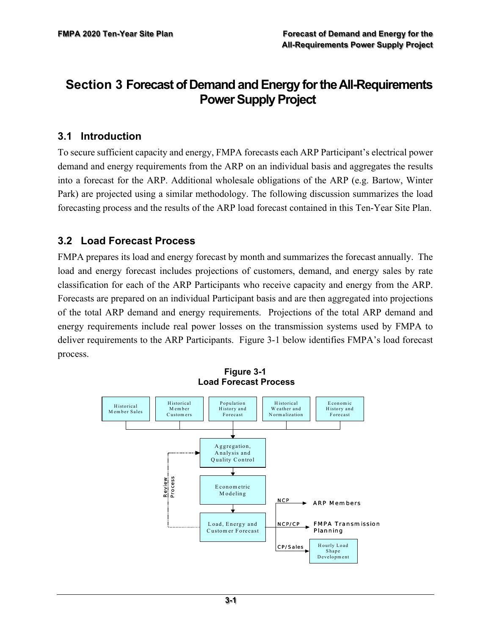# **Section 3 Forecast of Demand and Energy for the All-Requirements Power Supply Project**

#### **3.1 Introduction**

To secure sufficient capacity and energy, FMPA forecasts each ARP Participant's electrical power demand and energy requirements from the ARP on an individual basis and aggregates the results into a forecast for the ARP. Additional wholesale obligations of the ARP (e.g. Bartow, Winter Park) are projected using a similar methodology. The following discussion summarizes the load forecasting process and the results of the ARP load forecast contained in this Ten-Year Site Plan.

#### **3.2 Load Forecast Process**

FMPA prepares its load and energy forecast by month and summarizes the forecast annually. The load and energy forecast includes projections of customers, demand, and energy sales by rate classification for each of the ARP Participants who receive capacity and energy from the ARP. Forecasts are prepared on an individual Participant basis and are then aggregated into projections of the total ARP demand and energy requirements. Projections of the total ARP demand and energy requirements include real power losses on the transmission systems used by FMPA to deliver requirements to the ARP Participants. Figure 3-1 below identifies FMPA's load forecast process.



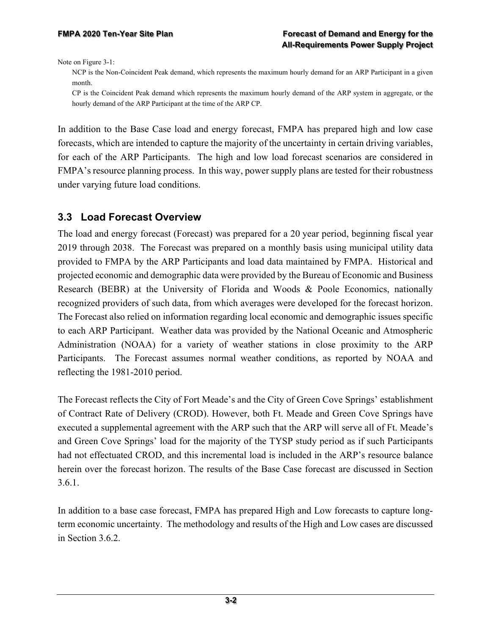Note on Figure 3-1:

NCP is the Non-Coincident Peak demand, which represents the maximum hourly demand for an ARP Participant in a given month.

CP is the Coincident Peak demand which represents the maximum hourly demand of the ARP system in aggregate, or the hourly demand of the ARP Participant at the time of the ARP CP.

In addition to the Base Case load and energy forecast, FMPA has prepared high and low case forecasts, which are intended to capture the majority of the uncertainty in certain driving variables, for each of the ARP Participants. The high and low load forecast scenarios are considered in FMPA's resource planning process. In this way, power supply plans are tested for their robustness under varying future load conditions.

#### **3.3 Load Forecast Overview**

The load and energy forecast (Forecast) was prepared for a 20 year period, beginning fiscal year 2019 through 2038. The Forecast was prepared on a monthly basis using municipal utility data provided to FMPA by the ARP Participants and load data maintained by FMPA. Historical and projected economic and demographic data were provided by the Bureau of Economic and Business Research (BEBR) at the University of Florida and Woods & Poole Economics, nationally recognized providers of such data, from which averages were developed for the forecast horizon. The Forecast also relied on information regarding local economic and demographic issues specific to each ARP Participant. Weather data was provided by the National Oceanic and Atmospheric Administration (NOAA) for a variety of weather stations in close proximity to the ARP Participants. The Forecast assumes normal weather conditions, as reported by NOAA and reflecting the 1981-2010 period.

The Forecast reflects the City of Fort Meade's and the City of Green Cove Springs' establishment of Contract Rate of Delivery (CROD). However, both Ft. Meade and Green Cove Springs have executed a supplemental agreement with the ARP such that the ARP will serve all of Ft. Meade's and Green Cove Springs' load for the majority of the TYSP study period as if such Participants had not effectuated CROD, and this incremental load is included in the ARP's resource balance herein over the forecast horizon. The results of the Base Case forecast are discussed in Section 3.6.1.

In addition to a base case forecast, FMPA has prepared High and Low forecasts to capture longterm economic uncertainty. The methodology and results of the High and Low cases are discussed in Section 3.6.2.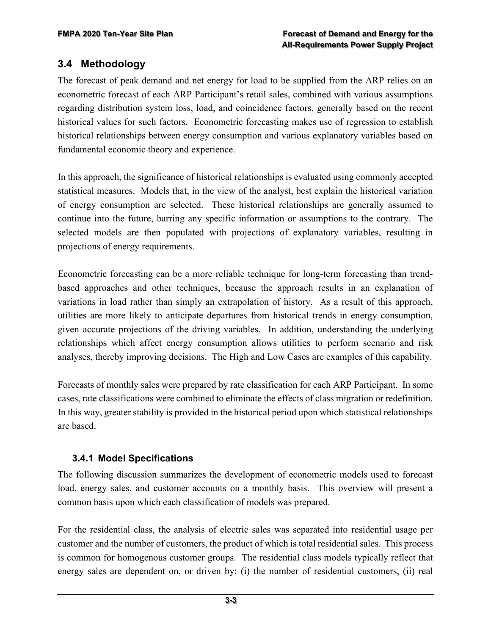### **3.4 Methodology**

The forecast of peak demand and net energy for load to be supplied from the ARP relies on an econometric forecast of each ARP Participant's retail sales, combined with various assumptions regarding distribution system loss, load, and coincidence factors, generally based on the recent historical values for such factors. Econometric forecasting makes use of regression to establish historical relationships between energy consumption and various explanatory variables based on fundamental economic theory and experience.

In this approach, the significance of historical relationships is evaluated using commonly accepted statistical measures. Models that, in the view of the analyst, best explain the historical variation of energy consumption are selected. These historical relationships are generally assumed to continue into the future, barring any specific information or assumptions to the contrary. The selected models are then populated with projections of explanatory variables, resulting in projections of energy requirements.

Econometric forecasting can be a more reliable technique for long-term forecasting than trendbased approaches and other techniques, because the approach results in an explanation of variations in load rather than simply an extrapolation of history. As a result of this approach, utilities are more likely to anticipate departures from historical trends in energy consumption, given accurate projections of the driving variables. In addition, understanding the underlying relationships which affect energy consumption allows utilities to perform scenario and risk analyses, thereby improving decisions. The High and Low Cases are examples of this capability.

Forecasts of monthly sales were prepared by rate classification for each ARP Participant. In some cases, rate classifications were combined to eliminate the effects of class migration or redefinition. In this way, greater stability is provided in the historical period upon which statistical relationships are based.

### **3.4.1 Model Specifications**

The following discussion summarizes the development of econometric models used to forecast load, energy sales, and customer accounts on a monthly basis. This overview will present a common basis upon which each classification of models was prepared.

For the residential class, the analysis of electric sales was separated into residential usage per customer and the number of customers, the product of which is total residential sales. This process is common for homogenous customer groups. The residential class models typically reflect that energy sales are dependent on, or driven by: (i) the number of residential customers, (ii) real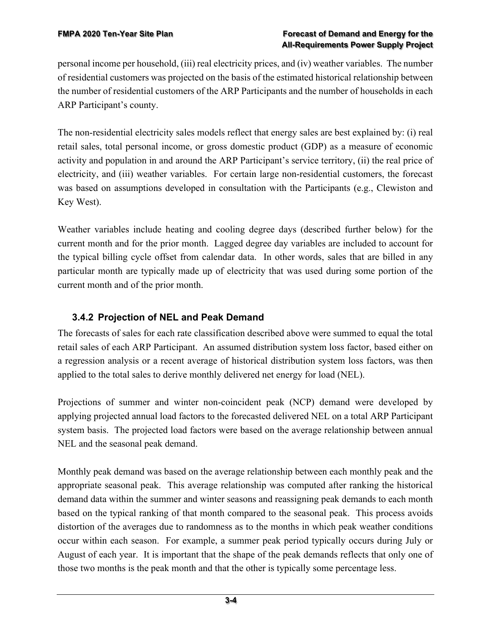personal income per household, (iii) real electricity prices, and (iv) weather variables. The number of residential customers was projected on the basis of the estimated historical relationship between the number of residential customers of the ARP Participants and the number of households in each ARP Participant's county.

The non-residential electricity sales models reflect that energy sales are best explained by: (i) real retail sales, total personal income, or gross domestic product (GDP) as a measure of economic activity and population in and around the ARP Participant's service territory, (ii) the real price of electricity, and (iii) weather variables. For certain large non-residential customers, the forecast was based on assumptions developed in consultation with the Participants (e.g., Clewiston and Key West).

Weather variables include heating and cooling degree days (described further below) for the current month and for the prior month. Lagged degree day variables are included to account for the typical billing cycle offset from calendar data. In other words, sales that are billed in any particular month are typically made up of electricity that was used during some portion of the current month and of the prior month.

### **3.4.2 Projection of NEL and Peak Demand**

The forecasts of sales for each rate classification described above were summed to equal the total retail sales of each ARP Participant. An assumed distribution system loss factor, based either on a regression analysis or a recent average of historical distribution system loss factors, was then applied to the total sales to derive monthly delivered net energy for load (NEL).

Projections of summer and winter non-coincident peak (NCP) demand were developed by applying projected annual load factors to the forecasted delivered NEL on a total ARP Participant system basis. The projected load factors were based on the average relationship between annual NEL and the seasonal peak demand.

Monthly peak demand was based on the average relationship between each monthly peak and the appropriate seasonal peak. This average relationship was computed after ranking the historical demand data within the summer and winter seasons and reassigning peak demands to each month based on the typical ranking of that month compared to the seasonal peak. This process avoids distortion of the averages due to randomness as to the months in which peak weather conditions occur within each season. For example, a summer peak period typically occurs during July or August of each year. It is important that the shape of the peak demands reflects that only one of those two months is the peak month and that the other is typically some percentage less.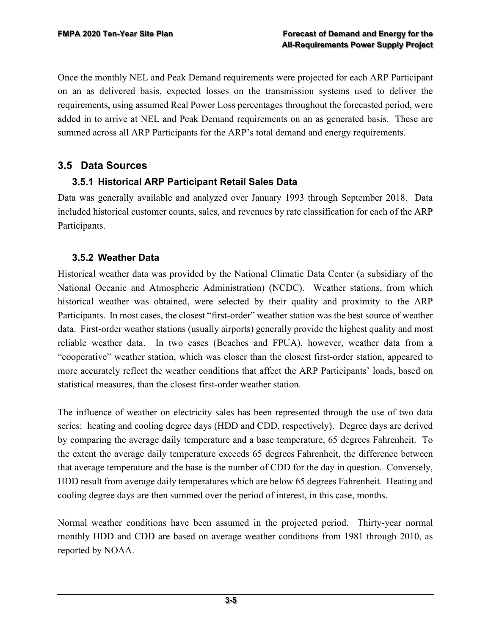Once the monthly NEL and Peak Demand requirements were projected for each ARP Participant on an as delivered basis, expected losses on the transmission systems used to deliver the requirements, using assumed Real Power Loss percentages throughout the forecasted period, were added in to arrive at NEL and Peak Demand requirements on an as generated basis. These are summed across all ARP Participants for the ARP's total demand and energy requirements.

#### **3.5 Data Sources**

#### **3.5.1 Historical ARP Participant Retail Sales Data**

Data was generally available and analyzed over January 1993 through September 2018. Data included historical customer counts, sales, and revenues by rate classification for each of the ARP Participants.

#### **3.5.2 Weather Data**

Historical weather data was provided by the National Climatic Data Center (a subsidiary of the National Oceanic and Atmospheric Administration) (NCDC). Weather stations, from which historical weather was obtained, were selected by their quality and proximity to the ARP Participants. In most cases, the closest "first-order" weather station was the best source of weather data. First-order weather stations (usually airports) generally provide the highest quality and most reliable weather data. In two cases (Beaches and FPUA), however, weather data from a "cooperative" weather station, which was closer than the closest first-order station, appeared to more accurately reflect the weather conditions that affect the ARP Participants' loads, based on statistical measures, than the closest first-order weather station.

The influence of weather on electricity sales has been represented through the use of two data series: heating and cooling degree days (HDD and CDD, respectively). Degree days are derived by comparing the average daily temperature and a base temperature, 65 degrees Fahrenheit. To the extent the average daily temperature exceeds 65 degrees Fahrenheit, the difference between that average temperature and the base is the number of CDD for the day in question. Conversely, HDD result from average daily temperatures which are below 65 degrees Fahrenheit. Heating and cooling degree days are then summed over the period of interest, in this case, months.

Normal weather conditions have been assumed in the projected period. Thirty-year normal monthly HDD and CDD are based on average weather conditions from 1981 through 2010, as reported by NOAA.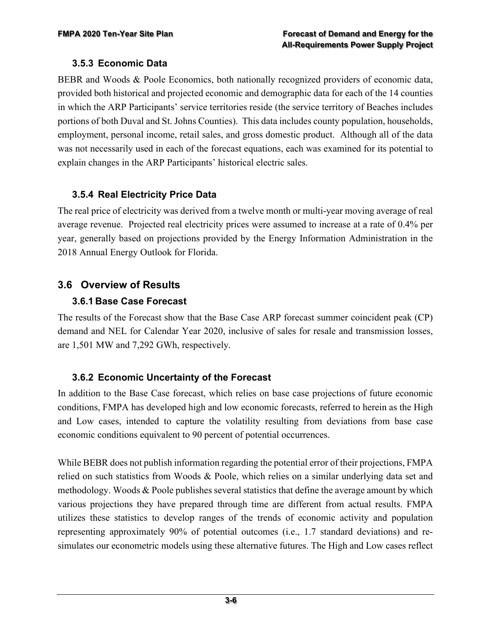#### **3.5.3 Economic Data**

BEBR and Woods & Poole Economics, both nationally recognized providers of economic data, provided both historical and projected economic and demographic data for each of the 14 counties in which the ARP Participants' service territories reside (the service territory of Beaches includes portions of both Duval and St. Johns Counties). This data includes county population, households, employment, personal income, retail sales, and gross domestic product. Although all of the data was not necessarily used in each of the forecast equations, each was examined for its potential to explain changes in the ARP Participants' historical electric sales.

#### **3.5.4 Real Electricity Price Data**

The real price of electricity was derived from a twelve month or multi-year moving average of real average revenue. Projected real electricity prices were assumed to increase at a rate of 0.4% per year, generally based on projections provided by the Energy Information Administration in the 2018 Annual Energy Outlook for Florida.

### **3.6 Overview of Results**

#### **3.6.1 Base Case Forecast**

The results of the Forecast show that the Base Case ARP forecast summer coincident peak (CP) demand and NEL for Calendar Year 2020, inclusive of sales for resale and transmission losses, are 1,501 MW and 7,292 GWh, respectively.

### **3.6.2 Economic Uncertainty of the Forecast**

In addition to the Base Case forecast, which relies on base case projections of future economic conditions, FMPA has developed high and low economic forecasts, referred to herein as the High and Low cases, intended to capture the volatility resulting from deviations from base case economic conditions equivalent to 90 percent of potential occurrences.

While BEBR does not publish information regarding the potential error of their projections, FMPA relied on such statistics from Woods & Poole, which relies on a similar underlying data set and methodology. Woods & Poole publishes several statistics that define the average amount by which various projections they have prepared through time are different from actual results. FMPA utilizes these statistics to develop ranges of the trends of economic activity and population representing approximately 90% of potential outcomes (i.e., 1.7 standard deviations) and resimulates our econometric models using these alternative futures. The High and Low cases reflect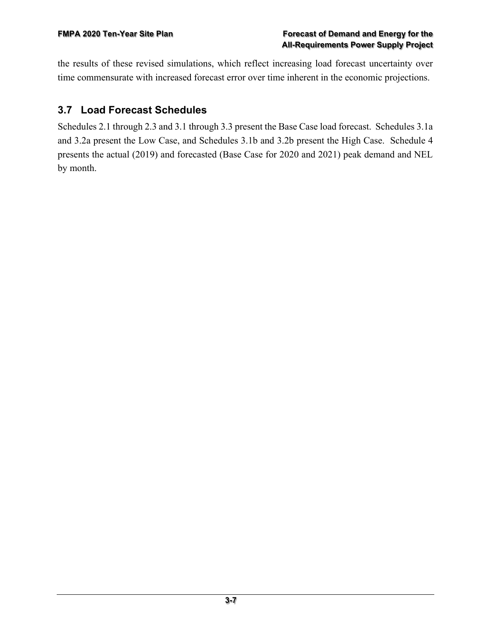the results of these revised simulations, which reflect increasing load forecast uncertainty over time commensurate with increased forecast error over time inherent in the economic projections.

## **3.7 Load Forecast Schedules**

Schedules 2.1 through 2.3 and 3.1 through 3.3 present the Base Case load forecast. Schedules 3.1a and 3.2a present the Low Case, and Schedules 3.1b and 3.2b present the High Case. Schedule 4 presents the actual (2019) and forecasted (Base Case for 2020 and 2021) peak demand and NEL by month.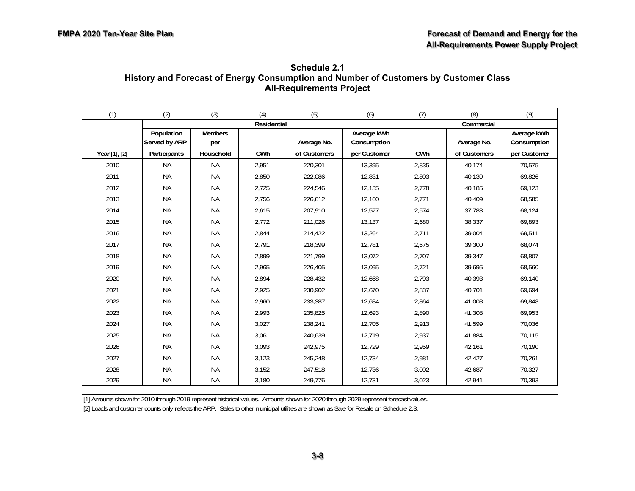| Schedule 2.1                                                                         |
|--------------------------------------------------------------------------------------|
| History and Forecast of Energy Consumption and Number of Customers by Customer Class |
| <b>All-Requirements Project</b>                                                      |

| (1)           | (2)                         | (3)                   | (4)         | (5)          | (6)                        | (7)   | (8)          | (9)                        |
|---------------|-----------------------------|-----------------------|-------------|--------------|----------------------------|-------|--------------|----------------------------|
|               |                             |                       | Residential |              |                            |       | Commercial   |                            |
|               | Population<br>Served by ARP | <b>Members</b><br>per |             | Average No.  | Average kWh<br>Consumption |       | Average No.  | Average kWh<br>Consumption |
| Year [1], [2] | Participants                | Household             | GWh         | of Customers | per Customer               | GWh   | of Customers | per Customer               |
| 2010          | <b>NA</b>                   | <b>NA</b>             | 2,951       | 220,301      | 13,395                     | 2,835 | 40,174       | 70,575                     |
| 2011          | <b>NA</b>                   | <b>NA</b>             | 2,850       | 222,086      | 12,831                     | 2,803 | 40,139       | 69,826                     |
| 2012          | <b>NA</b>                   | <b>NA</b>             | 2,725       | 224,546      | 12,135                     | 2,778 | 40,185       | 69,123                     |
| 2013          | <b>NA</b>                   | <b>NA</b>             | 2,756       | 226,612      | 12,160                     | 2,771 | 40,409       | 68,585                     |
| 2014          | <b>NA</b>                   | <b>NA</b>             | 2,615       | 207,910      | 12,577                     | 2,574 | 37,783       | 68,124                     |
| 2015          | <b>NA</b>                   | <b>NA</b>             | 2,772       | 211,026      | 13,137                     | 2,680 | 38,337       | 69,893                     |
| 2016          | <b>NA</b>                   | <b>NA</b>             | 2,844       | 214,422      | 13,264                     | 2,711 | 39,004       | 69,511                     |
| 2017          | <b>NA</b>                   | <b>NA</b>             | 2,791       | 218,399      | 12,781                     | 2,675 | 39,300       | 68,074                     |
| 2018          | <b>NA</b>                   | <b>NA</b>             | 2,899       | 221,799      | 13,072                     | 2,707 | 39,347       | 68,807                     |
| 2019          | <b>NA</b>                   | <b>NA</b>             | 2,965       | 226,405      | 13,095                     | 2,721 | 39,695       | 68,560                     |
| 2020          | <b>NA</b>                   | <b>NA</b>             | 2,894       | 228,432      | 12,668                     | 2,793 | 40,393       | 69,140                     |
| 2021          | <b>NA</b>                   | <b>NA</b>             | 2,925       | 230,902      | 12,670                     | 2,837 | 40,701       | 69,694                     |
| 2022          | <b>NA</b>                   | <b>NA</b>             | 2,960       | 233,387      | 12,684                     | 2,864 | 41,008       | 69,848                     |
| 2023          | <b>NA</b>                   | <b>NA</b>             | 2,993       | 235,825      | 12,693                     | 2,890 | 41,308       | 69,953                     |
| 2024          | <b>NA</b>                   | <b>NA</b>             | 3,027       | 238,241      | 12,705                     | 2,913 | 41,599       | 70,036                     |
| 2025          | <b>NA</b>                   | <b>NA</b>             | 3,061       | 240,639      | 12,719                     | 2,937 | 41,884       | 70,115                     |
| 2026          | <b>NA</b>                   | <b>NA</b>             | 3,093       | 242,975      | 12,729                     | 2,959 | 42,161       | 70,190                     |
| 2027          | <b>NA</b>                   | <b>NA</b>             | 3,123       | 245,248      | 12,734                     | 2,981 | 42,427       | 70,261                     |
| 2028          | <b>NA</b>                   | <b>NA</b>             | 3,152       | 247,518      | 12,736                     | 3,002 | 42,687       | 70,327                     |
| 2029          | <b>NA</b>                   | <b>NA</b>             | 3,180       | 249,776      | 12,731                     | 3,023 | 42,941       | 70,393                     |

[1] Amounts shown for 2010 through 2019 represent historical values. Amounts shown for 2020 through 2029 represent forecast values. [2] Loads and customer counts only reflects the ARP. Sales to other municipal utilities are shown as Sale for Resale on Schedule 2.3.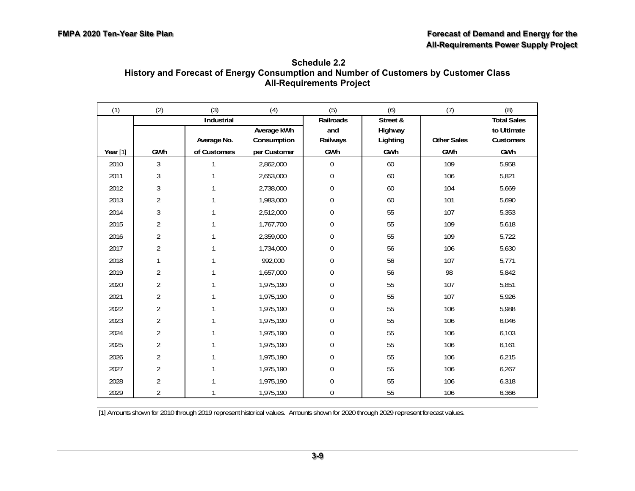| Schedule 2.2                                                                         |
|--------------------------------------------------------------------------------------|
| History and Forecast of Energy Consumption and Number of Customers by Customer Class |
| <b>All-Requirements Project</b>                                                      |

| (1)      | (2)            | (3)          | (4)          | (5)              | (6)      | (7)                | (8)                |
|----------|----------------|--------------|--------------|------------------|----------|--------------------|--------------------|
|          |                | Industrial   |              | Railroads        | Street & |                    | <b>Total Sales</b> |
|          |                |              | Average kWh  | and              | Highway  |                    | to Ultimate        |
|          |                | Average No.  | Consumption  | Railways         | Lighting | <b>Other Sales</b> | Customers          |
| Year [1] | GWh            | of Customers | per Customer | GWh              | GWh      | GWh                | GWh                |
| 2010     | 3              |              | 2,862,000    | $\mathbf 0$      | 60       | 109                | 5,958              |
| 2011     | $\mathfrak{Z}$ |              | 2,653,000    | $\mathbf 0$      | 60       | 106                | 5,821              |
| 2012     | 3              |              | 2,738,000    | $\boldsymbol{0}$ | 60       | 104                | 5,669              |
| 2013     | $\overline{2}$ |              | 1,983,000    | $\boldsymbol{0}$ | 60       | 101                | 5,690              |
| 2014     | 3              |              | 2,512,000    | 0                | 55       | 107                | 5,353              |
| 2015     | $\overline{2}$ | 1            | 1,767,700    | 0                | 55       | 109                | 5,618              |
| 2016     | $\overline{2}$ | 1            | 2,359,000    | $\boldsymbol{0}$ | 55       | 109                | 5,722              |
| 2017     | $\overline{2}$ |              | 1,734,000    | $\boldsymbol{0}$ | 56       | 106                | 5,630              |
| 2018     | 1              |              | 992,000      | $\boldsymbol{0}$ | 56       | 107                | 5,771              |
| 2019     | $\overline{2}$ | 1            | 1,657,000    | 0                | 56       | 98                 | 5,842              |
| 2020     | $\overline{2}$ | 1            | 1,975,190    | $\boldsymbol{0}$ | 55       | 107                | 5,851              |
| 2021     | $\overline{2}$ |              | 1,975,190    | $\boldsymbol{0}$ | 55       | 107                | 5,926              |
| 2022     | $\overline{2}$ |              | 1,975,190    | $\boldsymbol{0}$ | 55       | 106                | 5,988              |
| 2023     | $\overline{2}$ |              | 1,975,190    | $\boldsymbol{0}$ | 55       | 106                | 6,046              |
| 2024     | $\overline{2}$ |              | 1,975,190    | 0                | 55       | 106                | 6,103              |
| 2025     | $\overline{2}$ |              | 1,975,190    | $\boldsymbol{0}$ | 55       | 106                | 6,161              |
| 2026     | $\overline{2}$ |              | 1,975,190    | $\boldsymbol{0}$ | 55       | 106                | 6,215              |
| 2027     | $\overline{2}$ |              | 1,975,190    | 0                | 55       | 106                | 6,267              |
| 2028     | $\overline{2}$ |              | 1,975,190    | 0                | 55       | 106                | 6,318              |
| 2029     | $\overline{2}$ |              | 1,975,190    | 0                | 55       | 106                | 6,366              |

[1] Amounts shown for 2010 through 2019 represent historical values. Amounts shown for 2020 through 2029 represent forecast values.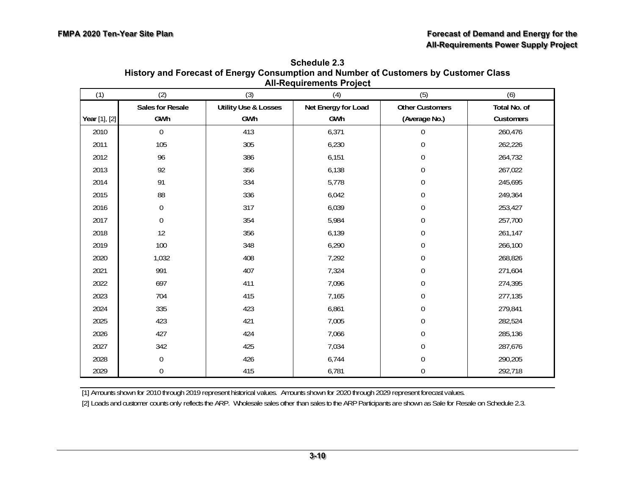| (1)           | (2)                     | (3)                                    | <b>All-Requirements Figged</b><br>(4) | (5)                                     | (6)                       |
|---------------|-------------------------|----------------------------------------|---------------------------------------|-----------------------------------------|---------------------------|
| Year [1], [2] | Sales for Resale<br>GWh | <b>Utility Use &amp; Losses</b><br>GWh | Net Energy for Load<br>GWh            | <b>Other Customers</b><br>(Average No.) | Total No. of<br>Customers |
| 2010          | $\mathbf 0$             | 413                                    | 6,371                                 | 0                                       | 260,476                   |
| 2011          | 105                     | 305                                    | 6,230                                 | $\boldsymbol{0}$                        | 262,226                   |
| 2012          | 96                      | 386                                    | 6,151                                 | 0                                       | 264,732                   |
| 2013          | 92                      | 356                                    | 6,138                                 | $\boldsymbol{0}$                        | 267,022                   |
| 2014          | 91                      | 334                                    | 5,778                                 | 0                                       | 245,695                   |
| 2015          | 88                      | 336                                    | 6,042                                 | $\boldsymbol{0}$                        | 249,364                   |
| 2016          | $\boldsymbol{0}$        | 317                                    | 6,039                                 | $\boldsymbol{0}$                        | 253,427                   |
| 2017          | $\boldsymbol{0}$        | 354                                    | 5,984                                 | 0                                       | 257,700                   |
| 2018          | 12                      | 356                                    | 6,139                                 | $\boldsymbol{0}$                        | 261,147                   |
| 2019          | 100                     | 348                                    | 6,290                                 | $\boldsymbol{0}$                        | 266,100                   |
| 2020          | 1,032                   | 408                                    | 7,292                                 | $\overline{0}$                          | 268,826                   |
| 2021          | 991                     | 407                                    | 7,324                                 | $\boldsymbol{0}$                        | 271,604                   |
| 2022          | 697                     | 411                                    | 7,096                                 | $\boldsymbol{0}$                        | 274,395                   |
| 2023          | 704                     | 415                                    | 7,165                                 | $\boldsymbol{0}$                        | 277,135                   |
| 2024          | 335                     | 423                                    | 6,861                                 | $\boldsymbol{0}$                        | 279,841                   |
| 2025          | 423                     | 421                                    | 7,005                                 | 0                                       | 282,524                   |
| 2026          | 427                     | 424                                    | 7,066                                 | 0                                       | 285,136                   |
| 2027          | 342                     | 425                                    | 7,034                                 | $\boldsymbol{0}$                        | 287,676                   |
| 2028          | $\boldsymbol{0}$        | 426                                    | 6,744                                 | $\boldsymbol{0}$                        | 290,205                   |
| 2029          | $\boldsymbol{0}$        | 415                                    | 6,781                                 | $\boldsymbol{0}$                        | 292,718                   |

**Schedule 2.3 History and Forecast of Energy Consumption and Number of Customers by Customer Class All-Requirements Project**

[1] Amounts shown for 2010 through 2019 represent historical values. Amounts shown for 2020 through 2029 represent forecast values.

[2] Loads and customer counts only reflects the ARP. Wholesale sales other than sales to the ARP Participants are shown as Sale for Resale on Schedule 2.3.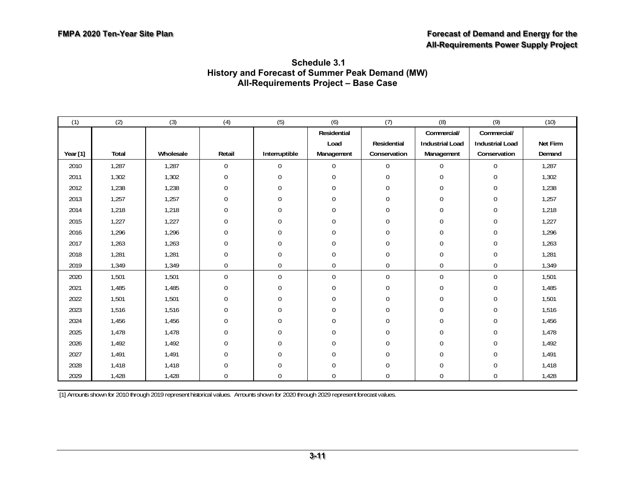| (1)      | (2)   | (3)       | (4)              | (5)            | (6)            | (7)                | (8)                    | (9)                    | (10)     |
|----------|-------|-----------|------------------|----------------|----------------|--------------------|------------------------|------------------------|----------|
|          |       |           |                  |                | Residential    |                    | Commercial/            | Commercial/            |          |
|          |       |           |                  |                | Load           | <b>Residential</b> | <b>Industrial Load</b> | <b>Industrial Load</b> | Net Firm |
| Year [1] | Total | Wholesale | Retail           | Interruptible  | Management     | Conservation       | Management             | Conservation           | Demand   |
| 2010     | 1,287 | 1,287     | $\boldsymbol{0}$ | 0              | $\mathbf{0}$   | $\mathbf 0$        | $\mathbf 0$            | 0                      | 1,287    |
| 2011     | 1,302 | 1,302     | $\boldsymbol{0}$ | $\overline{0}$ | $\mathbf 0$    | $\mathbf 0$        | $\mathbf 0$            | 0                      | 1,302    |
| 2012     | 1,238 | 1,238     | $\boldsymbol{0}$ | 0              | $\mathbf{0}$   | $\overline{0}$     | $\overline{0}$         | 0                      | 1,238    |
| 2013     | 1,257 | 1,257     | 0                | 0              | $\mathbf{0}$   | $\mathbf 0$        | $\overline{0}$         | 0                      | 1,257    |
| 2014     | 1,218 | 1,218     | 0                | 0              | $\mathbf{0}$   | $\mathbf 0$        | $\boldsymbol{0}$       | 0                      | 1,218    |
| 2015     | 1,227 | 1,227     | $\boldsymbol{0}$ | 0              | $\overline{0}$ | $\mathbf 0$        | $\mathbf 0$            | 0                      | 1,227    |
| 2016     | 1,296 | 1,296     | 0                | $\overline{0}$ | $\theta$       | 0                  | $\overline{0}$         | 0                      | 1,296    |
| 2017     | 1,263 | 1,263     | 0                | 0              | $\theta$       | 0                  | 0                      | 0                      | 1,263    |
| 2018     | 1,281 | 1,281     | 0                | 0              | $\mathbf{0}$   | 0                  | $\overline{0}$         | 0                      | 1,281    |
| 2019     | 1,349 | 1,349     | $\boldsymbol{0}$ | 0              | $\mathbf 0$    | $\mathbf 0$        | $\overline{0}$         | 0                      | 1,349    |
| 2020     | 1,501 | 1,501     | $\overline{0}$   | $\mathbf 0$    | $\mathbf{0}$   | $\overline{0}$     | $\overline{0}$         | 0                      | 1,501    |
| 2021     | 1,485 | 1,485     | 0                | 0              | $\mathbf 0$    | $\mathbf 0$        | $\overline{0}$         | 0                      | 1,485    |
| 2022     | 1,501 | 1,501     | 0                | $\Omega$       | $\theta$       | $\overline{0}$     | $\Omega$               | $\Omega$               | 1,501    |
| 2023     | 1,516 | 1,516     | $\boldsymbol{0}$ | 0              | $\theta$       | $\overline{0}$     | $\overline{0}$         | 0                      | 1,516    |
| 2024     | 1,456 | 1,456     | 0                | 0              | $\theta$       | 0                  | $\overline{0}$         | 0                      | 1,456    |
| 2025     | 1.478 | 1,478     | $\overline{0}$   | 0              | $\mathbf{0}$   | $\overline{0}$     | $\overline{0}$         | 0                      | 1,478    |
| 2026     | 1,492 | 1,492     | $\overline{0}$   | 0              | $\mathbf{0}$   | $\overline{0}$     | $\overline{0}$         | 0                      | 1,492    |
| 2027     | 1.491 | 1,491     | 0                | 0              | $\theta$       | $\overline{0}$     | $\overline{0}$         | 0                      | 1,491    |
| 2028     | 1,418 | 1,418     | 0                | 0              | $\theta$       | $\overline{0}$     | $\overline{0}$         | 0                      | 1,418    |
| 2029     | 1,428 | 1,428     | $\overline{0}$   | 0              | $\overline{0}$ | $\overline{0}$     | $\overline{0}$         | 0                      | 1,428    |

#### **Schedule 3.1 History and Forecast of Summer Peak Demand (MW) All-Requirements Project – Base Case**

[1] Amounts shown for 2010 through 2019 represent historical values. Amounts shown for 2020 through 2029 represent forecast values.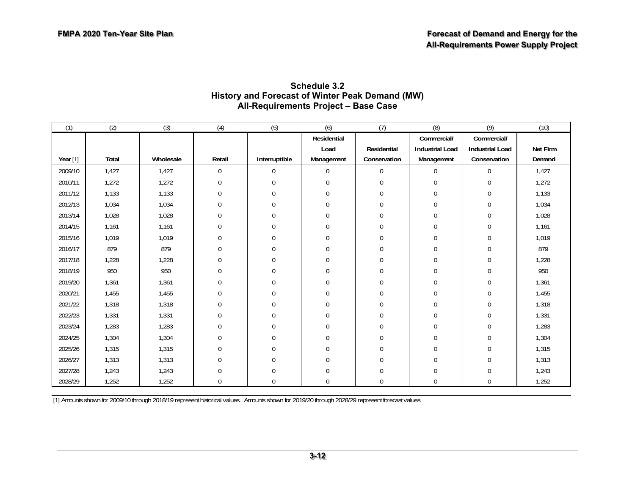#### **Schedule 3.2 History and Forecast of Winter Peak Demand (MW) All-Requirements Project – Base Case**

| (1)        | (2)   | (3)       | (4)          | (5)           | (6)            | (7)              | (8)                    | (9)                    | (10)     |
|------------|-------|-----------|--------------|---------------|----------------|------------------|------------------------|------------------------|----------|
|            |       |           |              |               | Residential    |                  | Commercial/            | Commercial/            |          |
|            |       |           |              |               | Load           | Residential      | <b>Industrial Load</b> | <b>Industrial Load</b> | Net Firm |
| Year $[1]$ | Total | Wholesale | Retail       | Interruptible | Management     | Conservation     | Management             | Conservation           | Demand   |
| 2009/10    | 1,427 | 1,427     | 0            | 0             | $\overline{0}$ | $\boldsymbol{0}$ | $\overline{0}$         | $\overline{0}$         | 1,427    |
| 2010/11    | 1,272 | 1,272     | $\theta$     | $\Omega$      | $\theta$       | $\Omega$         | $\theta$               | $\Omega$               | 1,272    |
| 2011/12    | 1,133 | 1,133     | <sup>0</sup> | U             | $\theta$       | $\Omega$         | $\Omega$               | $\Omega$               | 1,133    |
| 2012/13    | 1,034 | 1,034     | $\theta$     | $\Omega$      | $\theta$       | $\Omega$         | $\theta$               | $\Omega$               | 1,034    |
| 2013/14    | 1,028 | 1,028     | $\theta$     | 0             | $\theta$       | 0                | $\mathbf{0}$           | $\mathbf 0$            | 1,028    |
| 2014/15    | 1,161 | 1,161     | $\mathbf 0$  | 0             | $\Omega$       | $\Omega$         | $\mathbf 0$            | $\mathbf 0$            | 1,161    |
| 2015/16    | 1,019 | 1,019     | $\theta$     | $\theta$      | $\theta$       | $\theta$         | $\mathbf 0$            | $\mathbf 0$            | 1,019    |
| 2016/17    | 879   | 879       | $\theta$     | $\Omega$      | $\mathbf{0}$   | $\Omega$         | $\mathbf 0$            | $\mathbf 0$            | 879      |
| 2017/18    | 1,228 | 1,228     | $\Omega$     | $\Omega$      | $\theta$       | $\Omega$         | $\theta$               | $\mathbf 0$            | 1,228    |
| 2018/19    | 950   | 950       |              |               | $\theta$       | $\Omega$         | $\Omega$               | $\mathbf 0$            | 950      |
| 2019/20    | 1,361 | 1,361     | 0            | 0             | $\theta$       | $\Omega$         | $\Omega$               | $\Omega$               | 1,361    |
| 2020/21    | 1,455 | 1,455     | <sup>0</sup> |               | $\theta$       | $\Omega$         | $\Omega$               | $\Omega$               | 1,455    |
| 2021/22    | 1,318 | 1,318     | $\theta$     | U             | $\theta$       | $\Omega$         | $\Omega$               | $\Omega$               | 1,318    |
| 2022/23    | 1,331 | 1,331     | $\theta$     | 0             | $\theta$       | $\Omega$         | $\theta$               | $\mathbf 0$            | 1,331    |
| 2023/24    | 1,283 | 1,283     | $\theta$     | 0             | $\Omega$       | $\Omega$         | $\mathbf 0$            | $\mathbf 0$            | 1,283    |
| 2024/25    | 1,304 | 1,304     | $\theta$     | $\theta$      | $\theta$       | $\theta$         | $\Omega$               | $\Omega$               | 1,304    |
| 2025/26    | 1,315 | 1,315     | $\Omega$     | 0             | $\mathbf{0}$   | $\Omega$         | $\mathbf 0$            | $\overline{0}$         | 1,315    |
| 2026/27    | 1,313 | 1,313     |              |               | $\Omega$       | $\Omega$         | $\Omega$               | $\mathbf 0$            | 1,313    |
| 2027/28    | 1,243 | 1,243     |              |               | $\Omega$       |                  | $\Omega$               | $\Omega$               | 1,243    |
| 2028/29    | 1,252 | 1,252     | $\Omega$     | 0             | $\theta$       | $\Omega$         | $\mathbf 0$            | $\mathbf 0$            | 1,252    |

[1] Amounts shown for 2009/10 through 2018/19 represent historical values. Amounts shown for 2019/20 through 2028/29 represent forecast values.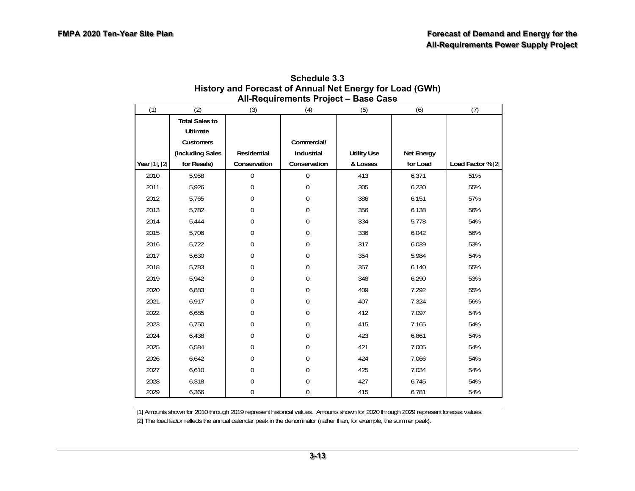| All-Requirements Project – Base Case |                       |              |              |                    |            |                   |  |  |  |  |  |
|--------------------------------------|-----------------------|--------------|--------------|--------------------|------------|-------------------|--|--|--|--|--|
| (1)                                  | (2)                   | (3)          | (4)          | (5)                | (6)        | (7)               |  |  |  |  |  |
|                                      | <b>Total Sales to</b> |              |              |                    |            |                   |  |  |  |  |  |
|                                      | Ultimate              |              |              |                    |            |                   |  |  |  |  |  |
|                                      | Customers             |              | Commercial/  |                    |            |                   |  |  |  |  |  |
|                                      | (including Sales      | Residential  | Industrial   | <b>Utility Use</b> | Net Energy |                   |  |  |  |  |  |
| Year [1], [2]                        | for Resale)           | Conservation | Conservation | & Losses           | for Load   | Load Factor % [2] |  |  |  |  |  |
| 2010                                 | 5,958                 | 0            | $\mathbf 0$  | 413                | 6,371      | 51%               |  |  |  |  |  |
| 2011                                 | 5,926                 | 0            | $\mathbf 0$  | 305                | 6,230      | 55%               |  |  |  |  |  |
| 2012                                 | 5,765                 | $\mathbf 0$  | $\Omega$     | 386                | 6,151      | 57%               |  |  |  |  |  |
| 2013                                 | 5,782                 | $\mathbf 0$  | $\mathbf 0$  | 356                | 6,138      | 56%               |  |  |  |  |  |
| 2014                                 | 5,444                 | 0            | 0            | 334                | 5,778      | 54%               |  |  |  |  |  |
| 2015                                 | 5,706                 | $\mathbf 0$  | 0            | 336                | 6,042      | 56%               |  |  |  |  |  |
| 2016                                 | 5,722                 | $\mathbf 0$  | $\mathbf 0$  | 317                | 6,039      | 53%               |  |  |  |  |  |
| 2017                                 | 5,630                 | 0            | $\mathbf 0$  | 354                | 5,984      | 54%               |  |  |  |  |  |
| 2018                                 | 5,783                 | 0            | 0            | 357                | 6,140      | 55%               |  |  |  |  |  |
| 2019                                 | 5,942                 | 0            | $\mathbf 0$  | 348                | 6,290      | 53%               |  |  |  |  |  |
| 2020                                 | 6,883                 | 0            | $\mathbf 0$  | 409                | 7,292      | 55%               |  |  |  |  |  |
| 2021                                 | 6,917                 | 0            | 0            | 407                | 7,324      | 56%               |  |  |  |  |  |
| 2022                                 | 6,685                 | $\mathbf 0$  | 0            | 412                | 7,097      | 54%               |  |  |  |  |  |
| 2023                                 | 6,750                 | $\mathbf 0$  | $\mathbf{0}$ | 415                | 7,165      | 54%               |  |  |  |  |  |
| 2024                                 | 6,438                 | 0            | 0            | 423                | 6,861      | 54%               |  |  |  |  |  |
| 2025                                 | 6,584                 | 0            | $\Omega$     | 421                | 7,005      | 54%               |  |  |  |  |  |
| 2026                                 | 6,642                 | 0            | $\theta$     | 424                | 7,066      | 54%               |  |  |  |  |  |
| 2027                                 | 6,610                 | 0            | $\mathbf{0}$ | 425                | 7,034      | 54%               |  |  |  |  |  |
| 2028                                 | 6,318                 | 0            | 0            | 427                | 6,745      | 54%               |  |  |  |  |  |
| 2029                                 | 6,366                 | 0            | $\mathbf{0}$ | 415                | 6,781      | 54%               |  |  |  |  |  |

| Schedule 3.3                                             |
|----------------------------------------------------------|
| History and Forecast of Annual Net Energy for Load (GWh) |
| All-Requirements Project - Base Case                     |

[1] Amounts shown for 2010 through 2019 represent historical values. Amounts shown for 2020 through 2029 represent forecast values.

[2] The load factor reflects the annual calendar peak in the denominator (rather than, for example, the summer peak).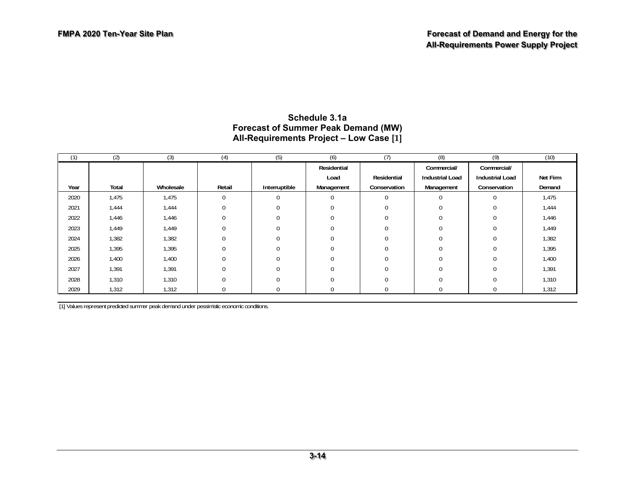| (1)  | (2)   | (3)       | (4)         | (5)           | (6)         | (7)          | (8)                    | (9)                    | (10)     |
|------|-------|-----------|-------------|---------------|-------------|--------------|------------------------|------------------------|----------|
|      |       |           |             |               | Residential |              | Commercial/            | Commercial/            |          |
|      |       |           |             |               | Load        | Residential  | <b>Industrial Load</b> | <b>Industrial Load</b> | Net Firm |
| Year | Total | Wholesale | Retail      | Interruptible | Management  | Conservation | Management             | Conservation           | Demand   |
| 2020 | 1,475 | 1,475     | $\mathbf 0$ | $\Omega$      |             | 0            | $\mathbf 0$            | $\Omega$               | 1,475    |
| 2021 | 1,444 | 1,444     | $\Omega$    | $\Omega$      |             | $\Omega$     | $\Omega$               |                        | 1,444    |
| 2022 | 1,446 | 1,446     | $\Omega$    | 0             |             | $\Omega$     | $\Omega$               |                        | 1,446    |
| 2023 | 1,449 | 1,449     |             |               |             | $\Omega$     | $\Omega$               |                        | 1,449    |
| 2024 | 1,382 | 1,382     | $\Omega$    |               |             | $\Omega$     | $\Omega$               |                        | 1,382    |
| 2025 | 1,395 | 1,395     |             |               |             | $\Omega$     | $\Omega$               |                        | 1,395    |
| 2026 | 1,400 | 1,400     | $\Omega$    |               |             | $\Omega$     | $\Omega$               |                        | 1,400    |
| 2027 | 1,391 | 1,391     |             | $\Omega$      |             | $\Omega$     | $\Omega$               |                        | 1,391    |
| 2028 | 1,310 | 1,310     |             |               |             | $\Omega$     | $\Omega$               |                        | 1,310    |
| 2029 | 1,312 | 1,312     |             |               |             |              |                        |                        | 1,312    |

#### **Schedule 3.1a Forecast of Summer Peak Demand (MW) All-Requirements Project – Low Case [1]**

[1] Values represent predicted summer peak demand under pessimistic economic conditions.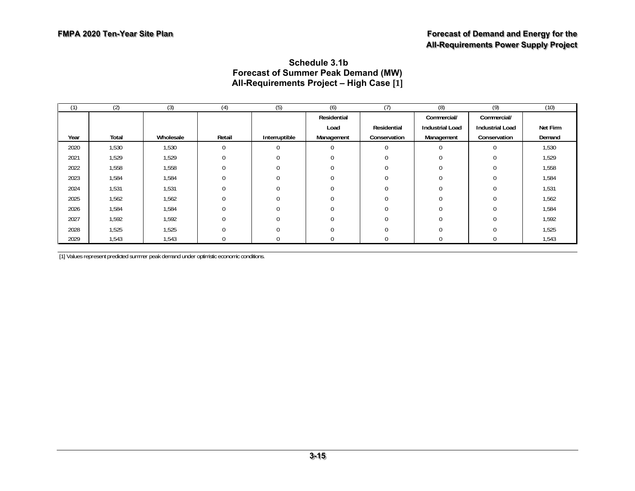#### **Schedule 3.1b Forecast of Summer Peak Demand (MW) All-Requirements Project – High Case [1]**

| (1)  | (2)   | (3)       | (4)      | (5)           | (6)                 | (7)          | (8)                    | (9)                    | (10)     |
|------|-------|-----------|----------|---------------|---------------------|--------------|------------------------|------------------------|----------|
|      |       |           |          |               | Residential         |              | Commercial/            | Commercial/            |          |
|      |       |           |          |               | Residential<br>Load |              | <b>Industrial Load</b> | <b>Industrial Load</b> | Net Firm |
| Year | Total | Wholesale | Retail   | Interruptible | Management          | Conservation | Management             | Conservation           | Demand   |
| 2020 | 1,530 | 1,530     | $\Omega$ | 0             | $\Omega$            | $\Omega$     | $\mathbf 0$            | $\Omega$               | 1,530    |
| 2021 | 1,529 | 1,529     |          | $\Omega$      | $\Omega$            | $\Omega$     | $\Omega$               |                        | 1,529    |
| 2022 | 1,558 | 1,558     |          |               | $\Omega$            |              | U                      |                        | 1,558    |
| 2023 | 1,584 | 1,584     |          | U             | $\Omega$            |              |                        |                        | 1,584    |
| 2024 | 1,531 | 1,531     |          |               | $\Omega$            |              |                        |                        | 1,531    |
| 2025 | 1,562 | 1,562     |          |               | $\Omega$            |              | U                      |                        | 1,562    |
| 2026 | 1,584 | 1,584     |          | 0             | $\Omega$            |              |                        |                        | 1,584    |
| 2027 | 1,592 | 1,592     |          | 0             | $\Omega$            |              | 0                      |                        | 1,592    |
| 2028 | 1,525 | 1,525     |          | 0             | $\Omega$            |              | U                      |                        | 1,525    |
| 2029 | 1,543 | 1,543     |          |               | $\Omega$            |              | U                      |                        | 1,543    |

[1] Values represent predicted summer peak demand under optimistic economic conditions.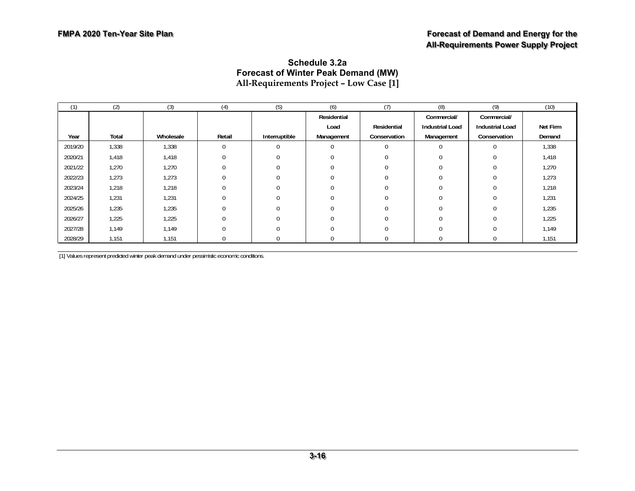#### **Schedule 3.2a Forecast of Winter Peak Demand (MW) All-Requirements Project – Low Case [1]**

| (1)     | (2)   | (3)       | (4)      | (5)           | (6)         | (7)          | (8)                    | (9)                    | (10)     |
|---------|-------|-----------|----------|---------------|-------------|--------------|------------------------|------------------------|----------|
|         |       |           |          |               | Residential |              | Commercial/            | Commercial/            |          |
|         |       |           |          |               | Load        | Residential  | <b>Industrial Load</b> | <b>Industrial Load</b> | Net Firm |
| Year    | Total | Wholesale | Retail   | Interruptible | Management  | Conservation | Management             | Conservation           | Demand   |
| 2019/20 | 1,338 | 1,338     | 0        |               | $\Omega$    | $\Omega$     |                        | $\Omega$               | 1,338    |
| 2020/21 | 1,418 | 1,418     |          |               | $\Omega$    |              |                        |                        | 1,418    |
| 2021/22 | 1,270 | 1,270     |          |               | $\Omega$    |              |                        |                        | 1,270    |
| 2022/23 | 1,273 | 1,273     |          |               | $\Omega$    |              |                        |                        | 1,273    |
| 2023/24 | 1,218 | 1,218     |          |               | $\Omega$    |              |                        |                        | 1,218    |
| 2024/25 | 1,231 | 1,231     |          |               | $\Omega$    |              |                        |                        | 1,231    |
| 2025/26 | 1,235 | 1,235     |          |               | $\Omega$    |              |                        |                        | 1,235    |
| 2026/27 | 1,225 | 1,225     | $\Omega$ |               | $\Omega$    |              |                        |                        | 1,225    |
| 2027/28 | 1,149 | 1,149     |          |               | $\Omega$    |              |                        |                        | 1,149    |
| 2028/29 | 1,151 | 1,151     |          |               | $\Omega$    |              |                        |                        | 1,151    |

[1] Values represent predicted winter peak demand under pessimistic economic conditions.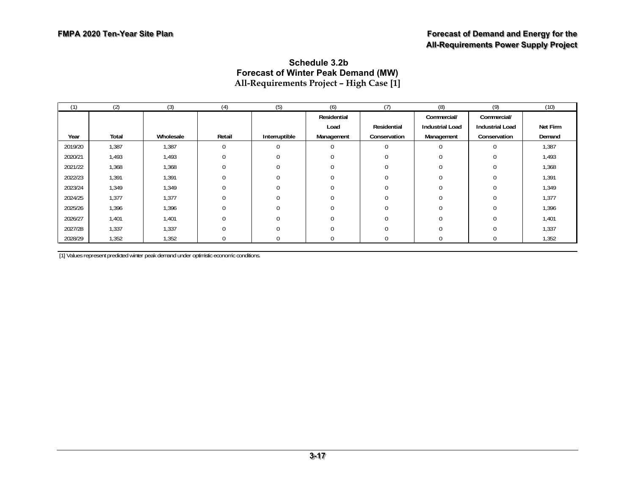#### **Schedule 3.2b Forecast of Winter Peak Demand (MW) All-Requirements Project – High Case [1]**

| (1)     | (2)   | (3)       | (4)    | (5)           | (6)         | (7)          | (8)                    | (9)                    | (10)     |
|---------|-------|-----------|--------|---------------|-------------|--------------|------------------------|------------------------|----------|
|         |       |           |        |               | Residential |              | Commercial/            | Commercial/            |          |
|         |       |           |        |               | Load        | Residential  | <b>Industrial Load</b> | <b>Industrial Load</b> | Net Firm |
| Year    | Total | Wholesale | Retail | Interruptible | Management  | Conservation | Management             | Conservation           | Demand   |
| 2019/20 | 1,387 | 1,387     | 0      |               | $\Omega$    | $\Omega$     |                        | $\Omega$               | 1,387    |
| 2020/21 | 1,493 | 1,493     |        |               | $\Omega$    |              |                        |                        | 1,493    |
| 2021/22 | 1,368 | 1,368     |        |               |             |              |                        |                        | 1,368    |
| 2022/23 | 1,391 | 1,391     |        |               | $\Omega$    |              |                        |                        | 1,391    |
| 2023/24 | 1,349 | 1,349     |        |               | $\Omega$    |              |                        |                        | 1,349    |
| 2024/25 | 1,377 | 1,377     |        |               | $\Omega$    |              |                        |                        | 1,377    |
| 2025/26 | 1,396 | 1,396     |        |               | $\Omega$    |              |                        |                        | 1,396    |
| 2026/27 | 1,401 | 1,401     | N      |               | $\Omega$    |              |                        |                        | 1,401    |
| 2027/28 | 1,337 | 1,337     |        |               | $\Omega$    |              |                        |                        | 1,337    |
| 2028/29 | 1,352 | 1,352     |        |               | $\Omega$    |              |                        |                        | 1,352    |

[1] Values represent predicted winter peak demand under optimistic economic conditions.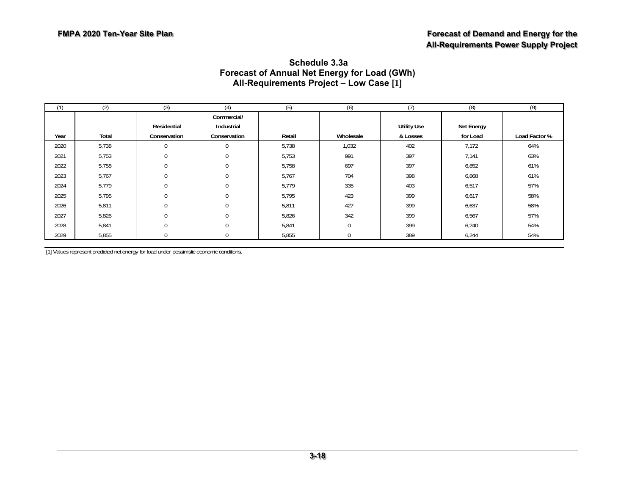|      |       |                             |                                           |        |           | . .                            |                        |               |
|------|-------|-----------------------------|-------------------------------------------|--------|-----------|--------------------------------|------------------------|---------------|
| (1)  | (2)   | (3)                         | (4)                                       | (5)    | (6)       | (7)                            | (8)                    | (9)           |
| Year | Total | Residential<br>Conservation | Commercial/<br>Industrial<br>Conservation | Retail | Wholesale | <b>Utility Use</b><br>& Losses | Net Energy<br>for Load | Load Factor % |
| 2020 | 5,738 | $\Omega$                    | $\Omega$                                  | 5,738  | 1,032     | 402                            | 7,172                  | 64%           |
| 2021 | 5,753 | 0                           | $\Omega$                                  | 5,753  | 991       | 397                            | 7,141                  | 63%           |
| 2022 | 5,758 | $\Omega$                    | $\Omega$                                  | 5,758  | 697       | 397                            | 6,852                  | 61%           |
| 2023 | 5,767 | $\Omega$                    | $\Omega$                                  | 5,767  | 704       | 398                            | 6,868                  | 61%           |
| 2024 | 5,779 | $\Omega$                    | $\Omega$                                  | 5,779  | 335       | 403                            | 6,517                  | 57%           |
| 2025 | 5,795 | $\Omega$                    | $\Omega$                                  | 5,795  | 423       | 399                            | 6,617                  | 58%           |
| 2026 | 5,811 | $\mathbf{0}$                | $\Omega$                                  | 5,811  | 427       | 399                            | 6,637                  | 58%           |
| 2027 | 5,826 | $\Omega$                    | $\Omega$                                  | 5,826  | 342       | 399                            | 6,567                  | 57%           |
| 2028 | 5,841 | $\Omega$                    | $\Omega$                                  | 5,841  | $\Omega$  | 399                            | 6,240                  | 54%           |
| 2029 | 5,855 | 0                           | 0                                         | 5,855  | $\Omega$  | 389                            | 6,244                  | 54%           |

#### **Schedule 3.3a Forecast of Annual Net Energy for Load (GWh) All-Requirements Project – Low Case [1]**

[1] Values represent predicted net energy for load under pessimistic economic conditions.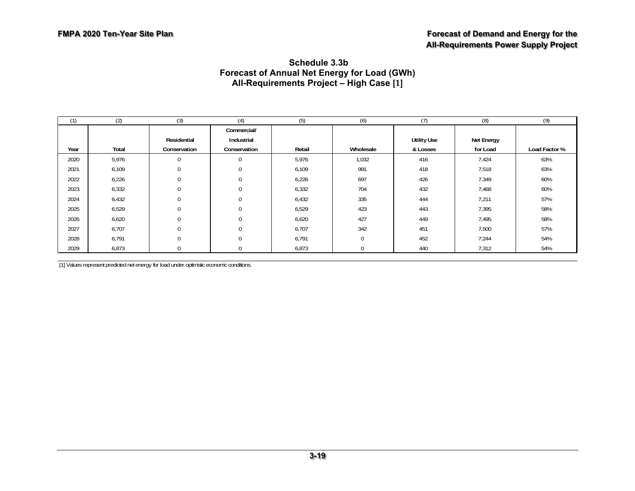#### **Schedule 3.3b Forecast of Annual Net Energy for Load (GWh) All-Requirements Project – High Case [1]**

| (1)  | (2)   | (3)          | (4)                       | (5)    | (6)         | (7)                | (8)        | (9)           |
|------|-------|--------------|---------------------------|--------|-------------|--------------------|------------|---------------|
|      |       | Residential  | Commercial/<br>Industrial |        |             | <b>Utility Use</b> | Net Energy |               |
|      |       |              |                           |        |             |                    |            |               |
| Year | Total | Conservation | Conservation              | Retail | Wholesale   | & Losses           | for Load   | Load Factor % |
| 2020 | 5,976 |              | $\mathbf 0$               | 5,976  | 1,032       | 416                | 7,424      | 63%           |
| 2021 | 6,109 | $\Omega$     | $\mathbf 0$               | 6,109  | 991         | 418                | 7,518      | 63%           |
| 2022 | 6,226 |              | $\boldsymbol{0}$          | 6,226  | 697         | 426                | 7,349      | 60%           |
| 2023 | 6,332 | 0            | $\mathbf 0$               | 6,332  | 704         | 432                | 7,468      | 60%           |
| 2024 | 6,432 | $\Omega$     | $\mathbf 0$               | 6,432  | 335         | 444                | 7,211      | 57%           |
| 2025 | 6,529 |              | $\mathbf 0$               | 6,529  | 423         | 443                | 7,395      | 58%           |
| 2026 | 6,620 |              | $\mathbf 0$               | 6,620  | 427         | 449                | 7,495      | 58%           |
| 2027 | 6,707 | 0            | $\mathbf 0$               | 6,707  | 342         | 451                | 7,500      | 57%           |
| 2028 | 6,791 | 0            | $\mathbf 0$               | 6,791  | $\mathbf 0$ | 452                | 7,244      | 54%           |
| 2029 | 6,873 |              | 0                         | 6,873  |             | 440                | 7,312      | 54%           |

[1] Values represent predicted net energy for load under optimistic economic conditions.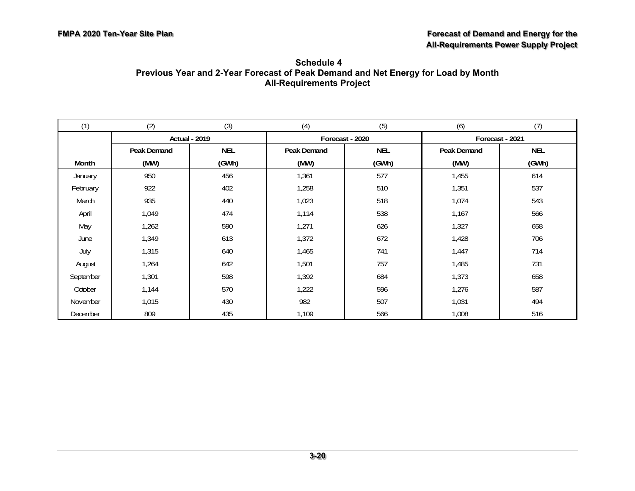| Schedule 4                                                                        |  |  |  |  |  |  |  |  |  |
|-----------------------------------------------------------------------------------|--|--|--|--|--|--|--|--|--|
| Previous Year and 2-Year Forecast of Peak Demand and Net Energy for Load by Month |  |  |  |  |  |  |  |  |  |
| <b>All-Requirements Project</b>                                                   |  |  |  |  |  |  |  |  |  |

| (1)       | (2)                  | (3)        | (4)         | (5)             | (6)             | (7)        |
|-----------|----------------------|------------|-------------|-----------------|-----------------|------------|
|           | <b>Actual - 2019</b> |            |             | Forecast - 2020 | Forecast - 2021 |            |
|           | Peak Demand          | <b>NEL</b> | Peak Demand | <b>NEL</b>      | Peak Demand     | <b>NEL</b> |
| Month     | (MW)                 | (GWh)      | (MW)        | (GWh)           | (MW)            | (GWh)      |
| January   | 950                  | 456        | 1,361       | 577             | 1,455           | 614        |
| February  | 922                  | 402        | 1,258       | 510             | 1,351           | 537        |
| March     | 935                  | 440        | 1,023       | 518             | 1,074           | 543        |
| April     | 1,049                | 474        | 1,114       | 538             | 1,167           | 566        |
| May       | 1,262                | 590        | 1,271       | 626             | 1,327           | 658        |
| June      | 1,349                | 613        | 1,372       | 672             | 1,428           | 706        |
| July      | 1,315                | 640        | 1,465       | 741             | 1,447           | 714        |
| August    | 1,264                | 642        | 1,501       | 757             | 1,485           | 731        |
| September | 1,301                | 598        | 1,392       | 684             | 1,373           | 658        |
| October   | 1,144                | 570        | 1,222       | 596             | 1,276           | 587        |
| November  | 1,015                | 430        | 982         | 507             | 1,031           | 494        |
| December  | 809                  | 435        | 1,109       | 566             | 1,008           | 516        |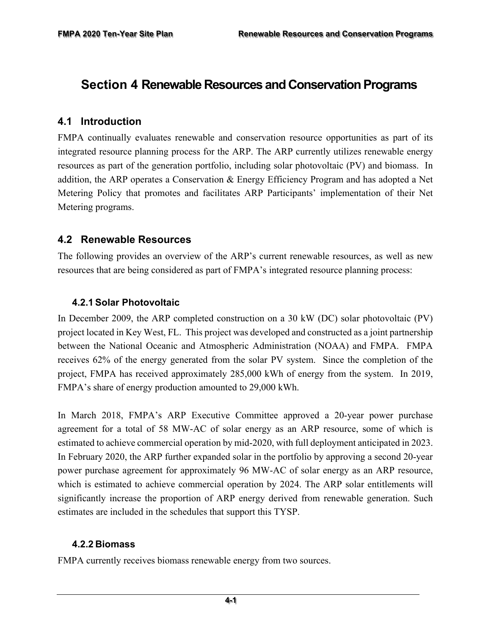# **Section 4 Renewable Resources and Conservation Programs**

#### **4.1 Introduction**

FMPA continually evaluates renewable and conservation resource opportunities as part of its integrated resource planning process for the ARP. The ARP currently utilizes renewable energy resources as part of the generation portfolio, including solar photovoltaic (PV) and biomass. In addition, the ARP operates a Conservation & Energy Efficiency Program and has adopted a Net Metering Policy that promotes and facilitates ARP Participants' implementation of their Net Metering programs.

#### **4.2 Renewable Resources**

The following provides an overview of the ARP's current renewable resources, as well as new resources that are being considered as part of FMPA's integrated resource planning process:

#### **4.2.1 Solar Photovoltaic**

In December 2009, the ARP completed construction on a 30 kW (DC) solar photovoltaic (PV) project located in Key West, FL. This project was developed and constructed as a joint partnership between the National Oceanic and Atmospheric Administration (NOAA) and FMPA. FMPA receives 62% of the energy generated from the solar PV system. Since the completion of the project, FMPA has received approximately 285,000 kWh of energy from the system. In 2019, FMPA's share of energy production amounted to 29,000 kWh.

In March 2018, FMPA's ARP Executive Committee approved a 20-year power purchase agreement for a total of 58 MW-AC of solar energy as an ARP resource, some of which is estimated to achieve commercial operation by mid-2020, with full deployment anticipated in 2023. In February 2020, the ARP further expanded solar in the portfolio by approving a second 20-year power purchase agreement for approximately 96 MW-AC of solar energy as an ARP resource, which is estimated to achieve commercial operation by 2024. The ARP solar entitlements will significantly increase the proportion of ARP energy derived from renewable generation. Such estimates are included in the schedules that support this TYSP.

#### **4.2.2 Biomass**

FMPA currently receives biomass renewable energy from two sources.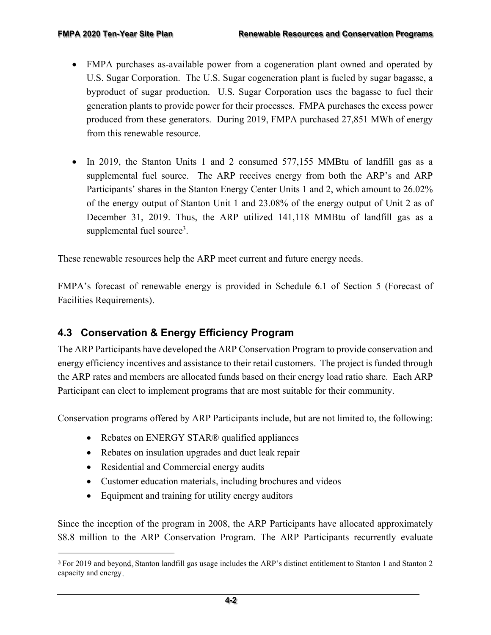- FMPA purchases as-available power from a cogeneration plant owned and operated by U.S. Sugar Corporation. The U.S. Sugar cogeneration plant is fueled by sugar bagasse, a byproduct of sugar production. U.S. Sugar Corporation uses the bagasse to fuel their generation plants to provide power for their processes. FMPA purchases the excess power produced from these generators. During 2019, FMPA purchased 27,851 MWh of energy from this renewable resource.
- In 2019, the Stanton Units 1 and 2 consumed 577,155 MMBtu of landfill gas as a supplemental fuel source. The ARP receives energy from both the ARP's and ARP Participants' shares in the Stanton Energy Center Units 1 and 2, which amount to 26.02% of the energy output of Stanton Unit 1 and 23.08% of the energy output of Unit 2 as of December 31, 2019. Thus, the ARP utilized 141,118 MMBtu of landfill gas as a supplemental fuel source<sup>3</sup>.

These renewable resources help the ARP meet current and future energy needs.

FMPA's forecast of renewable energy is provided in Schedule 6.1 of Section 5 (Forecast of Facilities Requirements).

### **4.3 Conservation & Energy Efficiency Program**

The ARP Participants have developed the ARP Conservation Program to provide conservation and energy efficiency incentives and assistance to their retail customers. The project is funded through the ARP rates and members are allocated funds based on their energy load ratio share. Each ARP Participant can elect to implement programs that are most suitable for their community.

Conservation programs offered by ARP Participants include, but are not limited to, the following:

- Rebates on ENERGY STAR® qualified appliances
- Rebates on insulation upgrades and duct leak repair
- Residential and Commercial energy audits
- Customer education materials, including brochures and videos
- Equipment and training for utility energy auditors

Since the inception of the program in 2008, the ARP Participants have allocated approximately \$8.8 million to the ARP Conservation Program. The ARP Participants recurrently evaluate

<sup>3</sup> For 2019 and beyond, Stanton landfill gas usage includes the ARP's distinct entitlement to Stanton 1 and Stanton 2 capacity and energy.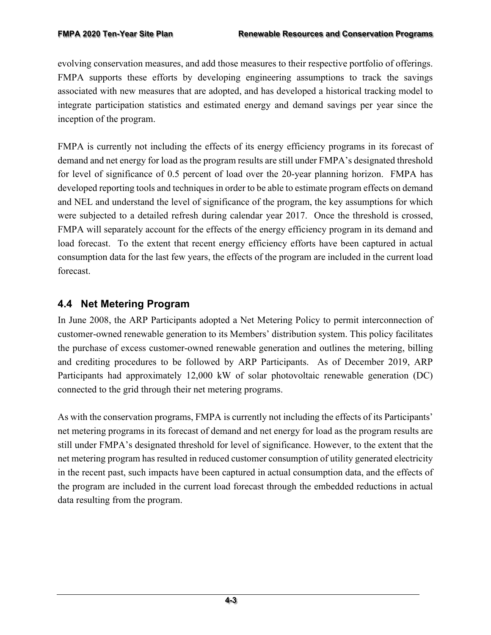evolving conservation measures, and add those measures to their respective portfolio of offerings. FMPA supports these efforts by developing engineering assumptions to track the savings associated with new measures that are adopted, and has developed a historical tracking model to integrate participation statistics and estimated energy and demand savings per year since the inception of the program.

FMPA is currently not including the effects of its energy efficiency programs in its forecast of demand and net energy for load as the program results are still under FMPA's designated threshold for level of significance of 0.5 percent of load over the 20-year planning horizon. FMPA has developed reporting tools and techniques in order to be able to estimate program effects on demand and NEL and understand the level of significance of the program, the key assumptions for which were subjected to a detailed refresh during calendar year 2017. Once the threshold is crossed, FMPA will separately account for the effects of the energy efficiency program in its demand and load forecast. To the extent that recent energy efficiency efforts have been captured in actual consumption data for the last few years, the effects of the program are included in the current load forecast.

# **4.4 Net Metering Program**

In June 2008, the ARP Participants adopted a Net Metering Policy to permit interconnection of customer-owned renewable generation to its Members' distribution system. This policy facilitates the purchase of excess customer-owned renewable generation and outlines the metering, billing and crediting procedures to be followed by ARP Participants. As of December 2019, ARP Participants had approximately 12,000 kW of solar photovoltaic renewable generation (DC) connected to the grid through their net metering programs.

As with the conservation programs, FMPA is currently not including the effects of its Participants' net metering programs in its forecast of demand and net energy for load as the program results are still under FMPA's designated threshold for level of significance. However, to the extent that the net metering program has resulted in reduced customer consumption of utility generated electricity in the recent past, such impacts have been captured in actual consumption data, and the effects of the program are included in the current load forecast through the embedded reductions in actual data resulting from the program.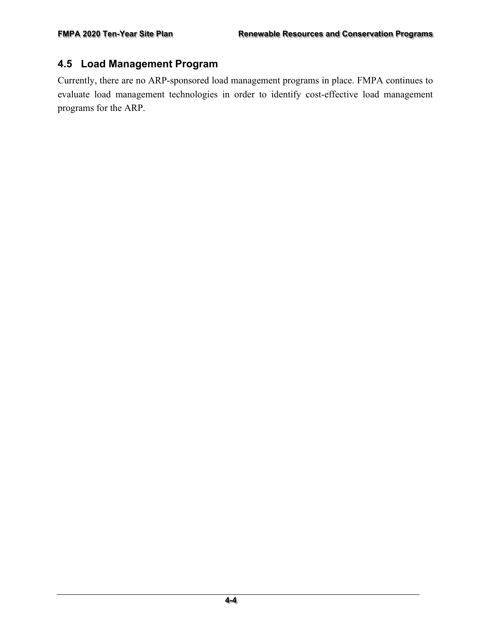#### **4.5 Load Management Program**

Currently, there are no ARP-sponsored load management programs in place. FMPA continues to evaluate load management technologies in order to identify cost-effective load management programs for the ARP.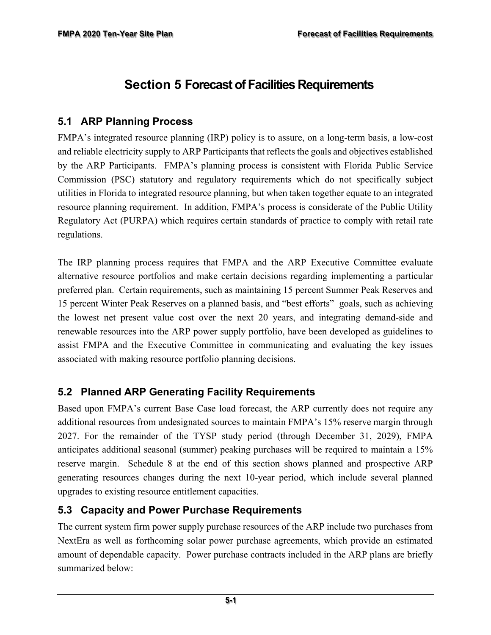# **Section 5 Forecast of Facilities Requirements**

### **5.1 ARP Planning Process**

FMPA's integrated resource planning (IRP) policy is to assure, on a long-term basis, a low-cost and reliable electricity supply to ARP Participants that reflects the goals and objectives established by the ARP Participants. FMPA's planning process is consistent with Florida Public Service Commission (PSC) statutory and regulatory requirements which do not specifically subject utilities in Florida to integrated resource planning, but when taken together equate to an integrated resource planning requirement. In addition, FMPA's process is considerate of the Public Utility Regulatory Act (PURPA) which requires certain standards of practice to comply with retail rate regulations.

The IRP planning process requires that FMPA and the ARP Executive Committee evaluate alternative resource portfolios and make certain decisions regarding implementing a particular preferred plan. Certain requirements, such as maintaining 15 percent Summer Peak Reserves and 15 percent Winter Peak Reserves on a planned basis, and "best efforts" goals, such as achieving the lowest net present value cost over the next 20 years, and integrating demand-side and renewable resources into the ARP power supply portfolio, have been developed as guidelines to assist FMPA and the Executive Committee in communicating and evaluating the key issues associated with making resource portfolio planning decisions.

### **5.2 Planned ARP Generating Facility Requirements**

Based upon FMPA's current Base Case load forecast, the ARP currently does not require any additional resources from undesignated sources to maintain FMPA's 15% reserve margin through 2027. For the remainder of the TYSP study period (through December 31, 2029), FMPA anticipates additional seasonal (summer) peaking purchases will be required to maintain a 15% reserve margin. Schedule 8 at the end of this section shows planned and prospective ARP generating resources changes during the next 10-year period, which include several planned upgrades to existing resource entitlement capacities.

#### **5.3 Capacity and Power Purchase Requirements**

The current system firm power supply purchase resources of the ARP include two purchases from NextEra as well as forthcoming solar power purchase agreements, which provide an estimated amount of dependable capacity. Power purchase contracts included in the ARP plans are briefly summarized below: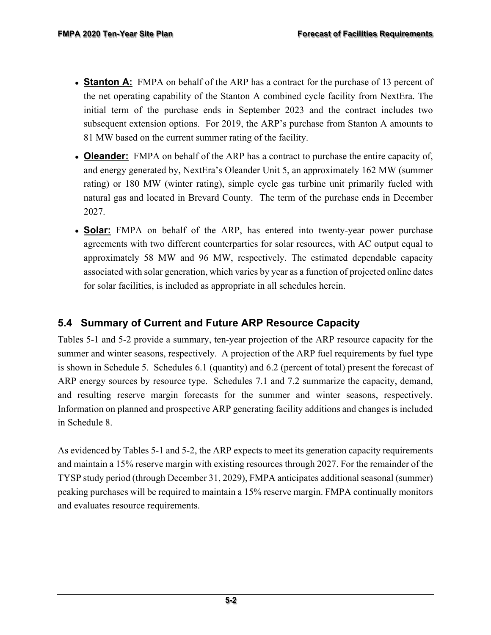- **Stanton A:** FMPA on behalf of the ARP has a contract for the purchase of 13 percent of the net operating capability of the Stanton A combined cycle facility from NextEra. The initial term of the purchase ends in September 2023 and the contract includes two subsequent extension options. For 2019, the ARP's purchase from Stanton A amounts to 81 MW based on the current summer rating of the facility.
- **Oleander:** FMPA on behalf of the ARP has a contract to purchase the entire capacity of, and energy generated by, NextEra's Oleander Unit 5, an approximately 162 MW (summer rating) or 180 MW (winter rating), simple cycle gas turbine unit primarily fueled with natural gas and located in Brevard County. The term of the purchase ends in December 2027.
- **Solar:** FMPA on behalf of the ARP, has entered into twenty-year power purchase agreements with two different counterparties for solar resources, with AC output equal to approximately 58 MW and 96 MW, respectively. The estimated dependable capacity associated with solar generation, which varies by year as a function of projected online dates for solar facilities, is included as appropriate in all schedules herein.

### **5.4 Summary of Current and Future ARP Resource Capacity**

Tables 5-1 and 5-2 provide a summary, ten-year projection of the ARP resource capacity for the summer and winter seasons, respectively. A projection of the ARP fuel requirements by fuel type is shown in Schedule 5. Schedules 6.1 (quantity) and 6.2 (percent of total) present the forecast of ARP energy sources by resource type. Schedules 7.1 and 7.2 summarize the capacity, demand, and resulting reserve margin forecasts for the summer and winter seasons, respectively. Information on planned and prospective ARP generating facility additions and changes is included in Schedule 8.

As evidenced by Tables 5-1 and 5-2, the ARP expects to meet its generation capacity requirements and maintain a 15% reserve margin with existing resources through 2027. For the remainder of the TYSP study period (through December 31, 2029), FMPA anticipates additional seasonal (summer) peaking purchases will be required to maintain a 15% reserve margin. FMPA continually monitors and evaluates resource requirements.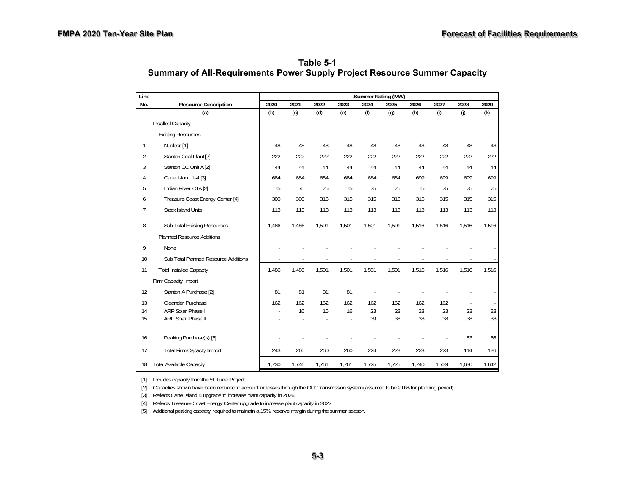**Table 5-1 Summary of All-Requirements Power Supply Project Resource Summer Capacity** 

| Line           |                                        | Summer Rating (MW) |           |           |           |           |           |           |           |       |                                |
|----------------|----------------------------------------|--------------------|-----------|-----------|-----------|-----------|-----------|-----------|-----------|-------|--------------------------------|
| No.            | <b>Resource Description</b>            | 2020               | 2021      | 2022      | 2023      | 2024      | 2025      | 2026      | 2027      | 2028  | 2029                           |
|                | (a)                                    | (b)                | (c)       | (d)       | (e)       | (f)       | (g)       | (h)       | (i)       | (j)   | (k)                            |
|                | Installed Capacity                     |                    |           |           |           |           |           |           |           |       |                                |
|                | <b>Existing Resources</b>              |                    |           |           |           |           |           |           |           |       |                                |
| 1              | Nuclear [1]                            | 48                 | 48        | 48        | 48        | 48        | 48        | 48        | 48        | 48    | 48                             |
| $\overline{2}$ | Stanton Coal Plant [2]                 | 222                | 222       | 222       | 222       | 222       | 222       | 222       | 222       | 222   | 222                            |
| 3              | Stanton CC Unit A [2]                  | 44                 | 44        | 44        | 44        | 44        | 44        | 44        | 44        | 44    | 44                             |
| 4              | Cane Island 1-4 [3]                    | 684                | 684       | 684       | 684       | 684       | 684       | 699       | 699       | 699   | 699                            |
| 5              | Indian River CTs [2]                   | 75                 | 75        | 75        | 75        | 75        | 75        | 75        | 75        | 75    | 75                             |
| 6              | Treasure Coast Energy Center [4]       | 300                | 300       | 315       | 315       | 315       | 315       | 315       | 315       | 315   | 315                            |
| 7              | <b>Stock Island Units</b>              | 113                | 113       | 113       | 113       | 113       | 113       | 113       | 113       | 113   | 113                            |
| 8              | Sub Total Existing Resources           | 1,486              | 1,486     | 1,501     | 1,501     | 1,501     | 1,501     | 1,516     | 1,516     | 1,516 | 1,516                          |
|                | <b>Planned Resource Additions</b>      |                    |           |           |           |           |           |           |           |       |                                |
| 9              | None                                   |                    |           |           |           |           |           |           |           |       |                                |
| 10             | Sub Total Planned Resource Additions   |                    |           |           |           |           |           |           |           |       |                                |
| 11             | <b>Total Installed Capacity</b>        | 1,486              | 1,486     | 1,501     | 1,501     | 1,501     | 1,501     | 1,516     | 1,516     | 1,516 | 1,516                          |
|                | Firm Capacity Import                   |                    |           |           |           |           |           |           |           |       |                                |
| 12             | Stanton A Purchase [2]                 | 81                 | 81        | 81        | 81        |           |           |           |           |       |                                |
| 13<br>14       | Oleander Purchase<br>ARP Solar Phase I | 162                | 162<br>16 | 162<br>16 | 162<br>16 | 162<br>23 | 162<br>23 | 162<br>23 | 162<br>23 | 23    | $\overline{\phantom{a}}$<br>23 |
| 15             | ARP Solar Phase II                     |                    |           |           |           | 39        | 38        | 38        | 38        | 38    | 38                             |
|                |                                        |                    |           |           |           |           |           |           |           |       |                                |
| 16             | Peaking Purchase(s) [5]                |                    |           |           |           |           |           |           |           | 53    | 65                             |
| 17             | <b>Total Firm Capacity Import</b>      | 243                | 260       | 260       | 260       | 224       | 223       | 223       | 223       | 114   | 126                            |
| 18             | <b>Total Available Capacity</b>        | 1,730              | 1,746     | 1,761     | 1,761     | 1,725     | 1,725     | 1,740     | 1,739     | 1,630 | 1,642                          |

[1] Includes capacity from the St. Lucie Project.

[2] Capacities shown have been reduced to account for losses through the OUC transmission system (assumed to be 2.0% for planning period).

[3] Reflects Cane Island 4 upgrade to increase plant capacity in 2026.

[4] Reflects Treasure Coast Energy Center upgrade to increase plant capacity in 2022.

[5] Additional peaking capacity required to maintain a 15% reserve margin during the summer season.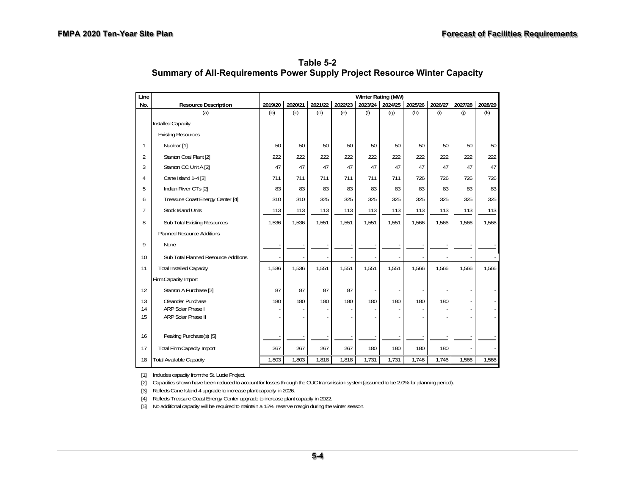**Table 5-2 Summary of All-Requirements Power Supply Project Resource Winter Capacity** 

| Line           |                                      | Winter Rating (MW) |         |         |         |         |         |         |         |         |         |
|----------------|--------------------------------------|--------------------|---------|---------|---------|---------|---------|---------|---------|---------|---------|
| No.            | <b>Resource Description</b>          | 2019/20            | 2020/21 | 2021/22 | 2022/23 | 2023/24 | 2024/25 | 2025/26 | 2026/27 | 2027/28 | 2028/29 |
|                | (a)                                  | (b)                | (c)     | (d)     | (e)     | (f)     | (g)     | (h)     | (i)     | (i)     | (k)     |
|                | <b>Installed Capacity</b>            |                    |         |         |         |         |         |         |         |         |         |
|                | <b>Existing Resources</b>            |                    |         |         |         |         |         |         |         |         |         |
| 1              | Nuclear [1]                          | 50                 | 50      | 50      | 50      | 50      | 50      | 50      | 50      | 50      | 50      |
| $\overline{2}$ | Stanton Coal Plant [2]               | 222                | 222     | 222     | 222     | 222     | 222     | 222     | 222     | 222     | 222     |
| 3              | Stanton CC Unit A [2]                | 47                 | 47      | 47      | 47      | 47      | 47      | 47      | 47      | 47      | 47      |
| 4              | Cane Island 1-4 [3]                  | 711                | 711     | 711     | 711     | 711     | 711     | 726     | 726     | 726     | 726     |
| 5              | Indian River CTs [2]                 | 83                 | 83      | 83      | 83      | 83      | 83      | 83      | 83      | 83      | 83      |
| 6              | Treasure Coast Energy Center [4]     | 310                | 310     | 325     | 325     | 325     | 325     | 325     | 325     | 325     | 325     |
| 7              | <b>Stock Island Units</b>            | 113                | 113     | 113     | 113     | 113     | 113     | 113     | 113     | 113     | 113     |
| 8              | Sub Total Existing Resources         | 1,536              | 1,536   | 1,551   | 1,551   | 1,551   | 1,551   | 1,566   | 1,566   | 1,566   | 1,566   |
|                | <b>Planned Resource Additions</b>    |                    |         |         |         |         |         |         |         |         |         |
| 9              | None                                 |                    |         |         |         |         |         |         |         |         |         |
| 10             | Sub Total Planned Resource Additions |                    |         |         |         |         |         |         |         |         |         |
| 11             | <b>Total Installed Capacity</b>      | 1,536              | 1,536   | 1,551   | 1,551   | 1,551   | 1,551   | 1,566   | 1,566   | 1,566   | 1,566   |
|                | Firm Capacity Import                 |                    |         |         |         |         |         |         |         |         |         |
| 12             | Stanton A Purchase [2]               | 87                 | 87      | 87      | 87      |         |         |         |         |         |         |
| 13             | Oleander Purchase                    | 180                | 180     | 180     | 180     | 180     | 180     | 180     | 180     |         |         |
| 14             | ARP Solar Phase I                    |                    |         |         |         |         |         |         |         |         |         |
| 15             | <b>ARP Solar Phase II</b>            |                    |         |         |         |         |         |         |         |         |         |
| 16             | Peaking Purchase(s) [5]              |                    |         |         |         |         |         |         |         |         |         |
| 17             | <b>Total Firm Capacity Import</b>    | 267                | 267     | 267     | 267     | 180     | 180     | 180     | 180     |         |         |
| 18             | <b>Total Available Capacity</b>      | 1,803              | 1,803   | 1,818   | 1,818   | 1,731   | 1,731   | 1,746   | 1,746   | 1,566   | 1,566   |

[1] Includes capacity from the St. Lucie Project.

[2] Capacities shown have been reduced to account for losses through the OUC transmission system (assumed to be 2.0% for planning period).

[3] Reflects Cane Island 4 upgrade to increase plant capacity in 2026.

[4] Reflects Treasure Coast Energy Center upgrade to increase plant capacity in 2022.

[5] No additional capacity will be required to maintain a 15% reserve margin during the winter season.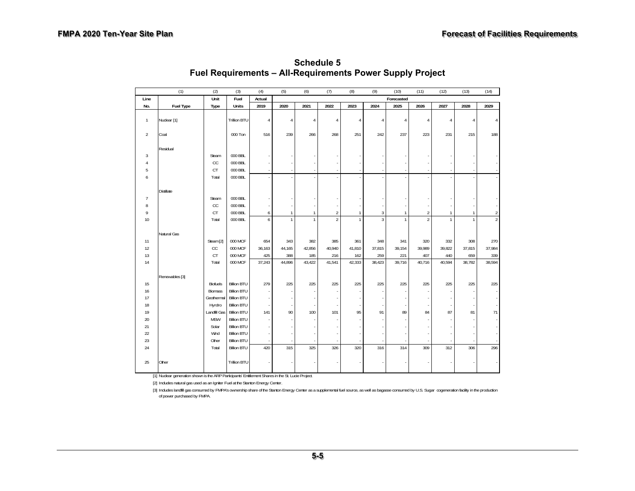|                | (1)              | (2)                 | (3)                                      | (4)            | (5)            | (6)            | (7)            | (8)            | (9)            | (10)           | (11)           | (12)           | (13)           | (14)           |
|----------------|------------------|---------------------|------------------------------------------|----------------|----------------|----------------|----------------|----------------|----------------|----------------|----------------|----------------|----------------|----------------|
| Line           |                  | Unit                | Fuel                                     | Actual         |                |                |                |                |                | Forecasted     |                |                |                |                |
| No.            | <b>Fuel Type</b> | Type                | Units                                    | 2019           | 2020           | 2021           | 2022           | 2023           | 2024           | 2025           | 2026           | 2027           | 2028           | 2029           |
| $\mathbf{1}$   | Nuclear [1]      |                     | <b>Trillion BTU</b>                      | $\overline{4}$ | $\overline{4}$ | $\overline{4}$ | $\overline{4}$ | $\overline{4}$ | $\overline{4}$ | $\overline{4}$ | 4              | $\overline{4}$ | $\overline{4}$ | $\Delta$       |
| $\overline{2}$ | Coal             |                     | 000 Ton                                  | 516            | 239            | 266            | 268            | 251            | 242            | 237            | 223            | 231            | 215            | 188            |
|                | Residual         |                     |                                          |                |                |                |                |                |                |                |                |                |                |                |
| 3              |                  | Steam               | 000 BBL                                  |                |                |                |                |                |                |                |                |                |                |                |
| 4              |                  | CC                  | 000 BBL                                  |                |                |                |                |                |                |                |                |                |                |                |
| 5              |                  | CT                  | 000 BBL                                  |                |                |                | ٠              |                |                |                |                |                |                |                |
| 6              |                  | Total               | 000 BBL                                  |                |                |                |                |                |                |                |                |                |                |                |
|                | Distillate       |                     |                                          |                |                |                |                |                |                |                |                |                |                |                |
| $\overline{1}$ |                  | Steam               | 000 BBL                                  |                |                |                |                |                |                |                |                |                |                |                |
| 8              |                  | CC                  | 000 BBL                                  |                |                |                | ٠              |                |                |                |                |                |                |                |
| 9              |                  | CT                  | 000 BBL                                  | 6              | $\mathbf{1}$   | $\mathbf{1}$   | $\overline{a}$ | $\mathbf{1}$   | 3              | $\mathbf{1}$   | $\overline{2}$ | $\mathbf{1}$   | $\mathbf{1}$   | $\sqrt{2}$     |
| 10             |                  | Total               | 000 BBL                                  | 6              | $\mathbf{1}$   | $\mathbf{1}$   | $\overline{a}$ | $\mathbf{1}$   | $\overline{3}$ | $\mathbf{1}$   | $\overline{2}$ | $\mathbf{1}$   | $\mathbf{1}$   | $\overline{2}$ |
|                |                  |                     |                                          |                |                |                |                |                |                |                |                |                |                |                |
|                | Natural Gas      |                     |                                          |                |                |                |                |                |                |                |                |                |                |                |
| 11             |                  | Steam [2]           | 000 MCF                                  | 654            | 343            | 382            | 385            | 361            | 348            | 341            | 320            | 332            | 308            | 270            |
| 12<br>13       |                  | cc                  | 000 MCF<br>000 MCF                       | 36,163<br>425  | 44,165<br>388  | 42,856<br>185  | 40,940         | 41,810         | 37,815<br>259  | 39,154         | 39,989         | 39,822<br>440  | 37,815<br>659  | 37,984<br>339  |
| 14             |                  | CT<br>Total         | 000 MCF                                  | 37,243         | 44,896         | 43,422         | 216<br>41,541  | 162<br>42,333  | 38,423         | 221<br>39,716  | 407<br>40,716  | 40,594         | 38,782         | 38,594         |
|                |                  |                     |                                          |                |                |                |                |                |                |                |                |                |                |                |
|                | Renewables [3]   |                     |                                          |                |                |                |                |                |                |                |                |                |                |                |
| 15             |                  | <b>Biofuels</b>     | <b>Billion BTU</b>                       | 279            | 225            | 225            | 225            | 225            | 225            | 225            | 225            | 225            | 225            | 225            |
| 16             |                  | <b>Biomass</b>      | <b>Billion BTU</b>                       |                |                |                | ×              |                |                |                |                |                |                |                |
| 17             |                  | Geothermal          | <b>Billion BTU</b>                       | ÷              |                |                | ×              |                |                |                |                |                |                |                |
| 18             |                  | Hyrdro              | <b>Billion BTU</b>                       |                |                |                |                |                |                |                |                |                |                |                |
| 19             |                  | Landfill Gas        | <b>Billion BTU</b>                       | 141            | 90             | 100            | 101            | 95             | 91             | 89             | 84             | 87             | 81             | 71             |
| $20\,$<br>21   |                  | <b>MSW</b><br>Solar | <b>Billion BTU</b><br><b>Billion BTU</b> |                |                |                |                |                |                |                |                |                |                |                |
| 22             |                  | Wind                | <b>Billion BTU</b>                       |                |                |                |                |                |                |                |                |                |                |                |
| 23             |                  | Other               | <b>Billion BTU</b>                       |                |                |                |                |                |                |                |                |                |                |                |
| 24             |                  | Total               | <b>Billion BTU</b>                       | 420            | 315            | 325            | 326            | 320            | 316            | 314            | 309            | 312            | 306            | 296            |
|                |                  |                     |                                          |                |                |                |                |                |                |                |                |                |                |                |
| 25             | Other            |                     | Trillion BTU                             |                |                |                |                |                |                |                |                |                |                |                |

**Schedule 5 Fuel Requirements – All-Requirements Power Supply Project**

[1] Nuclear generation shown is the ARP Participants' Entitlement Shares in the St. Lucie Project.

[2] Includes natural gas used as an Igniter Fuel at the Stanton Energy Center.

[3] Includes landfill gas consumed by FMPA's ownership share of the Stanton Energy Center as a supplemental fuel source, as well as bagasse consumed by U.S. Sugar cogeneration facility in the production of power purchased by FMPA.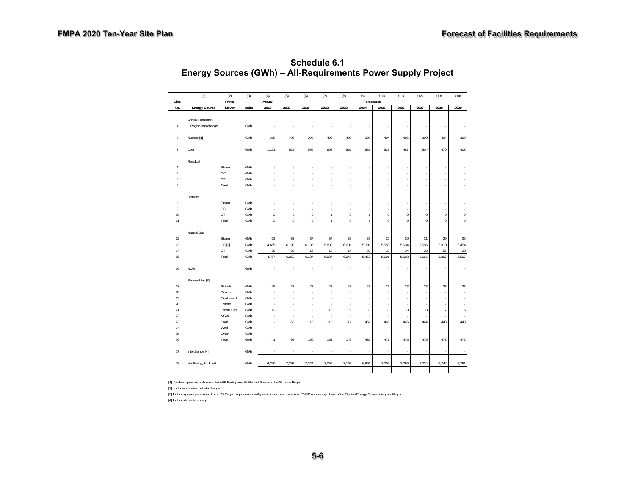|                | (1)                  | (2)            | (3)        | (4)         | (5)            | (6)                           | (7)                          | (8)              | (9)                          | (10)                          | (11)                       | (12)                          | (13)                          | (14)        |
|----------------|----------------------|----------------|------------|-------------|----------------|-------------------------------|------------------------------|------------------|------------------------------|-------------------------------|----------------------------|-------------------------------|-------------------------------|-------------|
| Line           |                      | Prime          |            | Actual      |                | Forecasted                    |                              |                  |                              |                               |                            |                               |                               |             |
| No.            | <b>Energy Source</b> | Mover          | Units      | 2019        | 2020           | 2021                          | 2022                         | 2023             | 2024                         | 2025                          | 2026                       | 2027                          | 2028                          | 2029        |
|                |                      |                |            |             |                |                               |                              |                  |                              |                               |                            |                               |                               |             |
|                | Annual Firm Inter-   |                |            |             |                |                               |                              |                  |                              |                               |                            |                               |                               |             |
| $\mathbf{1}$   | Region Interchange   |                | GWh        |             |                |                               |                              |                  |                              |                               |                            |                               |                               |             |
|                |                      |                |            |             |                |                               |                              |                  |                              |                               |                            |                               |                               |             |
| $\overline{2}$ | Nuclear [1]          |                | GWh        | 368         | 406            | 390                           | 405                          | 405              | 392                          | 404                           | 405                        | 390                           | 404                           | 399         |
|                |                      |                |            |             |                |                               |                              |                  |                              |                               |                            |                               |                               |             |
| $\sqrt{3}$     | Coal                 |                | GWh        | 1,121       | 529            | 596                           | 602                          | 561              | 536                          | 523                           | 487                        | 504                           | 470                           | 403         |
|                |                      |                |            |             |                |                               |                              |                  |                              |                               |                            |                               |                               |             |
|                | Residual             |                |            |             |                |                               |                              |                  |                              |                               |                            |                               |                               |             |
| $\overline{4}$ |                      | Steam          | GWh        |             |                |                               |                              |                  |                              |                               |                            |                               |                               |             |
| 5              |                      | cc             | GWh        |             |                |                               |                              |                  | i,                           |                               |                            |                               |                               |             |
| 6              |                      | СT             | GWh        |             |                |                               | ٠                            | i,               | J.                           |                               |                            |                               |                               |             |
| $\overline{I}$ |                      | Total          | GWh        |             |                |                               |                              |                  | J.                           |                               |                            |                               |                               |             |
|                |                      |                |            |             |                |                               |                              |                  |                              |                               |                            |                               |                               |             |
|                | Distillate           |                |            |             |                |                               |                              |                  |                              |                               |                            |                               |                               |             |
| 8              |                      | Steam          | GWh        |             |                |                               |                              |                  | i,                           |                               |                            |                               |                               |             |
| 9              |                      | cc             | GWh        |             |                |                               |                              |                  | ł,                           |                               |                            |                               |                               |             |
| 10             |                      | <b>CT</b>      | GWh        | 3           | $\mathbf{0}$   | $\mathbf 0$<br>$\overline{0}$ | $\mathbf{1}$<br>$\mathbf{1}$ | $\mathbf 0$      | $\mathbf{1}$<br>$\mathbf{1}$ | $\mathbf 0$<br>$\overline{0}$ | $\mathbf 0$<br>$\mathbf 0$ | $\mathbf 0$<br>$\overline{0}$ | $\mathbf 0$<br>$\overline{0}$ | $\bf 0$     |
| 11             |                      | Total          | GWh        | $\mathsf 3$ | $\overline{0}$ |                               |                              | $\boldsymbol{0}$ |                              |                               |                            |                               |                               | $\pmb{0}$   |
|                |                      |                |            |             |                |                               |                              |                  |                              |                               |                            |                               |                               |             |
| 12             | Natural Gas          | Steam          | GWh        | 63          |                | 37                            | 37                           | 35               | 33                           | 32                            | 30                         | 31                            | 29                            |             |
|                |                      |                | GWh        | 4,655       | 33<br>6,192    | 6,135                         | 5,882                        | 6,001            | 5,395                        | 5,550                         | 5,634                      | 5,596                         | 5,313                         | 25<br>5,454 |
| 13             |                      | CC [2]<br>CT   |            | 39          |                | 16                            | 18                           |                  | 22                           | 19                            |                            | 38                            | 55                            |             |
| 14<br>15       |                      | Total          | GWh<br>GWh | 4,757       | 33<br>6,258    | 6,187                         | 5,937                        | 14<br>6,049      | 5,450                        | 5,601                         | 34<br>5,698                | 5,666                         | 5,397                         | 28<br>5,507 |
|                |                      |                |            |             |                |                               |                              |                  |                              |                               |                            |                               |                               |             |
| 16             | <b>NUG</b>           |                | GWh        |             |                |                               |                              |                  | ÷                            |                               |                            |                               |                               |             |
|                |                      |                |            |             |                |                               |                              |                  |                              |                               |                            |                               |                               |             |
|                | Renewables [3]       |                |            |             |                |                               |                              |                  |                              |                               |                            |                               |                               |             |
| 17             |                      | Biofuels       | GWh        | 28          | 23             | 23                            | 23                           | 23               | 23                           | 23                            | 23                         | 23                            | 23                            | 23          |
| 18             |                      | <b>Biomass</b> | GWh        |             |                |                               |                              |                  |                              |                               |                            |                               |                               |             |
| 19             |                      | Geothermal     | GWh        |             |                |                               |                              |                  | J.                           |                               |                            |                               |                               |             |
| 20             |                      | Hyrdro         | GWh        |             |                |                               |                              |                  |                              |                               |                            |                               |                               |             |
| 21             |                      | Landfill Gas   | GWh        | 13          | 8              | 9                             | 10                           | $\boldsymbol{9}$ | 8                            | 8                             | 8                          | 8                             | $\overline{1}$                | 6           |
| 22             |                      | <b>MSW</b>     | GWh        |             |                |                               |                              |                  | ×,                           |                               |                            |                               |                               |             |
| 23             |                      | Solar          | GWh        |             | 68             | 118                           | 118                          | 117              | 451                          | 446                           | 445                        | 444                           | 443                           | 443         |
| 24             |                      | Wind           | GWh        |             |                |                               |                              |                  | ä,                           |                               |                            |                               |                               |             |
| 25             |                      | Other          | GWh        |             |                |                               |                              |                  |                              |                               |                            |                               |                               |             |
| 26             |                      | Total          | GWh        | 41          | 99             | 150                           | 151                          | 149              | 482                          | 477                           | 476                        | 475                           | 473                           | 472         |
|                |                      |                |            |             |                |                               |                              |                  |                              |                               |                            |                               |                               |             |
| 27             | Interchange [4]      |                | GWh        |             |                |                               |                              | i,               |                              |                               |                            |                               |                               |             |
|                |                      |                |            |             |                |                               |                              |                  |                              |                               |                            |                               |                               |             |
| 28             | Net Energy for Load  |                | GWh        | 6,290       | 7,292          | 7,324                         | 7,096                        | 7,165            | 6,861                        | 7,005                         | 7,066                      | 7,034                         | 6,744                         | 6,781       |
|                |                      |                |            |             |                |                               |                              |                  |                              |                               |                            |                               |                               |             |
|                |                      |                |            |             |                |                               |                              |                  |                              |                               |                            |                               |                               |             |

**Schedule 6.1 Energy Sources (GWh) – All-Requirements Power Supply Project** 

[1] Nuclear generation shown is the ARP Participants' Entitlement Shares in the St. Lucie Project.

[2] Includes non-firm net interchange.

[3] Includes power purchased from U.S. Sugar cogeneration facility and power generated from FMPA's ownership share of the Stanton Energy Center using landfill gas.

[4] Includes firm interchange.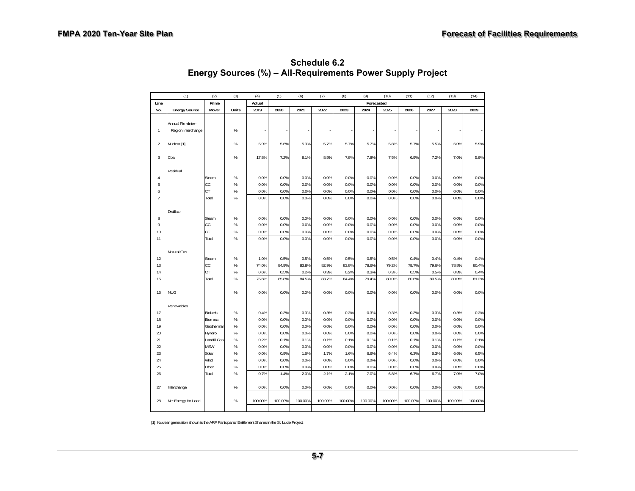|                | (1)                  | (2)             | (3)   | (4)     | (5)     | (6)     | (7)     | (8)     | (9)        | (10)    | (11)    | (12)    | (13)    | (14)    |
|----------------|----------------------|-----------------|-------|---------|---------|---------|---------|---------|------------|---------|---------|---------|---------|---------|
| Line           |                      | Prime           |       | Actual  |         |         |         |         | Forecasted |         |         |         |         |         |
| No.            | <b>Energy Source</b> | Mover           | Units | 2019    | 2020    | 2021    | 2022    | 2023    | 2024       | 2025    | 2026    | 2027    | 2028    | 2029    |
|                |                      |                 |       |         |         |         |         |         |            |         |         |         |         |         |
|                | Annual Firm Inter-   |                 |       |         |         |         |         |         |            |         |         |         |         |         |
| $\mathbf{1}$   | Region Interchange   |                 | %     |         |         |         |         |         |            |         |         |         |         |         |
| $\overline{2}$ |                      |                 | %     | 5.9%    | 5.6%    |         | 5.7%    |         | 5.7%       | 5.8%    | 5.7%    | 5.5%    |         | 5.9%    |
|                | Nuclear [1]          |                 |       |         |         | 5.3%    |         | 5.7%    |            |         |         |         | 6.0%    |         |
| 3              | Coal                 |                 | %     | 17.8%   | 7.2%    | 8.1%    | 8.5%    | 7.8%    | 7.8%       | 7.5%    | 6.9%    | 7.2%    | 7.0%    | 5.9%    |
|                |                      |                 |       |         |         |         |         |         |            |         |         |         |         |         |
|                | Residual             |                 |       |         |         |         |         |         |            |         |         |         |         |         |
| $\sqrt{4}$     |                      | Steam           | $\%$  | 0.0%    | 0.0%    | 0.0%    | 0.0%    | 0.0%    | 0.0%       | 0.0%    | 0.0%    | 0.0%    | 0.0%    | 0.0%    |
| 5              |                      | CC              | %     | 0.0%    | 0.0%    | 0.0%    | 0.0%    | 0.0%    | 0.0%       | 0.0%    | 0.0%    | 0.0%    | 0.0%    | 0.0%    |
| 6              |                      | <b>CT</b>       | %     | 0.0%    | 0.0%    | 0.0%    | 0.0%    | 0.0%    | 0.0%       | 0.0%    | 0.0%    | 0.0%    | 0.0%    | 0.0%    |
| $\overline{1}$ |                      | Total           | %     | 0.0%    | 0.0%    | 0.0%    | 0.0%    | 0.0%    | 0.0%       | 0.0%    | 0.0%    | 0.0%    | 0.0%    | 0.0%    |
|                |                      |                 |       |         |         |         |         |         |            |         |         |         |         |         |
|                | <b>Distillate</b>    |                 |       |         |         |         |         |         |            |         |         |         |         |         |
| 8              |                      | Steam           | $\%$  | 0.0%    | 0.0%    | 0.0%    | 0.0%    | 0.0%    | 0.0%       | 0.0%    | 0.0%    | 0.0%    | 0.0%    | 0.0%    |
| $\mathbf{q}$   |                      | CC              | %     | 0.0%    | 0.0%    | 0.0%    | 0.0%    | 0.0%    | 0.0%       | 0.0%    | 0.0%    | 0.0%    | 0.0%    | 0.0%    |
| 10             |                      | CT              | %     | 0.0%    | 0.0%    | 0.0%    | 0.0%    | 0.0%    | 0.0%       | 0.0%    | 0.0%    | 0.0%    | 0.0%    | 0.0%    |
| 11             |                      | Total           | %     | 0.0%    | 0.0%    | 0.0%    | 0.0%    | 0.0%    | 0.0%       | 0.0%    | 0.0%    | 0.0%    | 0.0%    | 0.0%    |
|                |                      |                 |       |         |         |         |         |         |            |         |         |         |         |         |
|                | Natural Gas          |                 |       |         |         |         |         |         |            |         |         |         |         |         |
| 12             |                      | Steam           | $\%$  | 1.0%    | 0.5%    | 0.5%    | 0.5%    | 0.5%    | 0.5%       | 0.5%    | 0.4%    | 0.4%    | 0.4%    | 0.4%    |
| 13             |                      | CC              | $\%$  | 74.0%   | 84.9%   | 83.8%   | 82.9%   | 83.8%   | 78.6%      | 79.2%   | 79.7%   | 79.6%   | 78.8%   | 80.4%   |
| 14             |                      | CT              | %     | 0.6%    | 0.5%    | 0.2%    | 0.3%    | 0.2%    | 0.3%       | 0.3%    | 0.5%    | 0.5%    | 0.8%    | 0.4%    |
| 15             |                      | Total           | %     | 75.6%   | 85.8%   | 84.5%   | 83.7%   | 84.4%   | 79.4%      | 80.0%   | 80.6%   | 80.5%   | 80.0%   | 81.2%   |
| 16             | <b>NUG</b>           |                 | %     | 0.0%    | 0.0%    | 0.0%    | 0.0%    | 0.0%    | 0.0%       | 0.0%    | 0.0%    | 0.0%    | 0.0%    | 0.0%    |
|                |                      |                 |       |         |         |         |         |         |            |         |         |         |         |         |
|                | Renewables           |                 |       |         |         |         |         |         |            |         |         |         |         |         |
| 17             |                      | <b>Biofuels</b> | %     | 0.4%    | 0.3%    | 0.3%    | 0.3%    | 0.3%    | 0.3%       | 0.3%    | 0.3%    | 0.3%    | 0.3%    | 0.3%    |
| 18             |                      | <b>Biomass</b>  | %     | 0.0%    | 0.0%    | 0.0%    | 0.0%    | 0.0%    | 0.0%       | 0.0%    | 0.0%    | 0.0%    | 0.0%    | 0.0%    |
| 19             |                      | Geothermal      | %     | 0.0%    | 0.0%    | 0.0%    | 0.0%    | 0.0%    | 0.0%       | 0.0%    | 0.0%    | 0.0%    | 0.0%    | 0.0%    |
| 20             |                      | Hyrdro          | $\%$  | 0.0%    | 0.0%    | 0.0%    | 0.0%    | 0.0%    | 0.0%       | 0.0%    | 0.0%    | 0.0%    | 0.0%    | 0.0%    |
| 21             |                      | Landfill Gas    | $\%$  | 0.2%    | 0.1%    | 0.1%    | 0.1%    | 0.1%    | 0.1%       | 0.1%    | 0.1%    | 0.1%    | 0.1%    | 0.1%    |
| 22             |                      | <b>MSW</b>      | $\%$  | 0.0%    | 0.0%    | 0.0%    | 0.0%    | 0.0%    | 0.0%       | 0.0%    | 0.0%    | 0.0%    | 0.0%    | 0.0%    |
| 23             |                      | Solar           | $\%$  | 0.0%    | 0.9%    | 1.6%    | 1.7%    | 1.6%    | 6.6%       | 6.4%    | 6.3%    | 6.3%    | 6.6%    | 6.5%    |
| 24             |                      | Wind            | %     | 0.0%    | 0.0%    | 0.0%    | 0.0%    | 0.0%    | 0.0%       | 0.0%    | 0.0%    | 0.0%    | 0.0%    | 0.0%    |
| 25             |                      | Other           | $\%$  | 0.0%    | 0.0%    | 0.0%    | 0.0%    | 0.0%    | 0.0%       | 0.0%    | 0.0%    | 0.0%    | 0.0%    | 0.0%    |
| 26             |                      | Total           | %     | 0.7%    | 1.4%    | 2.0%    | 2.1%    | 2.1%    | 7.0%       | 6.8%    | 6.7%    | 6.7%    | 7.0%    | 7.0%    |
|                |                      |                 |       |         |         |         |         |         |            |         |         |         |         |         |
| 27             | Interchange          |                 | %     | 0.0%    | 0.0%    | 0.0%    | 0.0%    | 0.0%    | 0.0%       | 0.0%    | 0.0%    | 0.0%    | 0.0%    | 0.0%    |
|                |                      |                 |       |         |         |         |         |         |            |         |         |         |         |         |
| 28             | Net Energy for Load  |                 | $\%$  | 100.00% | 100.00% | 100.00% | 100.00% | 100.00% | 100.00%    | 100.00% | 100.00% | 100.00% | 100.00% | 100.00% |
|                |                      |                 |       |         |         |         |         |         |            |         |         |         |         |         |

**Schedule 6.2 Energy Sources (%) – All-Requirements Power Supply Project** 

[1] Nuclear generation shown is the ARP Participants' Entitlement Shares in the St. Lucie Project.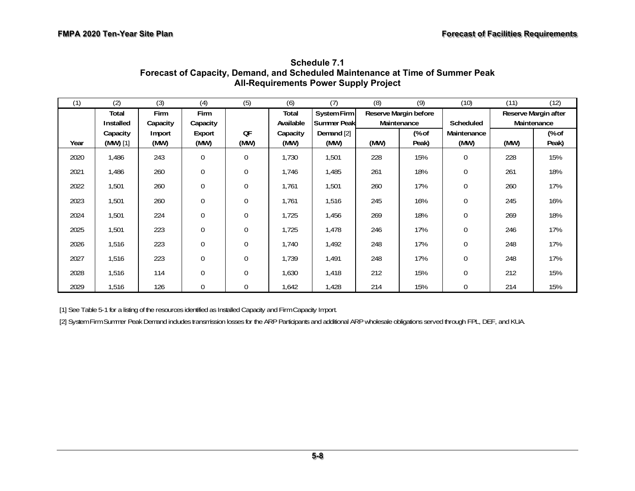| (1)  | (2)                    | (3)            | (4)              | (5)          | (6)              | (7)                 | (8)                   | (9)            | (10)                | (11)        | (12)                 |  |
|------|------------------------|----------------|------------------|--------------|------------------|---------------------|-----------------------|----------------|---------------------|-------------|----------------------|--|
|      | Total                  | Firm           | Firm             |              | Total            | System Firm         | Reserve Margin before |                |                     |             | Reserve Margin after |  |
|      | Installed              | Capacity       | Capacity         |              | Available        | <b>Summer Peakl</b> | Maintenance           |                | <b>Scheduled</b>    | Maintenance |                      |  |
| Year | Capacity<br>$(MW)$ [1] | Import<br>(MW) | Export<br>(MW)   | QF<br>(MW)   | Capacity<br>(MW) | Demand [2]<br>(MW)  | (MW)                  | (% of<br>Peak) | Maintenance<br>(MW) | (MW)        | (% of<br>Peak)       |  |
|      |                        |                |                  |              |                  |                     |                       |                |                     |             |                      |  |
| 2020 | 1,486                  | 243            | $\boldsymbol{0}$ | 0            | 1,730            | 1,501               | 228                   | 15%            | $\mathbf 0$         | 228         | 15%                  |  |
| 2021 | 1,486                  | 260            | $\mathbf 0$      | $\theta$     | 1,746            | 1,485               | 261                   | 18%            | $\mathbf{0}$        | 261         | 18%                  |  |
| 2022 | 1,501                  | 260            | $\boldsymbol{0}$ | $\theta$     | 1,761            | 1,501               | 260                   | 17%            | $\mathbf{0}$        | 260         | 17%                  |  |
| 2023 | 1,501                  | 260            | $\boldsymbol{0}$ | 0            | 1,761            | 1,516               | 245                   | 16%            | $\mathbf{0}$        | 245         | 16%                  |  |
| 2024 | 1,501                  | 224            | $\boldsymbol{0}$ | $\mathbf{0}$ | 1,725            | 1,456               | 269                   | 18%            | $\mathbf{0}$        | 269         | 18%                  |  |
| 2025 | 1,501                  | 223            | $\mathbf 0$      | $\Omega$     | 1,725            | 1,478               | 246                   | 17%            | $\mathbf{0}$        | 246         | 17%                  |  |
| 2026 | 1,516                  | 223            | $\mathbf 0$      | $\theta$     | 1,740            | 1,492               | 248                   | 17%            | $\mathbf{0}$        | 248         | 17%                  |  |
| 2027 | 1,516                  | 223            | $\mathbf 0$      | $\mathbf{0}$ | 1,739            | 1,491               | 248                   | 17%            | $\mathbf{0}$        | 248         | 17%                  |  |
| 2028 | 1,516                  | 114            | $\boldsymbol{0}$ | $\Omega$     | 1,630            | 1,418               | 212                   | 15%            | $\mathbf{0}$        | 212         | 15%                  |  |
| 2029 | 1,516                  | 126            | $\mathbf 0$      | 0            | 1,642            | 1,428               | 214                   | 15%            | $\mathbf{0}$        | 214         | 15%                  |  |

**Schedule 7.1 Forecast of Capacity, Demand, and Scheduled Maintenance at Time of Summer Peak All-Requirements Power Supply Project** 

[1] See Table 5-1 for a listing of the resources identified as Installed Capacity and Firm Capacity Import.

[2] System Firm Summer Peak Demand includes transmission losses for the ARP Participants and additional ARP wholesale obligations served through FPL, DEF, and KUA.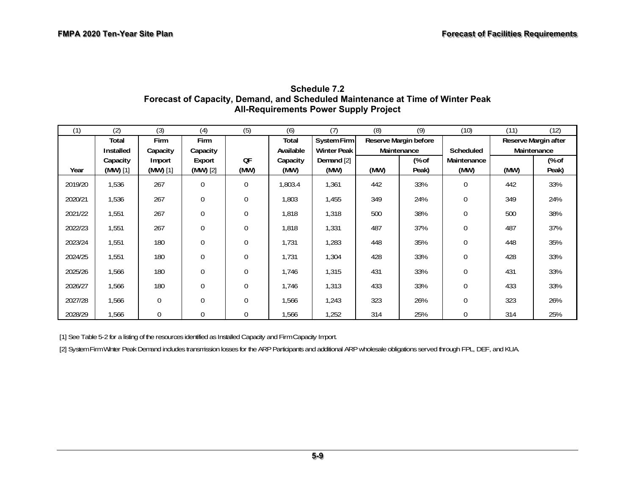| (1)     | (2)        | (3)              | (4)              | (5)          | (6)       | (7)                | (8)         | (9)                   | (10)         | (11)        | (12)                 |
|---------|------------|------------------|------------------|--------------|-----------|--------------------|-------------|-----------------------|--------------|-------------|----------------------|
|         | Total      | Firm             | Firm             |              | Total     | System Firm        |             | Reserve Margin before |              |             | Reserve Margin after |
|         | Installed  | Capacity         | Capacity         |              | Available | <b>Winter Peak</b> | Maintenance |                       | Scheduled    | Maintenance |                      |
|         | Capacity   | Import           | Export           | QF           | Capacity  | Demand [2]         |             | (% of                 | Maintenance  |             | (% of                |
| Year    | $(MW)$ [1] | $(MW)$ [1]       | $(MW)$ [2]       | (MW)         | (MW)      | (MW)               | (MW)        | Peak)                 | (MW)         | (MW)        | Peak)                |
| 2019/20 | 1,536      | 267              | $\mathbf{0}$     | $\mathbf{0}$ | 1,803.4   | 1,361              | 442         | 33%                   | $\mathbf{0}$ | 442         | 33%                  |
| 2020/21 | 1,536      | 267              | $\boldsymbol{0}$ | $\mathbf{0}$ | 1,803     | 1,455              | 349         | 24%                   | $\mathbf{0}$ | 349         | 24%                  |
| 2021/22 | 1,551      | 267              | $\mathbf{0}$     | $\mathbf{0}$ | 1,818     | 1,318              | 500         | 38%                   | $\mathbf{0}$ | 500         | 38%                  |
| 2022/23 | 1,551      | 267              | $\mathbf 0$      | $\mathbf 0$  | 1,818     | 1,331              | 487         | 37%                   | $\mathbf{0}$ | 487         | 37%                  |
| 2023/24 | 1,551      | 180              | $\mathbf{0}$     | $\mathbf{0}$ | 1,731     | 1,283              | 448         | 35%                   | $\mathbf{0}$ | 448         | 35%                  |
| 2024/25 | 1,551      | 180              | $\boldsymbol{0}$ | $\mathbf{0}$ | 1,731     | 1,304              | 428         | 33%                   | $\mathbf{0}$ | 428         | 33%                  |
| 2025/26 | 1,566      | 180              | $\mathbf 0$      | $\Omega$     | 1,746     | 1,315              | 431         | 33%                   | $\mathbf{0}$ | 431         | 33%                  |
| 2026/27 | 1,566      | 180              | $\mathbf 0$      | 0            | 1,746     | 1,313              | 433         | 33%                   | $\mathbf{0}$ | 433         | 33%                  |
| 2027/28 | 1,566      | $\boldsymbol{0}$ | $\boldsymbol{0}$ | $\mathbf{0}$ | 1,566     | 1,243              | 323         | 26%                   | $\mathbf{0}$ | 323         | 26%                  |
| 2028/29 | 1,566      | $\mathbf 0$      | $\mathbf{0}$     | $\mathbf{0}$ | 1,566     | 1,252              | 314         | 25%                   | $\mathbf{0}$ | 314         | 25%                  |

#### **Schedule 7.2 Forecast of Capacity, Demand, and Scheduled Maintenance at Time of Winter Peak All-Requirements Power Supply Project**

[1] See Table 5-2 for a listing of the resources identified as Installed Capacity and Firm Capacity Import.

[2] System Firm Winter Peak Demand includes transmission losses for the ARP Participants and additional ARP wholesale obligations served through FPL, DEF, and KUA.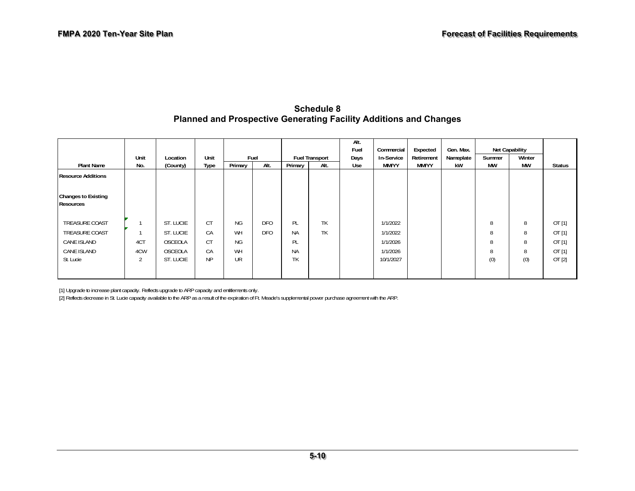#### **Schedule 8 Planned and Prospective Generating Facility Additions and Changes**

|                                                |                |           |           |           |            |           |                       | Alt.<br>Fuel | Commercial | Expected     | Gen. Max. |           | Net Capability |               |
|------------------------------------------------|----------------|-----------|-----------|-----------|------------|-----------|-----------------------|--------------|------------|--------------|-----------|-----------|----------------|---------------|
|                                                | Unit           | Location  | Unit      |           | Fuel       |           | <b>Fuel Transport</b> | Days         | In-Service | Retirement   | Nameplate | Summer    | Winter         |               |
| <b>Plant Name</b>                              | No.            | (County)  | Type      | Primary   | Alt.       | Primary   | Alt.                  | Use          | MM/YY      | <b>MM/YY</b> | kW        | <b>MW</b> | <b>MW</b>      | <b>Status</b> |
| <b>Resource Additions</b>                      |                |           |           |           |            |           |                       |              |            |              |           |           |                |               |
| <b>Changes to Existing</b><br><b>Resources</b> |                |           |           |           |            |           |                       |              |            |              |           |           |                |               |
| <b>TREASURE COAST</b>                          |                | ST. LUCIE | CT        | <b>NG</b> | <b>DFO</b> | PL        | TK                    |              | 1/1/2022   |              |           | 8         | 8              | OT[1]         |
| TREASURE COAST                                 |                | ST. LUCIE | CA        | WH        | <b>DFO</b> | <b>NA</b> | TK                    |              | 1/1/2022   |              |           | 8         | 8              | OT[1]         |
| CANE ISLAND                                    | 4CT            | OSCEOLA   | CT        | <b>NG</b> |            | PL        |                       |              | 1/1/2026   |              |           | 8         | 8              | OT[1]         |
| CANE ISLAND                                    | 4CW            | OSCEOLA   | CA        | WH        |            | <b>NA</b> |                       |              | 1/1/2026   |              |           | 8         | 8              | OT $[1]$      |
| St. Lucie                                      | $\overline{2}$ | ST. LUCIE | <b>NP</b> | <b>UR</b> |            | TK        |                       |              | 10/1/2027  |              |           | (0)       | (0)            | OT[2]         |
|                                                |                |           |           |           |            |           |                       |              |            |              |           |           |                |               |

[1] Upgrade to increase plant capacity. Reflects upgrade to ARP capacity and entitlements only.

[2] Reflects decrease in St. Lucie capacity available to the ARP as a result of the expiration of Ft. Meade's supplemental power purchase agreement with the ARP.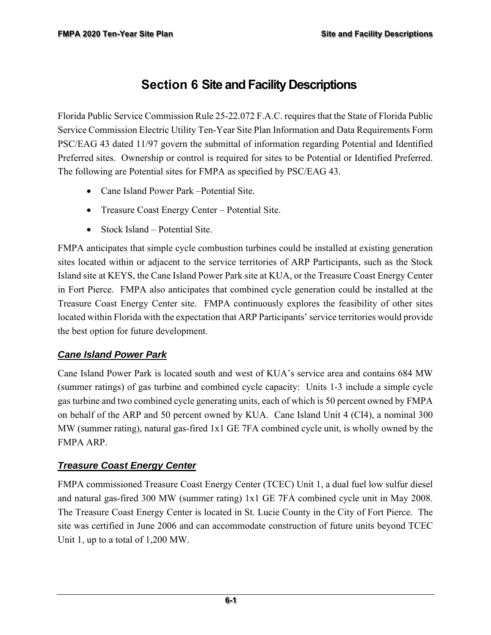# **Section 6 Site and Facility Descriptions**

Florida Public Service Commission Rule 25-22.072 F.A.C. requires that the State of Florida Public Service Commission Electric Utility Ten-Year Site Plan Information and Data Requirements Form PSC/EAG 43 dated 11/97 govern the submittal of information regarding Potential and Identified Preferred sites. Ownership or control is required for sites to be Potential or Identified Preferred. The following are Potential sites for FMPA as specified by PSC/EAG 43.

- Cane Island Power Park Potential Site.
- Treasure Coast Energy Center Potential Site.
- Stock Island Potential Site.

FMPA anticipates that simple cycle combustion turbines could be installed at existing generation sites located within or adjacent to the service territories of ARP Participants, such as the Stock Island site at KEYS, the Cane Island Power Park site at KUA, or the Treasure Coast Energy Center in Fort Pierce. FMPA also anticipates that combined cycle generation could be installed at the Treasure Coast Energy Center site. FMPA continuously explores the feasibility of other sites located within Florida with the expectation that ARP Participants' service territories would provide the best option for future development.

#### *Cane Island Power Park*

Cane Island Power Park is located south and west of KUA's service area and contains 684 MW (summer ratings) of gas turbine and combined cycle capacity: Units 1-3 include a simple cycle gas turbine and two combined cycle generating units, each of which is 50 percent owned by FMPA on behalf of the ARP and 50 percent owned by KUA. Cane Island Unit 4 (CI4), a nominal 300 MW (summer rating), natural gas-fired 1x1 GE 7FA combined cycle unit, is wholly owned by the FMPA ARP.

#### *Treasure Coast Energy Center*

FMPA commissioned Treasure Coast Energy Center (TCEC) Unit 1, a dual fuel low sulfur diesel and natural gas-fired 300 MW (summer rating) 1x1 GE 7FA combined cycle unit in May 2008. The Treasure Coast Energy Center is located in St. Lucie County in the City of Fort Pierce. The site was certified in June 2006 and can accommodate construction of future units beyond TCEC Unit 1, up to a total of 1,200 MW.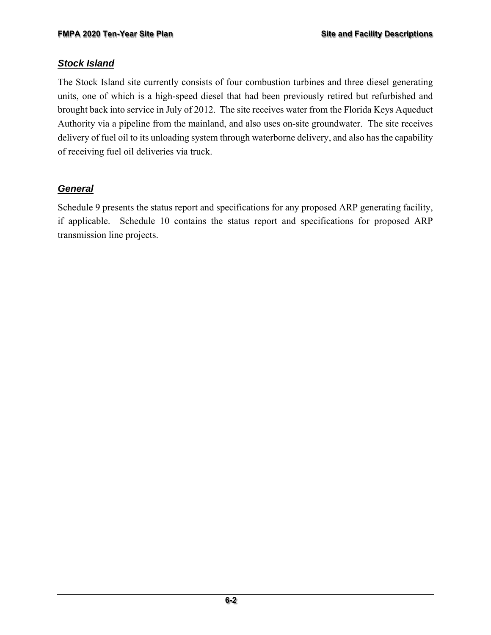#### *Stock Island*

The Stock Island site currently consists of four combustion turbines and three diesel generating units, one of which is a high-speed diesel that had been previously retired but refurbished and brought back into service in July of 2012. The site receives water from the Florida Keys Aqueduct Authority via a pipeline from the mainland, and also uses on-site groundwater. The site receives delivery of fuel oil to its unloading system through waterborne delivery, and also has the capability of receiving fuel oil deliveries via truck.

#### *General*

Schedule 9 presents the status report and specifications for any proposed ARP generating facility, if applicable. Schedule 10 contains the status report and specifications for proposed ARP transmission line projects.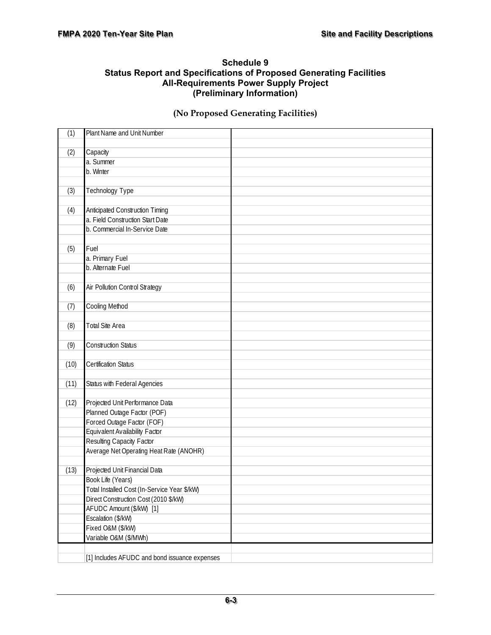#### **Schedule 9 Status Report and Specifications of Proposed Generating Facilities All-Requirements Power Supply Project (Preliminary Information)**

#### **(No Proposed Generating Facilities)**

| (1)  | Plant Name and Unit Number                    |  |
|------|-----------------------------------------------|--|
| (2)  | Capacity                                      |  |
|      | a. Summer                                     |  |
|      | b. Winter                                     |  |
|      |                                               |  |
| (3)  | Technology Type                               |  |
|      |                                               |  |
| (4)  | Anticipated Construction Timing               |  |
|      | a. Field Construction Start Date              |  |
|      | b. Commercial In-Service Date                 |  |
|      |                                               |  |
| (5)  | Fuel                                          |  |
|      | a. Primary Fuel                               |  |
|      | b. Alternate Fuel                             |  |
|      |                                               |  |
|      |                                               |  |
| (6)  | Air Pollution Control Strategy                |  |
|      |                                               |  |
| (7)  | Cooling Method                                |  |
|      |                                               |  |
| (8)  | <b>Total Site Area</b>                        |  |
|      |                                               |  |
| (9)  | <b>Construction Status</b>                    |  |
|      |                                               |  |
| (10) | Certification Status                          |  |
|      |                                               |  |
| (11) | Status with Federal Agencies                  |  |
|      |                                               |  |
| (12) | Projected Unit Performance Data               |  |
|      | Planned Outage Factor (POF)                   |  |
|      | Forced Outage Factor (FOF)                    |  |
|      | Equivalent Availability Factor                |  |
|      | Resulting Capacity Factor                     |  |
|      | Average Net Operating Heat Rate (ANOHR)       |  |
|      |                                               |  |
| (13) | Projected Unit Financial Data                 |  |
|      | Book Life (Years)                             |  |
|      | Total Installed Cost (In-Service Year \$/kW)  |  |
|      | Direct Construction Cost (2010 \$/kW)         |  |
|      | AFUDC Amount (\$/kW) [1]                      |  |
|      | Escalation (\$/kW)                            |  |
|      | Fixed O&M (\$/kW)                             |  |
|      | Variable O&M (\$/MWh)                         |  |
|      |                                               |  |
|      | [1] Includes AFUDC and bond issuance expenses |  |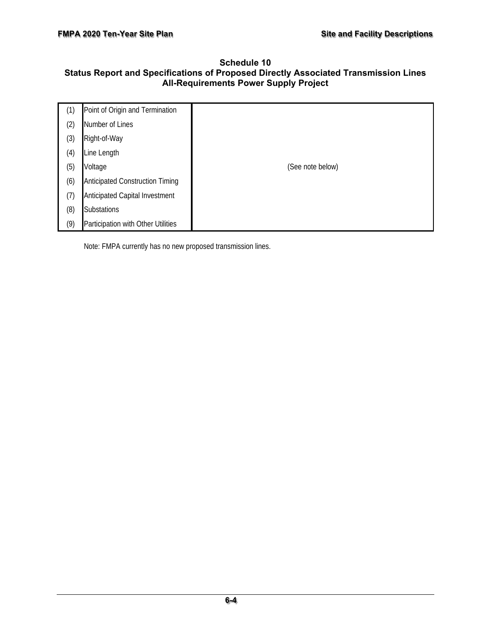#### **Schedule 10 Status Report and Specifications of Proposed Directly Associated Transmission Lines All-Requirements Power Supply Project**

| (1) | Point of Origin and Termination        |                  |
|-----|----------------------------------------|------------------|
| (2) | Number of Lines                        |                  |
| (3) | Right-of-Way                           |                  |
| (4) | Line Length                            |                  |
| (5) | Voltage                                | (See note below) |
| (6) | <b>Anticipated Construction Timing</b> |                  |
| (7) | Anticipated Capital Investment         |                  |
| (8) | Substations                            |                  |
| (9) | Participation with Other Utilities     |                  |

Note: FMPA currently has no new proposed transmission lines.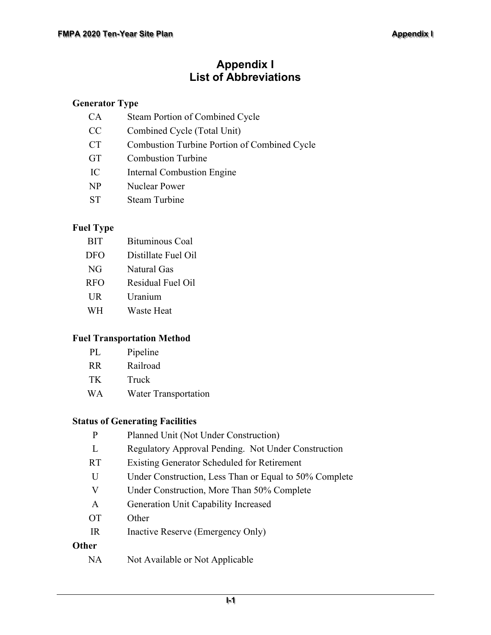# **Appendix I List of Abbreviations**

#### **Generator Type**

| CA        | Steam Portion of Combined Cycle                     |
|-----------|-----------------------------------------------------|
| CC        | Combined Cycle (Total Unit)                         |
| <b>CT</b> | <b>Combustion Turbine Portion of Combined Cycle</b> |
| <b>GT</b> | <b>Combustion Turbine</b>                           |
| IC        | Internal Combustion Engine                          |
| NP        | Nuclear Power                                       |
| ST        | Steam Turbine                                       |

#### **Fuel Type**

| <b>BIT</b> | <b>Bituminous Coal</b> |
|------------|------------------------|
| <b>DFO</b> | Distillate Fuel Oil    |
| NG.        | <b>Natural Gas</b>     |
| <b>RFO</b> | Residual Fuel Oil      |
| <b>UR</b>  | Uranium                |
| WH         | Waste Heat             |

#### **Fuel Transportation Method**

| PL. | Pipeline |
|-----|----------|
|-----|----------|

- TK Truck
- WA Water Transportation

#### **Status of Generating Facilities**

| P         | Planned Unit (Not Under Construction)                  |
|-----------|--------------------------------------------------------|
| L         | Regulatory Approval Pending. Not Under Construction    |
| <b>RT</b> | Existing Generator Scheduled for Retirement            |
| U         | Under Construction, Less Than or Equal to 50% Complete |
| V         | Under Construction, More Than 50% Complete             |
| A         | Generation Unit Capability Increased                   |
| <b>OT</b> | Other                                                  |
| IR        | Inactive Reserve (Emergency Only)                      |
| Other     |                                                        |
| NA        | Not Available or Not Applicable                        |